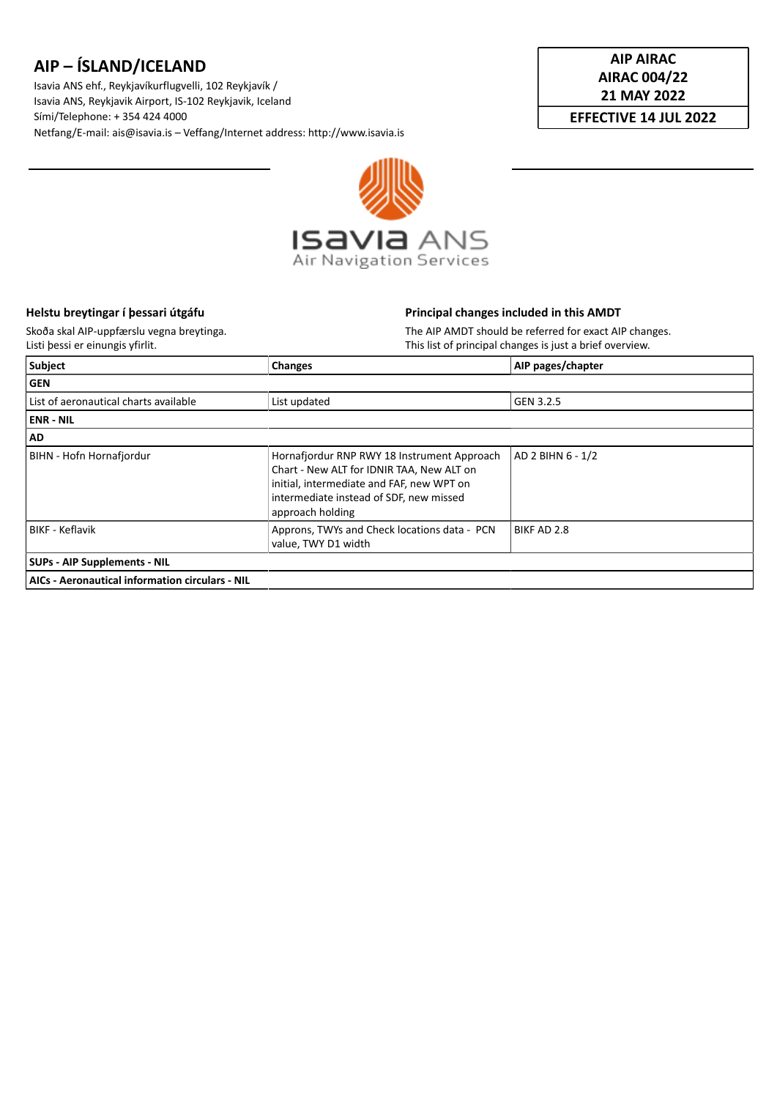# **AIP – ÍSLAND/ICELAND**

Isavia ANS ehf., Reykjavíkurflugvelli, 102 Reykjavík / Isavia ANS, Reykjavik Airport, IS-102 Reykjavik, Iceland Sími/Telephone: + 354 424 4000 Netfang/E-mail: ais@isavia.is – Veffang/Internet address: http://www.isavia.is

#### **AIP AIRAC AIRAC 004/22 21 MAY 2022**

**EFFECTIVE 14 JUL 2022**



#### **Helstu breytingar í þessari útgáfu Principal changes included in this AMDT**

Skoða skal AIP-uppfærslu vegna breytinga. Listi þessi er einungis yfirlit.

The AIP AMDT should be referred for exact AIP changes. This list of principal changes is just a brief overview.

| <b>Subject</b>                                         | <b>Changes</b>                                                                                                                                                                                       | AIP pages/chapter  |  |  |
|--------------------------------------------------------|------------------------------------------------------------------------------------------------------------------------------------------------------------------------------------------------------|--------------------|--|--|
| <b>GEN</b>                                             |                                                                                                                                                                                                      |                    |  |  |
| List of aeronautical charts available                  | List updated                                                                                                                                                                                         | GEN 3.2.5          |  |  |
| <b>ENR - NIL</b>                                       |                                                                                                                                                                                                      |                    |  |  |
| <b>AD</b>                                              |                                                                                                                                                                                                      |                    |  |  |
| BIHN - Hofn Hornafjordur                               | Hornafjordur RNP RWY 18 Instrument Approach<br>Chart - New ALT for IDNIR TAA, New ALT on<br>initial, intermediate and FAF, new WPT on<br>intermediate instead of SDF, new missed<br>approach holding | AD 2 BIHN 6 - 1/2  |  |  |
| BIKF - Keflavik                                        | Approns, TWYs and Check locations data - PCN<br>value, TWY D1 width                                                                                                                                  | <b>BIKF AD 2.8</b> |  |  |
| <b>SUPs - AIP Supplements - NIL</b>                    |                                                                                                                                                                                                      |                    |  |  |
| <b>AICs - Aeronautical information circulars - NIL</b> |                                                                                                                                                                                                      |                    |  |  |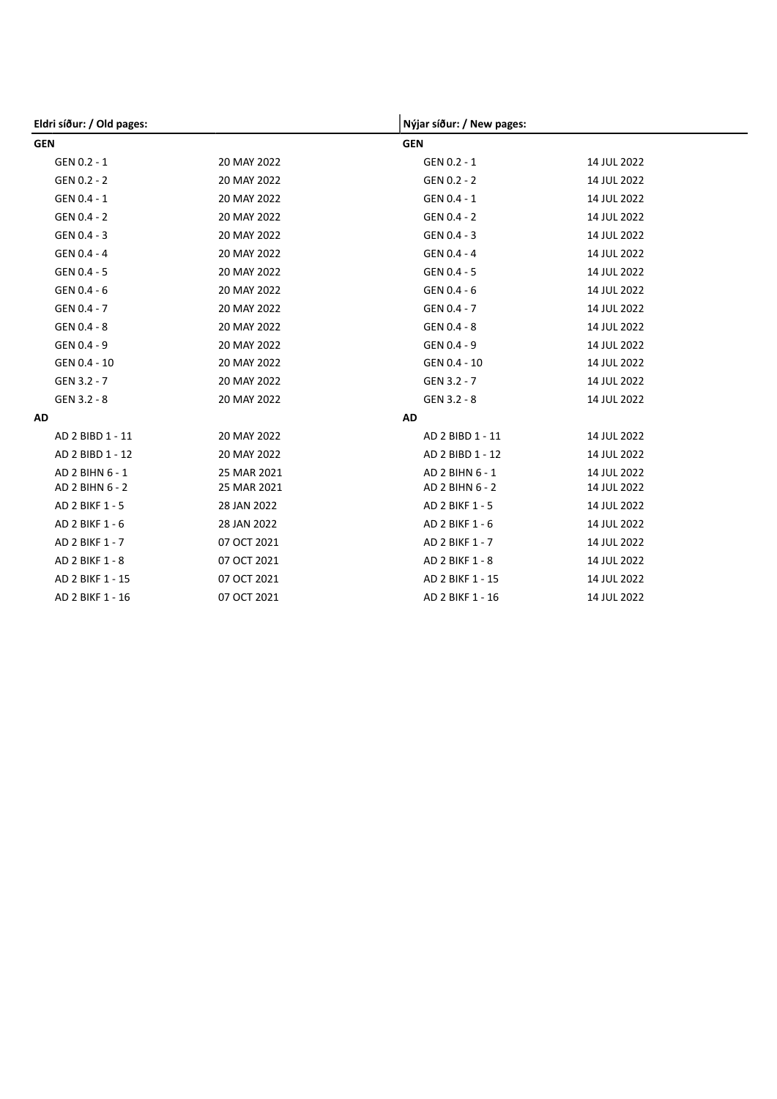| Eldri síður: / Old pages: |             | Nýjar síður: / New pages: |             |  |  |
|---------------------------|-------------|---------------------------|-------------|--|--|
| <b>GEN</b>                |             | <b>GEN</b>                |             |  |  |
| GEN 0.2 - 1               | 20 MAY 2022 | GEN 0.2 - 1               | 14 JUL 2022 |  |  |
| GEN 0.2 - 2               | 20 MAY 2022 | GEN 0.2 - 2               | 14 JUL 2022 |  |  |
| GEN 0.4 - 1               | 20 MAY 2022 | GEN 0.4 - 1               | 14 JUL 2022 |  |  |
| GEN 0.4 - 2               | 20 MAY 2022 | GEN 0.4 - 2               | 14 JUL 2022 |  |  |
| GEN 0.4 - 3               | 20 MAY 2022 | GEN 0.4 - 3               | 14 JUL 2022 |  |  |
| GEN 0.4 - 4               | 20 MAY 2022 | GEN 0.4 - 4               | 14 JUL 2022 |  |  |
| GEN 0.4 - 5               | 20 MAY 2022 | GEN 0.4 - 5               | 14 JUL 2022 |  |  |
| GEN 0.4 - 6               | 20 MAY 2022 | GEN 0.4 - 6               | 14 JUL 2022 |  |  |
| GEN 0.4 - 7               | 20 MAY 2022 | GEN 0.4 - 7               | 14 JUL 2022 |  |  |
| GEN 0.4 - 8               | 20 MAY 2022 | GEN 0.4 - 8               | 14 JUL 2022 |  |  |
| GEN 0.4 - 9               | 20 MAY 2022 | GEN 0.4 - 9               | 14 JUL 2022 |  |  |
| GEN 0.4 - 10              | 20 MAY 2022 | GEN 0.4 - 10              | 14 JUL 2022 |  |  |
| GEN 3.2 - 7               | 20 MAY 2022 | GEN 3.2 - 7               | 14 JUL 2022 |  |  |
| GEN 3.2 - 8               | 20 MAY 2022 | GEN 3.2 - 8               | 14 JUL 2022 |  |  |
| <b>AD</b>                 |             | <b>AD</b>                 |             |  |  |
| AD 2 BIBD 1 - 11          | 20 MAY 2022 | AD 2 BIBD 1 - 11          | 14 JUL 2022 |  |  |
| AD 2 BIBD 1 - 12          | 20 MAY 2022 | AD 2 BIBD 1 - 12          | 14 JUL 2022 |  |  |
| AD 2 BIHN 6 - 1           | 25 MAR 2021 | AD 2 BIHN 6 - 1           | 14 JUL 2022 |  |  |
| AD 2 BIHN 6 - 2           | 25 MAR 2021 | AD 2 BIHN 6 - 2           | 14 JUL 2022 |  |  |
| AD 2 BIKF 1 - 5           | 28 JAN 2022 | AD 2 BIKF 1 - 5           | 14 JUL 2022 |  |  |
| AD 2 BIKF 1 - 6           | 28 JAN 2022 | AD 2 BIKF 1 - 6           | 14 JUL 2022 |  |  |
| AD 2 BIKF 1 - 7           | 07 OCT 2021 | AD 2 BIKF 1 - 7           | 14 JUL 2022 |  |  |
| AD 2 BIKF 1 - 8           | 07 OCT 2021 | AD 2 BIKF 1 - 8           | 14 JUL 2022 |  |  |
| AD 2 BIKF 1 - 15          | 07 OCT 2021 | AD 2 BIKF 1 - 15          | 14 JUL 2022 |  |  |
| AD 2 BIKF 1 - 16          | 07 OCT 2021 | AD 2 BIKF 1 - 16          | 14 JUL 2022 |  |  |
|                           |             |                           |             |  |  |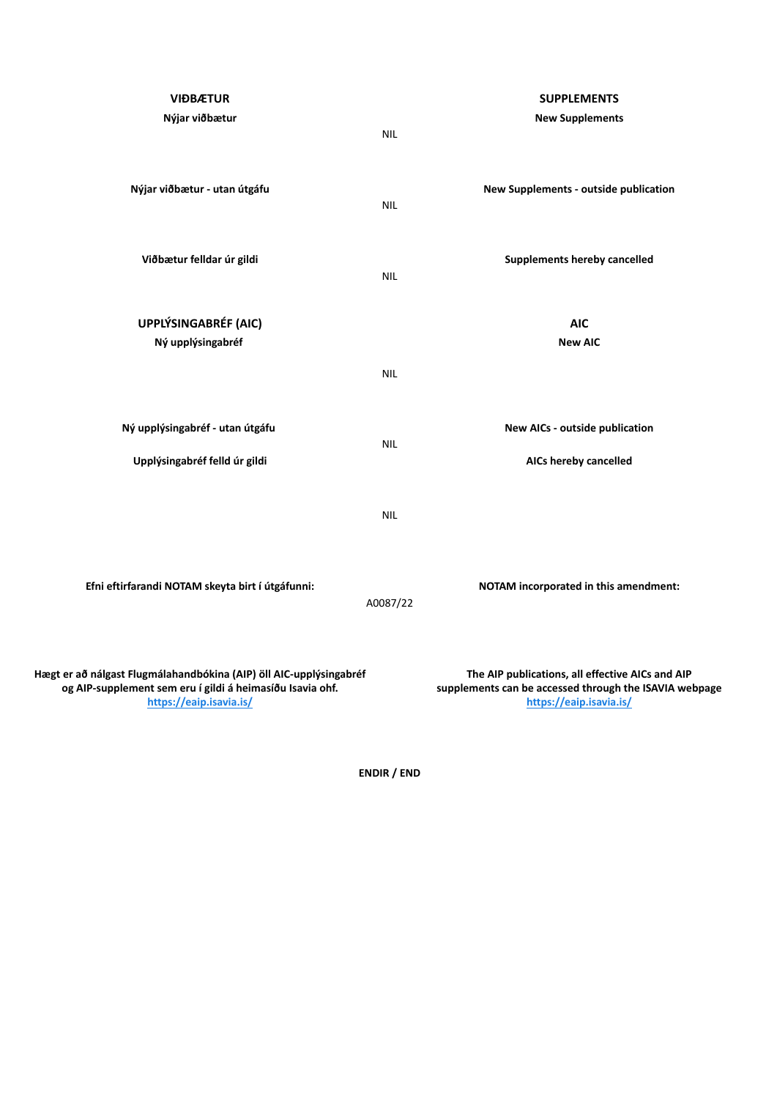| <b>VIDBÆTUR</b><br>Nýjar viðbætur                                                                                                                          | <b>NIL</b> | <b>SUPPLEMENTS</b><br><b>New Supplements</b>                                                                                          |
|------------------------------------------------------------------------------------------------------------------------------------------------------------|------------|---------------------------------------------------------------------------------------------------------------------------------------|
| Nýjar viðbætur - utan útgáfu                                                                                                                               | <b>NIL</b> | New Supplements - outside publication                                                                                                 |
| Viðbætur felldar úr gildi                                                                                                                                  | <b>NIL</b> | <b>Supplements hereby cancelled</b>                                                                                                   |
| <b>UPPLÝSINGABRÉF (AIC)</b><br>Ný upplýsingabréf                                                                                                           | <b>NIL</b> | <b>AIC</b><br><b>New AIC</b>                                                                                                          |
| Ný upplýsingabréf - utan útgáfu<br>Upplýsingabréf felld úr gildi                                                                                           | <b>NIL</b> | New AICs - outside publication<br>AICs hereby cancelled                                                                               |
|                                                                                                                                                            | <b>NIL</b> |                                                                                                                                       |
| Efni eftirfarandi NOTAM skeyta birt í útgáfunni:                                                                                                           | A0087/22   | NOTAM incorporated in this amendment:                                                                                                 |
| Hægt er að nálgast Flugmálahandbókina (AIP) öll AIC-upplýsingabréf<br>og AIP-supplement sem eru í gildi á heimasíðu Isavia ohf.<br>https://eaip.isavia.is/ |            | The AIP publications, all effective AICs and AIP<br>supplements can be accessed through the ISAVIA webpage<br>https://eaip.isavia.is/ |

**ENDIR / END**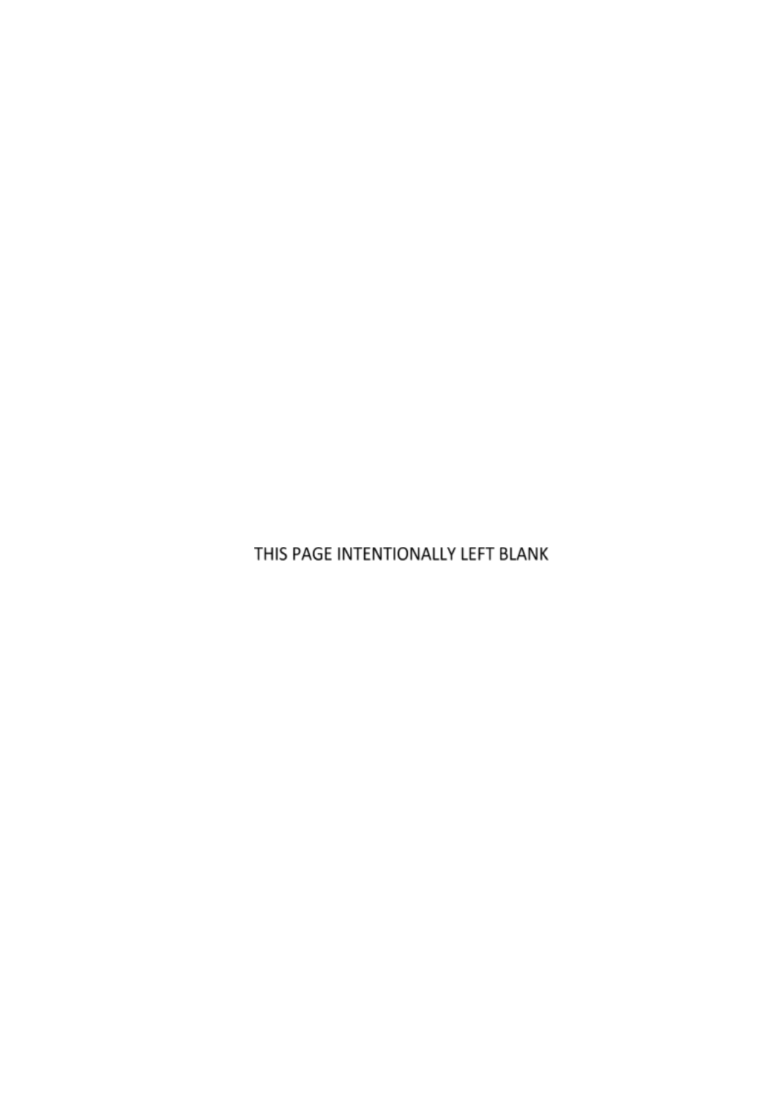THIS PAGE INTENTIONALLY LEFT BLANK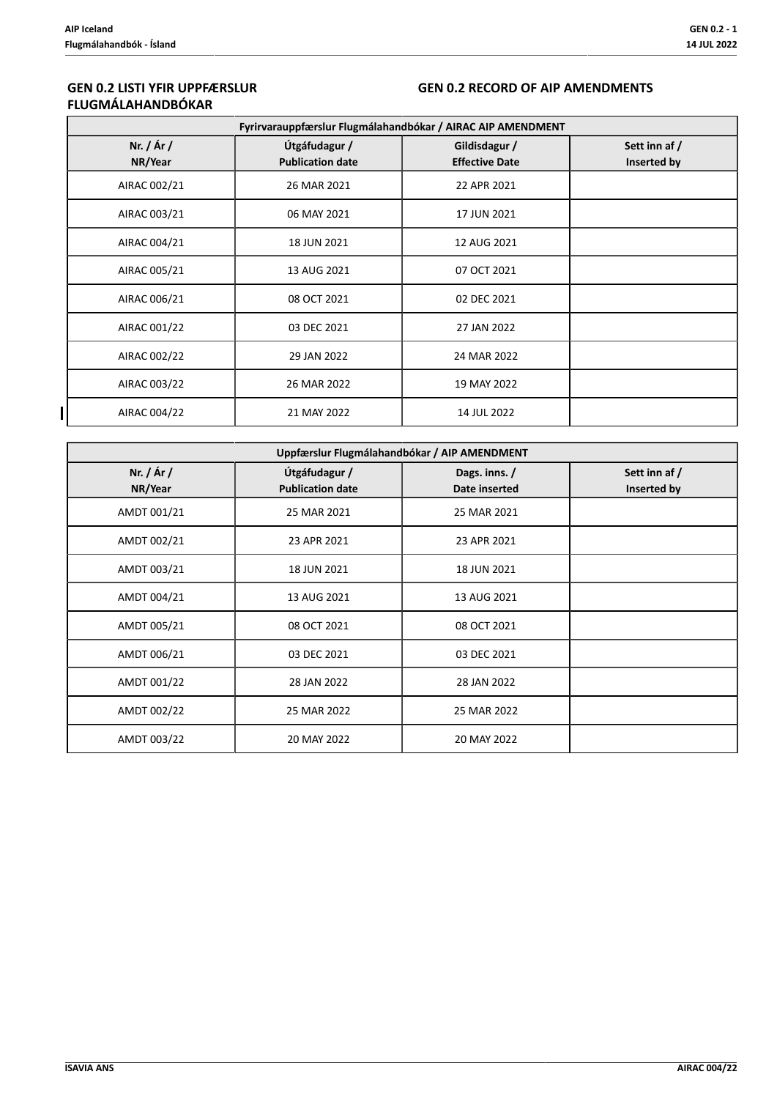#### **GEN 0.2 LISTI YFIR UPPFÆRSLUR FLUGMÁLAHANDBÓKAR**

#### **GEN 0.2 RECORD OF AIP AMENDMENTS**

| Fyrirvarauppfærslur Flugmálahandbókar / AIRAC AIP AMENDMENT |                                          |                                        |                              |  |  |  |
|-------------------------------------------------------------|------------------------------------------|----------------------------------------|------------------------------|--|--|--|
| Nr. / Ár /<br>NR/Year                                       | Útgáfudagur /<br><b>Publication date</b> | Gildisdagur /<br><b>Effective Date</b> | Sett inn af /<br>Inserted by |  |  |  |
| AIRAC 002/21                                                | 26 MAR 2021                              | 22 APR 2021                            |                              |  |  |  |
| AIRAC 003/21                                                | 06 MAY 2021                              | 17 JUN 2021                            |                              |  |  |  |
| AIRAC 004/21                                                | 18 JUN 2021                              | 12 AUG 2021                            |                              |  |  |  |
| AIRAC 005/21                                                | 13 AUG 2021                              | 07 OCT 2021                            |                              |  |  |  |
| AIRAC 006/21                                                | 08 OCT 2021                              | 02 DEC 2021                            |                              |  |  |  |
| AIRAC 001/22                                                | 03 DEC 2021                              | 27 JAN 2022                            |                              |  |  |  |
| AIRAC 002/22                                                | 29 JAN 2022                              | 24 MAR 2022                            |                              |  |  |  |
| AIRAC 003/22                                                | 26 MAR 2022                              | 19 MAY 2022                            |                              |  |  |  |
| AIRAC 004/22                                                | 21 MAY 2022                              | 14 JUL 2022                            |                              |  |  |  |

| Uppfærslur Flugmálahandbókar / AIP AMENDMENT |                                          |                                |                              |  |  |  |
|----------------------------------------------|------------------------------------------|--------------------------------|------------------------------|--|--|--|
| Nr. / Ár /<br>NR/Year                        | Útgáfudagur /<br><b>Publication date</b> | Dags. inns. /<br>Date inserted | Sett inn af /<br>Inserted by |  |  |  |
| AMDT 001/21                                  | 25 MAR 2021                              | 25 MAR 2021                    |                              |  |  |  |
| AMDT 002/21                                  | 23 APR 2021                              | 23 APR 2021                    |                              |  |  |  |
| AMDT 003/21                                  | 18 JUN 2021                              | 18 JUN 2021                    |                              |  |  |  |
| AMDT 004/21                                  | 13 AUG 2021                              | 13 AUG 2021                    |                              |  |  |  |
| AMDT 005/21                                  | 08 OCT 2021                              | 08 OCT 2021                    |                              |  |  |  |
| AMDT 006/21                                  | 03 DEC 2021                              | 03 DEC 2021                    |                              |  |  |  |
| AMDT 001/22                                  | 28 JAN 2022                              | 28 JAN 2022                    |                              |  |  |  |
| AMDT 002/22                                  | 25 MAR 2022                              | 25 MAR 2022                    |                              |  |  |  |
| AMDT 003/22                                  | 20 MAY 2022                              | 20 MAY 2022                    |                              |  |  |  |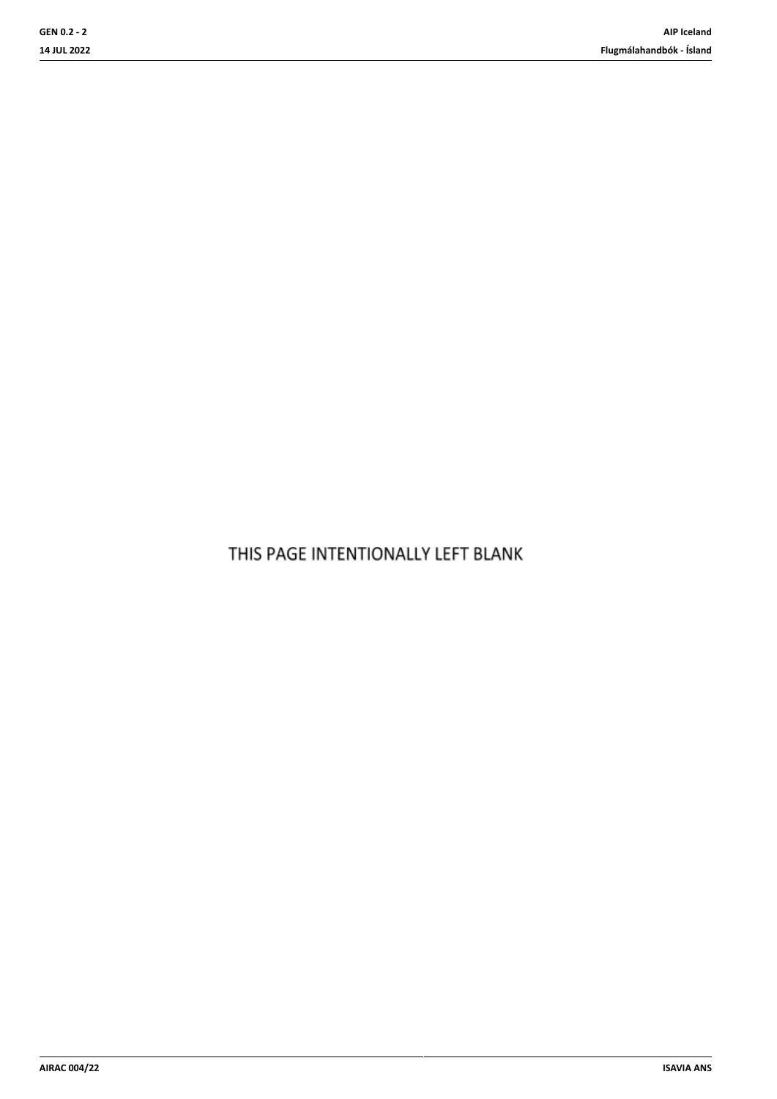# THIS PAGE INTENTIONALLY LEFT BLANK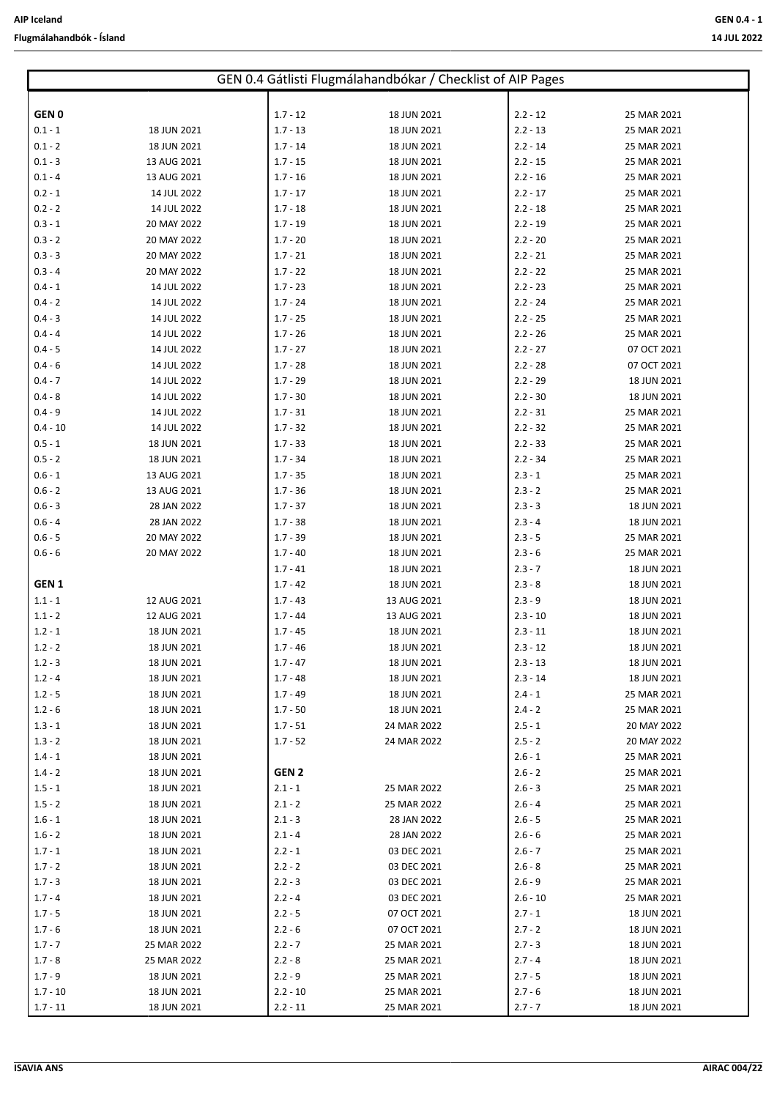|                  |             |                          | GEN 0.4 Gátlisti Flugmálahandbókar / Checklist of AIP Pages |                        |                            |
|------------------|-------------|--------------------------|-------------------------------------------------------------|------------------------|----------------------------|
|                  |             |                          |                                                             |                        |                            |
| GEN <sub>0</sub> |             | $1.7 - 12$               | 18 JUN 2021                                                 | $2.2 - 12$             | 25 MAR 2021                |
| $0.1 - 1$        | 18 JUN 2021 | $1.7 - 13$               | 18 JUN 2021                                                 | $2.2 - 13$             | 25 MAR 2021                |
| $0.1 - 2$        | 18 JUN 2021 | $1.7 - 14$               | 18 JUN 2021                                                 | $2.2 - 14$             | 25 MAR 2021                |
| $0.1 - 3$        | 13 AUG 2021 | $1.7 - 15$               | 18 JUN 2021                                                 | $2.2 - 15$             | 25 MAR 2021                |
| $0.1 - 4$        | 13 AUG 2021 | $1.7 - 16$               | 18 JUN 2021                                                 | $2.2 - 16$             | 25 MAR 2021                |
| $0.2 - 1$        | 14 JUL 2022 | $1.7 - 17$               | 18 JUN 2021                                                 | $2.2 - 17$             | 25 MAR 2021                |
| $0.2 - 2$        | 14 JUL 2022 | $1.7 - 18$               | 18 JUN 2021                                                 | $2.2 - 18$             | 25 MAR 2021                |
| $0.3 - 1$        | 20 MAY 2022 | $1.7 - 19$               | 18 JUN 2021                                                 | $2.2 - 19$             | 25 MAR 2021                |
| $0.3 - 2$        | 20 MAY 2022 | $1.7 - 20$               | 18 JUN 2021                                                 | $2.2 - 20$             | 25 MAR 2021                |
| $0.3 - 3$        | 20 MAY 2022 | $1.7 - 21$               | 18 JUN 2021                                                 | $2.2 - 21$             | 25 MAR 2021                |
| $0.3 - 4$        | 20 MAY 2022 | $1.7 - 22$               | 18 JUN 2021                                                 | $2.2 - 22$             | 25 MAR 2021                |
| $0.4 - 1$        | 14 JUL 2022 | $1.7 - 23$               | 18 JUN 2021                                                 | $2.2 - 23$             | 25 MAR 2021                |
| $0.4 - 2$        | 14 JUL 2022 | $1.7 - 24$               | 18 JUN 2021                                                 | $2.2 - 24$             | 25 MAR 2021                |
| $0.4 - 3$        | 14 JUL 2022 | $1.7 - 25$               | 18 JUN 2021                                                 | $2.2 - 25$             | 25 MAR 2021                |
| $0.4 - 4$        | 14 JUL 2022 | $1.7 - 26$               | 18 JUN 2021                                                 | $2.2 - 26$             | 25 MAR 2021                |
| $0.4 - 5$        | 14 JUL 2022 | $1.7 - 27$               | 18 JUN 2021                                                 | $2.2 - 27$             | 07 OCT 2021                |
| $0.4 - 6$        | 14 JUL 2022 | $1.7 - 28$               | 18 JUN 2021                                                 | $2.2 - 28$             | 07 OCT 2021                |
| $0.4 - 7$        | 14 JUL 2022 | $1.7 - 29$               | 18 JUN 2021                                                 | $2.2 - 29$             | 18 JUN 2021                |
| $0.4 - 8$        | 14 JUL 2022 | $1.7 - 30$               | 18 JUN 2021                                                 | $2.2 - 30$             | 18 JUN 2021                |
| $0.4 - 9$        | 14 JUL 2022 | $1.7 - 31$               | 18 JUN 2021                                                 | $2.2 - 31$             | 25 MAR 2021                |
| $0.4 - 10$       | 14 JUL 2022 | $1.7 - 32$               | 18 JUN 2021                                                 | $2.2 - 32$             | 25 MAR 2021                |
| $0.5 - 1$        | 18 JUN 2021 | $1.7 - 33$               | 18 JUN 2021                                                 | $2.2 - 33$             | 25 MAR 2021                |
| $0.5 - 2$        | 18 JUN 2021 | $1.7 - 34$               | 18 JUN 2021                                                 | $2.2 - 34$             | 25 MAR 2021                |
| $0.6 - 1$        | 13 AUG 2021 | $1.7 - 35$               | 18 JUN 2021                                                 | $2.3 - 1$              | 25 MAR 2021                |
| $0.6 - 2$        | 13 AUG 2021 | $1.7 - 36$               | 18 JUN 2021                                                 | $2.3 - 2$              | 25 MAR 2021                |
| $0.6 - 3$        | 28 JAN 2022 | $1.7 - 37$               | 18 JUN 2021                                                 | $2.3 - 3$              | 18 JUN 2021                |
| $0.6 - 4$        | 28 JAN 2022 | $1.7 - 38$               | 18 JUN 2021                                                 | $2.3 - 4$              | 18 JUN 2021                |
| $0.6 - 5$        | 20 MAY 2022 | $1.7 - 39$               | 18 JUN 2021                                                 | $2.3 - 5$              | 25 MAR 2021                |
| $0.6 - 6$        | 20 MAY 2022 | $1.7 - 40$               | 18 JUN 2021                                                 | $2.3 - 6$              | 25 MAR 2021                |
| GEN <sub>1</sub> |             | $1.7 - 41$<br>$1.7 - 42$ | 18 JUN 2021<br>18 JUN 2021                                  | $2.3 - 7$<br>$2.3 - 8$ | 18 JUN 2021<br>18 JUN 2021 |
| $1.1 - 1$        | 12 AUG 2021 | $1.7 - 43$               | 13 AUG 2021                                                 | $2.3 - 9$              | 18 JUN 2021                |
| $1.1 - 2$        | 12 AUG 2021 | $1.7 - 44$               | 13 AUG 2021                                                 | $2.3 - 10$             | 18 JUN 2021                |
| $1.2 - 1$        | 18 JUN 2021 | $1.7 - 45$               | 18 JUN 2021                                                 | $2.3 - 11$             | 18 JUN 2021                |
| $1.2 - 2$        | 18 JUN 2021 | $1.7 - 46$               | 18 JUN 2021                                                 | $2.3 - 12$             | 18 JUN 2021                |
| $1.2 - 3$        | 18 JUN 2021 | $1.7 - 47$               | 18 JUN 2021                                                 | $2.3 - 13$             | 18 JUN 2021                |
| $1.2 - 4$        | 18 JUN 2021 | $1.7 - 48$               | 18 JUN 2021                                                 | $2.3 - 14$             | 18 JUN 2021                |
| $1.2 - 5$        | 18 JUN 2021 | $1.7 - 49$               | 18 JUN 2021                                                 | $2.4 - 1$              | 25 MAR 2021                |
| $1.2 - 6$        | 18 JUN 2021 | $1.7 - 50$               | 18 JUN 2021                                                 | $2.4 - 2$              | 25 MAR 2021                |
| $1.3 - 1$        | 18 JUN 2021 | $1.7 - 51$               | 24 MAR 2022                                                 | $2.5 - 1$              | 20 MAY 2022                |
| $1.3 - 2$        | 18 JUN 2021 | $1.7 - 52$               | 24 MAR 2022                                                 | $2.5 - 2$              | 20 MAY 2022                |
| $1.4 - 1$        | 18 JUN 2021 |                          |                                                             | $2.6 - 1$              | 25 MAR 2021                |
| $1.4 - 2$        | 18 JUN 2021 | GEN <sub>2</sub>         |                                                             | $2.6 - 2$              | 25 MAR 2021                |
| $1.5 - 1$        | 18 JUN 2021 | $2.1 - 1$                | 25 MAR 2022                                                 | $2.6 - 3$              | 25 MAR 2021                |
| $1.5 - 2$        | 18 JUN 2021 | $2.1 - 2$                | 25 MAR 2022                                                 | $2.6 - 4$              | 25 MAR 2021                |
| $1.6 - 1$        | 18 JUN 2021 | $2.1 - 3$                | 28 JAN 2022                                                 | $2.6 - 5$              | 25 MAR 2021                |
| $1.6 - 2$        | 18 JUN 2021 | $2.1 - 4$                | 28 JAN 2022                                                 | $2.6 - 6$              | 25 MAR 2021                |
| $1.7 - 1$        | 18 JUN 2021 | $2.2 - 1$                | 03 DEC 2021                                                 | $2.6 - 7$              | 25 MAR 2021                |
| $1.7 - 2$        | 18 JUN 2021 | $2.2 - 2$                | 03 DEC 2021                                                 | $2.6 - 8$              | 25 MAR 2021                |
| $1.7 - 3$        | 18 JUN 2021 | $2.2 - 3$                | 03 DEC 2021                                                 | $2.6 - 9$              | 25 MAR 2021                |
| $1.7 - 4$        | 18 JUN 2021 | $2.2 - 4$                | 03 DEC 2021                                                 | $2.6 - 10$             | 25 MAR 2021                |
| $1.7 - 5$        | 18 JUN 2021 | $2.2 - 5$                | 07 OCT 2021                                                 | $2.7 - 1$              | 18 JUN 2021                |
| $1.7 - 6$        | 18 JUN 2021 | $2.2 - 6$                | 07 OCT 2021                                                 | $2.7 - 2$              | 18 JUN 2021                |
| $1.7 - 7$        | 25 MAR 2022 | $2.2 - 7$                | 25 MAR 2021                                                 | $2.7 - 3$              | 18 JUN 2021                |
| $1.7 - 8$        | 25 MAR 2022 | $2.2 - 8$                | 25 MAR 2021                                                 | $2.7 - 4$              | 18 JUN 2021                |
| $1.7 - 9$        | 18 JUN 2021 | $2.2 - 9$                | 25 MAR 2021                                                 | $2.7 - 5$              | 18 JUN 2021                |
| $1.7 - 10$       | 18 JUN 2021 | $2.2 - 10$               | 25 MAR 2021                                                 | $2.7 - 6$              | 18 JUN 2021                |
| $1.7 - 11$       | 18 JUN 2021 | $2.2 - 11$               | 25 MAR 2021                                                 | $2.7 - 7$              | 18 JUN 2021                |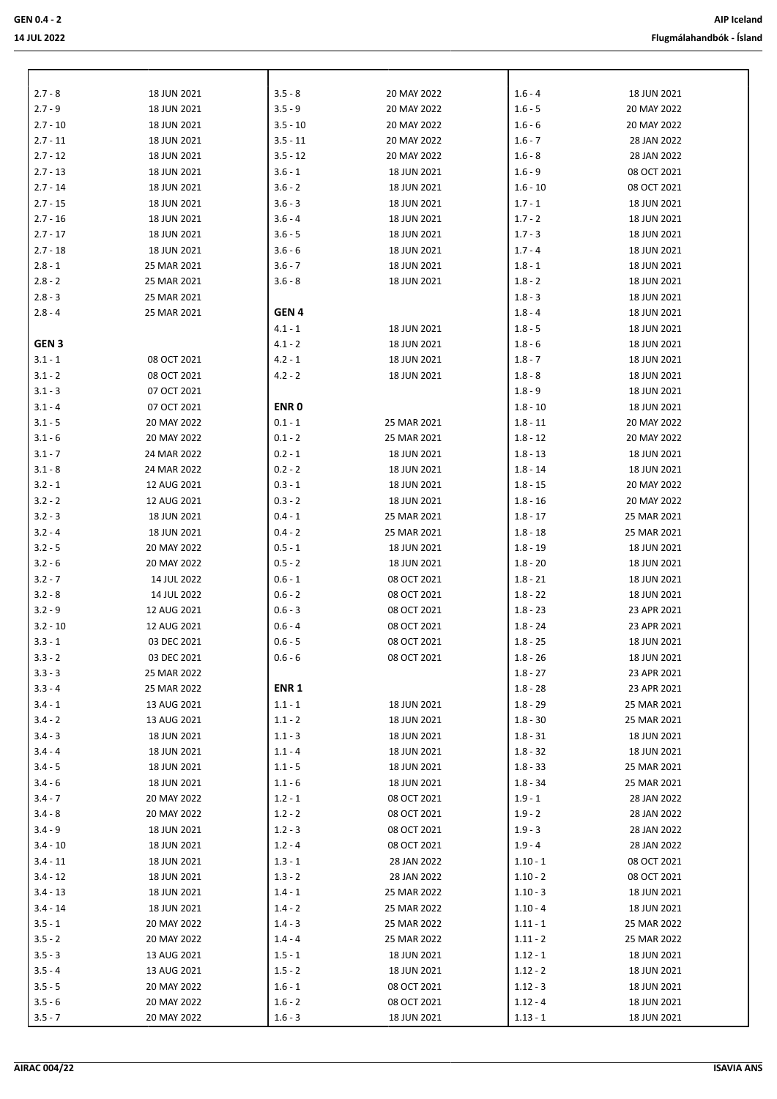| $2.7 - 8$                | 18 JUN 2021                | $3.5 - 8$              | 20 MAY 2022                | $1.6 - 4$              | 18 JUN 2021                |
|--------------------------|----------------------------|------------------------|----------------------------|------------------------|----------------------------|
| $2.7 - 9$                | 18 JUN 2021                | $3.5 - 9$              | 20 MAY 2022                | $1.6 - 5$              | 20 MAY 2022                |
| $2.7 - 10$               | 18 JUN 2021                | $3.5 - 10$             | 20 MAY 2022                | $1.6 - 6$              | 20 MAY 2022                |
| $2.7 - 11$               | 18 JUN 2021                | $3.5 - 11$             | 20 MAY 2022                | $1.6 - 7$              | 28 JAN 2022                |
| $2.7 - 12$               | 18 JUN 2021                | $3.5 - 12$             | 20 MAY 2022                | $1.6 - 8$              | 28 JAN 2022                |
| $2.7 - 13$               | 18 JUN 2021                | $3.6 - 1$              | 18 JUN 2021                | $1.6 - 9$              | 08 OCT 2021                |
| $2.7 - 14$               | 18 JUN 2021                | $3.6 - 2$              | 18 JUN 2021                | $1.6 - 10$             | 08 OCT 2021<br>18 JUN 2021 |
| $2.7 - 15$<br>$2.7 - 16$ | 18 JUN 2021<br>18 JUN 2021 | $3.6 - 3$<br>$3.6 - 4$ | 18 JUN 2021<br>18 JUN 2021 | $1.7 - 1$<br>$1.7 - 2$ | 18 JUN 2021                |
| $2.7 - 17$               | 18 JUN 2021                | $3.6 - 5$              | 18 JUN 2021                | $1.7 - 3$              | 18 JUN 2021                |
| $2.7 - 18$               | 18 JUN 2021                | $3.6 - 6$              | 18 JUN 2021                | $1.7 - 4$              | 18 JUN 2021                |
| $2.8 - 1$                | 25 MAR 2021                | $3.6 - 7$              | 18 JUN 2021                | $1.8 - 1$              | 18 JUN 2021                |
| $2.8 - 2$                | 25 MAR 2021                | $3.6 - 8$              | 18 JUN 2021                | $1.8 - 2$              | 18 JUN 2021                |
| $2.8 - 3$                | 25 MAR 2021                |                        |                            | $1.8 - 3$              | 18 JUN 2021                |
| $2.8 - 4$                | 25 MAR 2021                | GEN 4                  |                            | $1.8 - 4$              | 18 JUN 2021                |
|                          |                            | $4.1 - 1$              | 18 JUN 2021                | $1.8 - 5$              | 18 JUN 2021                |
| GEN <sub>3</sub>         |                            | $4.1 - 2$              | 18 JUN 2021                | $1.8 - 6$              | 18 JUN 2021                |
| $3.1 - 1$                | 08 OCT 2021                | $4.2 - 1$              | 18 JUN 2021                | $1.8 - 7$              | 18 JUN 2021                |
| $3.1 - 2$                | 08 OCT 2021                | $4.2 - 2$              | 18 JUN 2021                | $1.8 - 8$              | 18 JUN 2021                |
| $3.1 - 3$                | 07 OCT 2021                |                        |                            | $1.8 - 9$              | 18 JUN 2021                |
| $3.1 - 4$                | 07 OCT 2021                | <b>ENRO</b>            |                            | $1.8 - 10$             | 18 JUN 2021                |
| $3.1 - 5$                | 20 MAY 2022                | $0.1 - 1$              | 25 MAR 2021                | $1.8 - 11$             | 20 MAY 2022                |
| $3.1 - 6$                | 20 MAY 2022                | $0.1 - 2$              | 25 MAR 2021                | $1.8 - 12$             | 20 MAY 2022                |
| $3.1 - 7$                | 24 MAR 2022                | $0.2 - 1$              | 18 JUN 2021                | $1.8 - 13$             | 18 JUN 2021                |
| $3.1 - 8$                | 24 MAR 2022                | $0.2 - 2$              | 18 JUN 2021                | $1.8 - 14$             | 18 JUN 2021                |
| $3.2 - 1$                | 12 AUG 2021                | $0.3 - 1$              | 18 JUN 2021                | $1.8 - 15$             | 20 MAY 2022                |
| $3.2 - 2$                | 12 AUG 2021                | $0.3 - 2$              | 18 JUN 2021                | $1.8 - 16$             | 20 MAY 2022                |
| $3.2 - 3$                | 18 JUN 2021                | $0.4 - 1$              | 25 MAR 2021                | $1.8 - 17$             | 25 MAR 2021                |
| $3.2 - 4$                | 18 JUN 2021                | $0.4 - 2$              | 25 MAR 2021                | $1.8 - 18$             | 25 MAR 2021                |
| $3.2 - 5$                | 20 MAY 2022                | $0.5 - 1$              | 18 JUN 2021                | $1.8 - 19$             | 18 JUN 2021                |
| $3.2 - 6$                | 20 MAY 2022                | $0.5 - 2$              | 18 JUN 2021                | $1.8 - 20$             | 18 JUN 2021                |
| $3.2 - 7$                | 14 JUL 2022                | $0.6 - 1$              | 08 OCT 2021                | $1.8 - 21$             | 18 JUN 2021                |
| $3.2 - 8$                | 14 JUL 2022                | $0.6 - 2$              | 08 OCT 2021                | $1.8 - 22$             | 18 JUN 2021                |
| $3.2 - 9$                | 12 AUG 2021                | $0.6 - 3$              | 08 OCT 2021                | $1.8 - 23$             | 23 APR 2021                |
| $3.2 - 10$               | 12 AUG 2021                | $0.6 - 4$              | 08 OCT 2021                | $1.8 - 24$             | 23 APR 2021                |
| $3.3 - 1$                | 03 DEC 2021                | $0.6 - 5$              | 08 OCT 2021                | $1.8 - 25$             | 18 JUN 2021                |
| $3.3 - 2$                | 03 DEC 2021                | $0.6 - 6$              | 08 OCT 2021                | $1.8 - 26$             | 18 JUN 2021                |
| $3.3 - 3$                | 25 MAR 2022                |                        |                            | $1.8 - 27$             | 23 APR 2021                |
| $3.3 - 4$                | 25 MAR 2022                | ENR 1                  |                            | $1.8 - 28$             | 23 APR 2021                |
| $3.4 - 1$                | 13 AUG 2021                | $1.1 - 1$              | 18 JUN 2021                | $1.8 - 29$             | 25 MAR 2021                |
| $3.4 - 2$                | 13 AUG 2021                | $1.1 - 2$              | 18 JUN 2021                | $1.8 - 30$             | 25 MAR 2021                |
| $3.4 - 3$                | 18 JUN 2021                | $1.1 - 3$              | 18 JUN 2021                | $1.8 - 31$             | 18 JUN 2021                |
| $3.4 - 4$                | 18 JUN 2021                | $1.1 - 4$              | 18 JUN 2021                | $1.8 - 32$             | 18 JUN 2021                |
| $3.4 - 5$                | 18 JUN 2021                | $1.1 - 5$              | 18 JUN 2021                | $1.8 - 33$             | 25 MAR 2021                |
| $3.4 - 6$                | 18 JUN 2021                | $1.1 - 6$              | 18 JUN 2021                | $1.8 - 34$             | 25 MAR 2021                |
| $3.4 - 7$                | 20 MAY 2022                | $1.2 - 1$              | 08 OCT 2021                | $1.9 - 1$              | 28 JAN 2022                |
| $3.4 - 8$                | 20 MAY 2022                | $1.2 - 2$              | 08 OCT 2021                | $1.9 - 2$              | 28 JAN 2022                |
| $3.4 - 9$                | 18 JUN 2021                | $1.2 - 3$              | 08 OCT 2021                | $1.9 - 3$              | 28 JAN 2022                |
| $3.4 - 10$               | 18 JUN 2021                | $1.2 - 4$              | 08 OCT 2021                | $1.9 - 4$              | 28 JAN 2022                |
| 3.4 - 11                 | 18 JUN 2021                | $1.3 - 1$              | 28 JAN 2022                | $1.10 - 1$             | 08 OCT 2021                |
| $3.4 - 12$               | 18 JUN 2021                | $1.3 - 2$              | 28 JAN 2022                | $1.10 - 2$             | 08 OCT 2021                |
| $3.4 - 13$               | 18 JUN 2021                | $1.4 - 1$              | 25 MAR 2022                | $1.10 - 3$             | 18 JUN 2021                |
| $3.4 - 14$               | 18 JUN 2021                | $1.4 - 2$              | 25 MAR 2022                | $1.10 - 4$             | 18 JUN 2021                |
| $3.5 - 1$                | 20 MAY 2022                | $1.4 - 3$              | 25 MAR 2022                | $1.11 - 1$             | 25 MAR 2022                |
| $3.5 - 2$                | 20 MAY 2022                | $1.4 - 4$              | 25 MAR 2022                | $1.11 - 2$             | 25 MAR 2022                |
| $3.5 - 3$                | 13 AUG 2021                | $1.5 - 1$              | 18 JUN 2021                | $1.12 - 1$             | 18 JUN 2021                |
| $3.5 - 4$                | 13 AUG 2021                | $1.5 - 2$              | 18 JUN 2021                | $1.12 - 2$             | 18 JUN 2021                |
| $3.5 - 5$                | 20 MAY 2022                | $1.6 - 1$              | 08 OCT 2021                | $1.12 - 3$             | 18 JUN 2021                |
| $3.5 - 6$                | 20 MAY 2022                | $1.6 - 2$              | 08 OCT 2021                | $1.12 - 4$             | 18 JUN 2021                |
| $3.5 - 7$                | 20 MAY 2022                | $1.6 - 3$              | 18 JUN 2021                | $1.13 - 1$             | 18 JUN 2021                |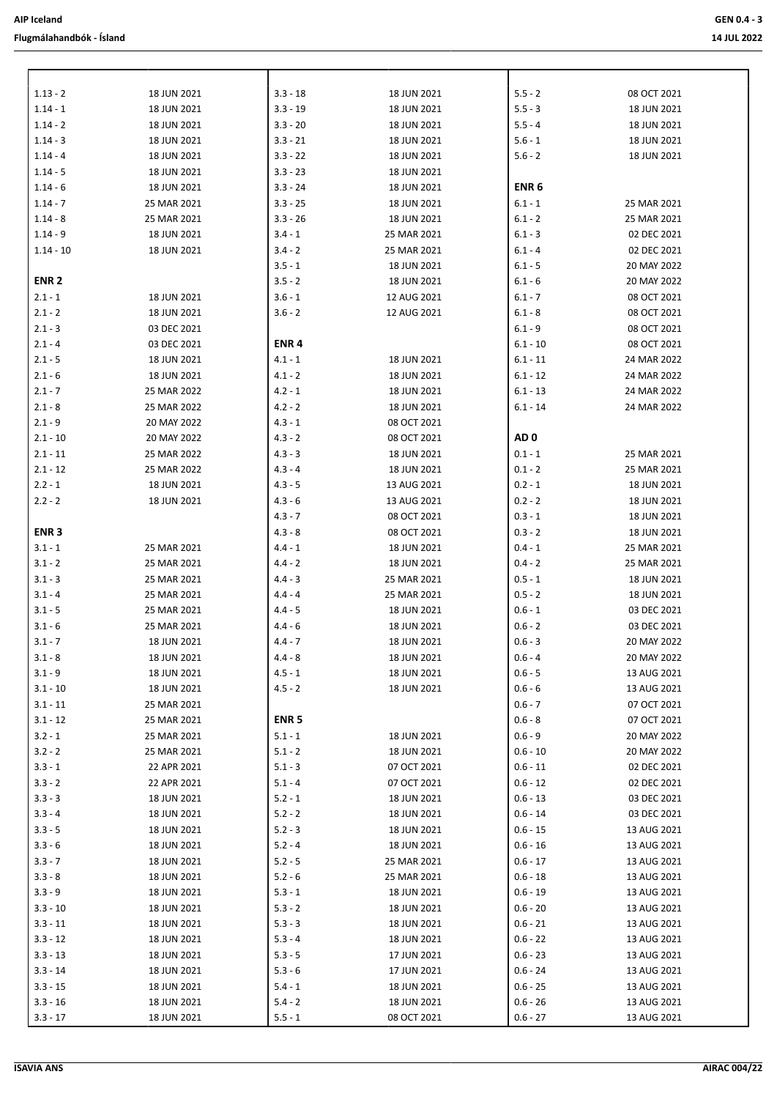| $1.13 - 2$       | 18 JUN 2021 | $3.3 - 18$       | 18 JUN 2021 | $5.5 - 2$        | 08 OCT 2021 |
|------------------|-------------|------------------|-------------|------------------|-------------|
| $1.14 - 1$       | 18 JUN 2021 | $3.3 - 19$       | 18 JUN 2021 | $5.5 - 3$        | 18 JUN 2021 |
| $1.14 - 2$       | 18 JUN 2021 | $3.3 - 20$       | 18 JUN 2021 | $5.5 - 4$        | 18 JUN 2021 |
| $1.14 - 3$       | 18 JUN 2021 | $3.3 - 21$       | 18 JUN 2021 | $5.6 - 1$        | 18 JUN 2021 |
| $1.14 - 4$       | 18 JUN 2021 | $3.3 - 22$       | 18 JUN 2021 | $5.6 - 2$        | 18 JUN 2021 |
| $1.14 - 5$       | 18 JUN 2021 | $3.3 - 23$       | 18 JUN 2021 |                  |             |
| $1.14 - 6$       | 18 JUN 2021 | $3.3 - 24$       | 18 JUN 2021 | ENR <sub>6</sub> |             |
| $1.14 - 7$       | 25 MAR 2021 | $3.3 - 25$       | 18 JUN 2021 | $6.1 - 1$        | 25 MAR 2021 |
| $1.14 - 8$       | 25 MAR 2021 | $3.3 - 26$       | 18 JUN 2021 | $6.1 - 2$        | 25 MAR 2021 |
| $1.14 - 9$       | 18 JUN 2021 | $3.4 - 1$        | 25 MAR 2021 | $6.1 - 3$        | 02 DEC 2021 |
| $1.14 - 10$      | 18 JUN 2021 | $3.4 - 2$        | 25 MAR 2021 | $6.1 - 4$        | 02 DEC 2021 |
|                  |             | $3.5 - 1$        | 18 JUN 2021 | $6.1 - 5$        | 20 MAY 2022 |
| ENR <sub>2</sub> |             | $3.5 - 2$        | 18 JUN 2021 | $6.1 - 6$        | 20 MAY 2022 |
| $2.1 - 1$        | 18 JUN 2021 | $3.6 - 1$        | 12 AUG 2021 | $6.1 - 7$        | 08 OCT 2021 |
| $2.1 - 2$        | 18 JUN 2021 | $3.6 - 2$        | 12 AUG 2021 | $6.1 - 8$        | 08 OCT 2021 |
| $2.1 - 3$        | 03 DEC 2021 |                  |             | $6.1 - 9$        | 08 OCT 2021 |
| $2.1 - 4$        | 03 DEC 2021 | ENR <sub>4</sub> |             | $6.1 - 10$       | 08 OCT 2021 |
| $2.1 - 5$        | 18 JUN 2021 | $4.1 - 1$        | 18 JUN 2021 | $6.1 - 11$       | 24 MAR 2022 |
| $2.1 - 6$        | 18 JUN 2021 | $4.1 - 2$        | 18 JUN 2021 | $6.1 - 12$       | 24 MAR 2022 |
| $2.1 - 7$        | 25 MAR 2022 | $4.2 - 1$        | 18 JUN 2021 | $6.1 - 13$       | 24 MAR 2022 |
| $2.1 - 8$        | 25 MAR 2022 | $4.2 - 2$        | 18 JUN 2021 | $6.1 - 14$       | 24 MAR 2022 |
| $2.1 - 9$        | 20 MAY 2022 | $4.3 - 1$        | 08 OCT 2021 |                  |             |
| $2.1 - 10$       | 20 MAY 2022 | $4.3 - 2$        | 08 OCT 2021 | AD 0             |             |
| $2.1 - 11$       | 25 MAR 2022 | $4.3 - 3$        | 18 JUN 2021 | $0.1 - 1$        | 25 MAR 2021 |
| $2.1 - 12$       | 25 MAR 2022 | $4.3 - 4$        | 18 JUN 2021 | $0.1 - 2$        | 25 MAR 2021 |
| $2.2 - 1$        | 18 JUN 2021 | $4.3 - 5$        | 13 AUG 2021 | $0.2 - 1$        | 18 JUN 2021 |
| $2.2 - 2$        | 18 JUN 2021 | $4.3 - 6$        | 13 AUG 2021 | $0.2 - 2$        | 18 JUN 2021 |
|                  |             | $4.3 - 7$        | 08 OCT 2021 | $0.3 - 1$        | 18 JUN 2021 |
| ENR <sub>3</sub> |             | $4.3 - 8$        | 08 OCT 2021 | $0.3 - 2$        | 18 JUN 2021 |
| $3.1 - 1$        | 25 MAR 2021 | $4.4 - 1$        | 18 JUN 2021 | $0.4 - 1$        | 25 MAR 2021 |
| $3.1 - 2$        | 25 MAR 2021 | $4.4 - 2$        | 18 JUN 2021 | $0.4 - 2$        | 25 MAR 2021 |
| $3.1 - 3$        | 25 MAR 2021 | $4.4 - 3$        | 25 MAR 2021 | $0.5 - 1$        | 18 JUN 2021 |
| $3.1 - 4$        | 25 MAR 2021 | $4.4 - 4$        | 25 MAR 2021 | $0.5 - 2$        | 18 JUN 2021 |
| $3.1 - 5$        | 25 MAR 2021 | $4.4 - 5$        | 18 JUN 2021 | $0.6 - 1$        | 03 DEC 2021 |
| $3.1 - 6$        | 25 MAR 2021 | $4.4 - 6$        | 18 JUN 2021 | $0.6 - 2$        | 03 DEC 2021 |
| $3.1 - 7$        | 18 JUN 2021 | $4.4 - 7$        | 18 JUN 2021 | $0.6 - 3$        | 20 MAY 2022 |
| $3.1 - 8$        | 18 JUN 2021 | $4.4 - 8$        | 18 JUN 2021 | $0.6 - 4$        | 20 MAY 2022 |
| $3.1 - 9$        | 18 JUN 2021 | $4.5 - 1$        | 18 JUN 2021 | $0.6 - 5$        | 13 AUG 2021 |
| $3.1 - 10$       | 18 JUN 2021 | $4.5 - 2$        | 18 JUN 2021 | $0.6 - 6$        | 13 AUG 2021 |
| $3.1 - 11$       | 25 MAR 2021 |                  |             | $0.6 - 7$        | 07 OCT 2021 |
| $3.1 - 12$       | 25 MAR 2021 | ENR <sub>5</sub> |             | $0.6 - 8$        | 07 OCT 2021 |
| $3.2 - 1$        | 25 MAR 2021 | $5.1 - 1$        | 18 JUN 2021 | $0.6 - 9$        | 20 MAY 2022 |
| $3.2 - 2$        | 25 MAR 2021 | $5.1 - 2$        | 18 JUN 2021 | $0.6 - 10$       | 20 MAY 2022 |
| $3.3 - 1$        | 22 APR 2021 | $5.1 - 3$        | 07 OCT 2021 | $0.6 - 11$       | 02 DEC 2021 |
| $3.3 - 2$        | 22 APR 2021 | $5.1 - 4$        | 07 OCT 2021 | $0.6 - 12$       | 02 DEC 2021 |
| $3.3 - 3$        | 18 JUN 2021 | $5.2 - 1$        | 18 JUN 2021 | $0.6 - 13$       | 03 DEC 2021 |
| $3.3 - 4$        | 18 JUN 2021 | $5.2 - 2$        | 18 JUN 2021 | $0.6 - 14$       | 03 DEC 2021 |
| $3.3 - 5$        | 18 JUN 2021 | $5.2 - 3$        | 18 JUN 2021 | $0.6 - 15$       | 13 AUG 2021 |
| $3.3 - 6$        | 18 JUN 2021 | $5.2 - 4$        | 18 JUN 2021 | $0.6 - 16$       | 13 AUG 2021 |
| $3.3 - 7$        | 18 JUN 2021 | $5.2 - 5$        | 25 MAR 2021 | $0.6 - 17$       | 13 AUG 2021 |
| $3.3 - 8$        | 18 JUN 2021 | $5.2 - 6$        | 25 MAR 2021 | $0.6 - 18$       | 13 AUG 2021 |
| $3.3 - 9$        | 18 JUN 2021 | $5.3 - 1$        | 18 JUN 2021 | $0.6 - 19$       | 13 AUG 2021 |
| $3.3 - 10$       | 18 JUN 2021 | $5.3 - 2$        | 18 JUN 2021 | $0.6 - 20$       | 13 AUG 2021 |
| $3.3 - 11$       | 18 JUN 2021 | $5.3 - 3$        | 18 JUN 2021 | $0.6 - 21$       | 13 AUG 2021 |
| $3.3 - 12$       | 18 JUN 2021 | $5.3 - 4$        | 18 JUN 2021 | $0.6 - 22$       | 13 AUG 2021 |
| $3.3 - 13$       | 18 JUN 2021 | $5.3 - 5$        | 17 JUN 2021 | $0.6 - 23$       | 13 AUG 2021 |
| $3.3 - 14$       | 18 JUN 2021 | $5.3 - 6$        | 17 JUN 2021 | $0.6 - 24$       | 13 AUG 2021 |
| $3.3 - 15$       | 18 JUN 2021 | $5.4 - 1$        | 18 JUN 2021 | $0.6 - 25$       | 13 AUG 2021 |
| $3.3 - 16$       | 18 JUN 2021 | $5.4 - 2$        | 18 JUN 2021 | $0.6 - 26$       | 13 AUG 2021 |
| $3.3 - 17$       | 18 JUN 2021 | $5.5 - 1$        | 08 OCT 2021 | $0.6 - 27$       | 13 AUG 2021 |
|                  |             |                  |             |                  |             |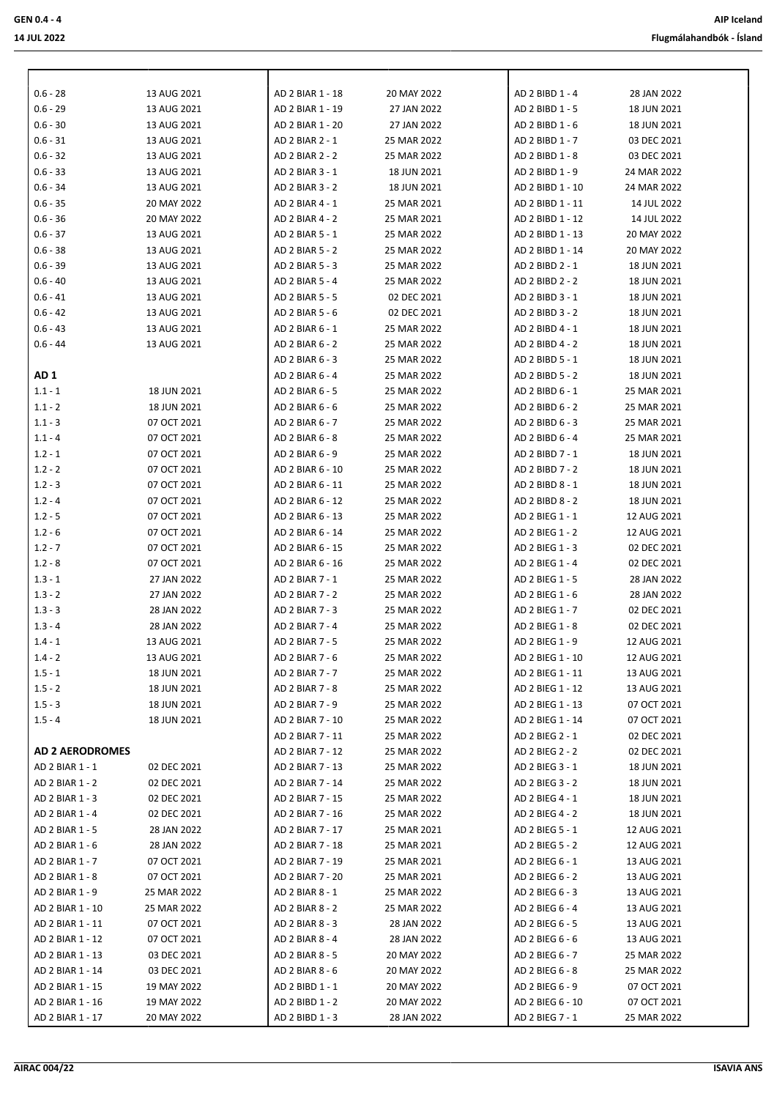| $0.6 - 28$             | 13 AUG 2021 | AD 2 BIAR 1 - 18                   | 20 MAY 2022 | AD 2 BIBD 1 - 4  | 28 JAN 2022 |
|------------------------|-------------|------------------------------------|-------------|------------------|-------------|
| $0.6 - 29$             | 13 AUG 2021 | AD 2 BIAR 1 - 19                   | 27 JAN 2022 | AD 2 BIBD 1 - 5  | 18 JUN 2021 |
| $0.6 - 30$             | 13 AUG 2021 | AD 2 BIAR 1 - 20                   | 27 JAN 2022 | AD 2 BIBD 1 - 6  | 18 JUN 2021 |
| $0.6 - 31$             | 13 AUG 2021 | AD 2 BIAR 2 - 1                    | 25 MAR 2022 | AD 2 BIBD 1 - 7  | 03 DEC 2021 |
| $0.6 - 32$             | 13 AUG 2021 | AD 2 BIAR 2 - 2                    | 25 MAR 2022 | AD 2 BIBD 1 - 8  | 03 DEC 2021 |
| $0.6 - 33$             | 13 AUG 2021 | AD 2 BIAR 3 - 1                    | 18 JUN 2021 | AD 2 BIBD 1 - 9  | 24 MAR 2022 |
| $0.6 - 34$             | 13 AUG 2021 | AD 2 BIAR 3 - 2                    | 18 JUN 2021 | AD 2 BIBD 1 - 10 | 24 MAR 2022 |
| $0.6 - 35$             | 20 MAY 2022 | AD 2 BIAR 4 - 1                    | 25 MAR 2021 | AD 2 BIBD 1 - 11 | 14 JUL 2022 |
| $0.6 - 36$             | 20 MAY 2022 | AD 2 BIAR 4 - 2                    | 25 MAR 2021 | AD 2 BIBD 1 - 12 | 14 JUL 2022 |
| $0.6 - 37$             | 13 AUG 2021 | AD 2 BIAR 5 - 1                    | 25 MAR 2022 | AD 2 BIBD 1 - 13 | 20 MAY 2022 |
| $0.6 - 38$             | 13 AUG 2021 | AD 2 BIAR 5 - 2                    | 25 MAR 2022 | AD 2 BIBD 1 - 14 | 20 MAY 2022 |
| $0.6 - 39$             | 13 AUG 2021 | AD 2 BIAR 5 - 3                    | 25 MAR 2022 | AD 2 BIBD 2 - 1  | 18 JUN 2021 |
| $0.6 - 40$             | 13 AUG 2021 |                                    | 25 MAR 2022 | AD 2 BIBD 2 - 2  | 18 JUN 2021 |
| $0.6 - 41$             | 13 AUG 2021 | AD 2 BIAR 5 - 4<br>AD 2 BIAR 5 - 5 | 02 DEC 2021 | AD 2 BIBD 3 - 1  |             |
|                        |             |                                    |             |                  | 18 JUN 2021 |
| $0.6 - 42$             | 13 AUG 2021 | AD 2 BIAR 5 - 6                    | 02 DEC 2021 | AD 2 BIBD 3 - 2  | 18 JUN 2021 |
| $0.6 - 43$             | 13 AUG 2021 | AD 2 BIAR 6 - 1                    | 25 MAR 2022 | AD 2 BIBD 4 - 1  | 18 JUN 2021 |
| $0.6 - 44$             | 13 AUG 2021 | AD 2 BIAR 6 - 2                    | 25 MAR 2022 | AD 2 BIBD 4 - 2  | 18 JUN 2021 |
|                        |             | AD 2 BIAR 6 - 3                    | 25 MAR 2022 | AD 2 BIBD 5 - 1  | 18 JUN 2021 |
| AD <sub>1</sub>        |             | AD 2 BIAR 6 - 4                    | 25 MAR 2022 | AD 2 BIBD 5 - 2  | 18 JUN 2021 |
| $1.1 - 1$              | 18 JUN 2021 | AD 2 BIAR 6 - 5                    | 25 MAR 2022 | AD 2 BIBD 6 - 1  | 25 MAR 2021 |
| $1.1 - 2$              | 18 JUN 2021 | AD 2 BIAR 6 - 6                    | 25 MAR 2022 | AD 2 BIBD 6 - 2  | 25 MAR 2021 |
| $1.1 - 3$              | 07 OCT 2021 | AD 2 BIAR 6 - 7                    | 25 MAR 2022 | AD 2 BIBD 6 - 3  | 25 MAR 2021 |
| $1.1 - 4$              | 07 OCT 2021 | AD 2 BIAR 6 - 8                    | 25 MAR 2022 | AD 2 BIBD 6 - 4  | 25 MAR 2021 |
| $1.2 - 1$              | 07 OCT 2021 | AD 2 BIAR 6 - 9                    | 25 MAR 2022 | AD 2 BIBD 7 - 1  | 18 JUN 2021 |
| $1.2 - 2$              | 07 OCT 2021 | AD 2 BIAR 6 - 10                   | 25 MAR 2022 | AD 2 BIBD 7 - 2  | 18 JUN 2021 |
| $1.2 - 3$              | 07 OCT 2021 | AD 2 BIAR 6 - 11                   | 25 MAR 2022 | AD 2 BIBD 8 - 1  | 18 JUN 2021 |
| $1.2 - 4$              | 07 OCT 2021 | AD 2 BIAR 6 - 12                   | 25 MAR 2022 | AD 2 BIBD 8 - 2  | 18 JUN 2021 |
| $1.2 - 5$              | 07 OCT 2021 | AD 2 BIAR 6 - 13                   | 25 MAR 2022 | AD 2 BIEG 1 - 1  | 12 AUG 2021 |
| $1.2 - 6$              | 07 OCT 2021 | AD 2 BIAR 6 - 14                   | 25 MAR 2022 | AD 2 BIEG 1 - 2  | 12 AUG 2021 |
| $1.2 - 7$              | 07 OCT 2021 | AD 2 BIAR 6 - 15                   | 25 MAR 2022 | AD 2 BIEG 1 - 3  | 02 DEC 2021 |
| $1.2 - 8$              | 07 OCT 2021 | AD 2 BIAR 6 - 16                   | 25 MAR 2022 | AD 2 BIEG 1 - 4  | 02 DEC 2021 |
| $1.3 - 1$              | 27 JAN 2022 | AD 2 BIAR 7 - 1                    | 25 MAR 2022 | AD 2 BIEG 1 - 5  | 28 JAN 2022 |
| $1.3 - 2$              | 27 JAN 2022 | AD 2 BIAR 7 - 2                    | 25 MAR 2022 | AD 2 BIEG 1 - 6  | 28 JAN 2022 |
| $1.3 - 3$              | 28 JAN 2022 | AD 2 BIAR 7 - 3                    | 25 MAR 2022 | AD 2 BIEG 1 - 7  | 02 DEC 2021 |
| $1.3 - 4$              | 28 JAN 2022 | AD 2 BIAR 7 - 4                    | 25 MAR 2022 | AD 2 BIEG 1 - 8  | 02 DEC 2021 |
| $1.4 - 1$              | 13 AUG 2021 | AD 2 BIAR 7 - 5                    | 25 MAR 2022 | AD 2 BIEG 1 - 9  | 12 AUG 2021 |
| $1.4 - 2$              | 13 AUG 2021 | AD 2 BIAR 7 - 6                    | 25 MAR 2022 | AD 2 BIEG 1 - 10 | 12 AUG 2021 |
| $1.5 - 1$              | 18 JUN 2021 | AD 2 BIAR 7 - 7                    | 25 MAR 2022 | AD 2 BIEG 1 - 11 | 13 AUG 2021 |
| $1.5 - 2$              | 18 JUN 2021 | AD 2 BIAR 7 - 8                    | 25 MAR 2022 | AD 2 BIEG 1 - 12 | 13 AUG 2021 |
| $1.5 - 3$              | 18 JUN 2021 | AD 2 BIAR 7 - 9                    | 25 MAR 2022 | AD 2 BIEG 1 - 13 | 07 OCT 2021 |
| $1.5 - 4$              | 18 JUN 2021 | AD 2 BIAR 7 - 10                   | 25 MAR 2022 | AD 2 BIEG 1 - 14 | 07 OCT 2021 |
|                        |             | AD 2 BIAR 7 - 11                   | 25 MAR 2022 | AD 2 BIEG 2 - 1  | 02 DEC 2021 |
| <b>AD 2 AERODROMES</b> |             | AD 2 BIAR 7 - 12                   | 25 MAR 2022 | AD 2 BIEG 2 - 2  | 02 DEC 2021 |
| AD 2 BIAR 1 - 1        | 02 DEC 2021 | AD 2 BIAR 7 - 13                   | 25 MAR 2022 | AD 2 BIEG 3 - 1  | 18 JUN 2021 |
| AD 2 BIAR 1 - 2        | 02 DEC 2021 | AD 2 BIAR 7 - 14                   | 25 MAR 2022 | AD 2 BIEG 3 - 2  | 18 JUN 2021 |
| AD 2 BIAR 1 - 3        | 02 DEC 2021 | AD 2 BIAR 7 - 15                   | 25 MAR 2022 | AD 2 BIEG 4 - 1  | 18 JUN 2021 |
| AD 2 BIAR 1 - 4        | 02 DEC 2021 | AD 2 BIAR 7 - 16                   | 25 MAR 2022 | AD 2 BIEG 4 - 2  | 18 JUN 2021 |
| AD 2 BIAR 1 - 5        | 28 JAN 2022 | AD 2 BIAR 7 - 17                   | 25 MAR 2021 | AD 2 BIEG 5 - 1  | 12 AUG 2021 |
| AD 2 BIAR 1 - 6        | 28 JAN 2022 | AD 2 BIAR 7 - 18                   | 25 MAR 2021 | AD 2 BIEG 5 - 2  | 12 AUG 2021 |
| AD 2 BIAR 1 - 7        | 07 OCT 2021 | AD 2 BIAR 7 - 19                   | 25 MAR 2021 | AD 2 BIEG 6 - 1  | 13 AUG 2021 |
| AD 2 BIAR 1 - 8        | 07 OCT 2021 | AD 2 BIAR 7 - 20                   | 25 MAR 2021 | AD 2 BIEG 6 - 2  | 13 AUG 2021 |
| AD 2 BIAR 1 - 9        | 25 MAR 2022 | AD 2 BIAR 8 - 1                    | 25 MAR 2022 | AD 2 BIEG 6 - 3  | 13 AUG 2021 |
| AD 2 BIAR 1 - 10       | 25 MAR 2022 | AD 2 BIAR 8 - 2                    | 25 MAR 2022 | AD 2 BIEG 6 - 4  | 13 AUG 2021 |
| AD 2 BIAR 1 - 11       | 07 OCT 2021 | AD 2 BIAR 8 - 3                    | 28 JAN 2022 | AD 2 BIEG 6 - 5  | 13 AUG 2021 |
| AD 2 BIAR 1 - 12       | 07 OCT 2021 | AD 2 BIAR 8 - 4                    | 28 JAN 2022 | AD 2 BIEG 6 - 6  | 13 AUG 2021 |
| AD 2 BIAR 1 - 13       | 03 DEC 2021 | AD 2 BIAR 8 - 5                    | 20 MAY 2022 | AD 2 BIEG 6 - 7  | 25 MAR 2022 |
| AD 2 BIAR 1 - 14       | 03 DEC 2021 | AD 2 BIAR 8 - 6                    | 20 MAY 2022 | AD 2 BIEG 6 - 8  | 25 MAR 2022 |
| AD 2 BIAR 1 - 15       | 19 MAY 2022 | AD 2 BIBD 1 - 1                    | 20 MAY 2022 | AD 2 BIEG 6 - 9  | 07 OCT 2021 |
| AD 2 BIAR 1 - 16       | 19 MAY 2022 | AD 2 BIBD 1 - 2                    | 20 MAY 2022 | AD 2 BIEG 6 - 10 | 07 OCT 2021 |
| AD 2 BIAR 1 - 17       | 20 MAY 2022 | AD 2 BIBD 1 - 3                    | 28 JAN 2022 | AD 2 BIEG 7 - 1  | 25 MAR 2022 |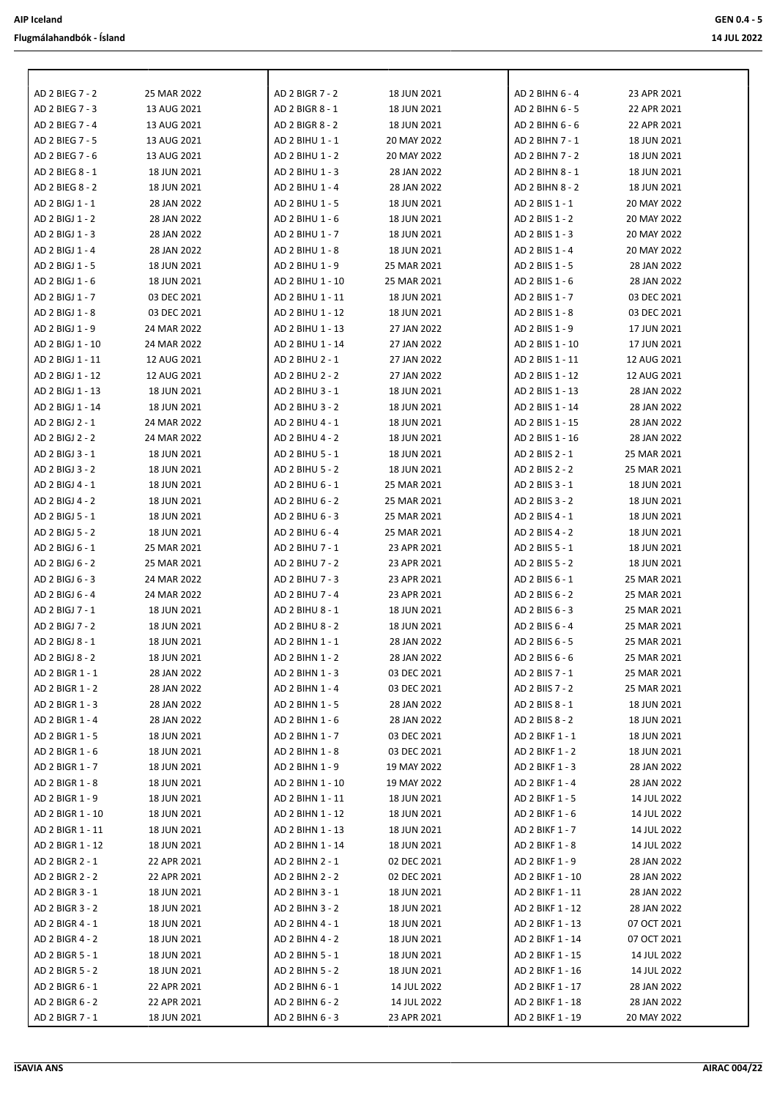| AD 2 BIEG 7 - 2  | 25 MAR 2022 | AD 2 BIGR 7 - 2  | 18 JUN 2021 | AD 2 BIHN 6 - 4  | 23 APR 2021 |
|------------------|-------------|------------------|-------------|------------------|-------------|
| AD 2 BIEG 7 - 3  | 13 AUG 2021 | AD 2 BIGR 8 - 1  | 18 JUN 2021 | AD 2 BIHN 6 - 5  | 22 APR 2021 |
| AD 2 BIEG 7 - 4  | 13 AUG 2021 | AD 2 BIGR 8 - 2  | 18 JUN 2021 | AD 2 BIHN 6 - 6  | 22 APR 2021 |
| AD 2 BIEG 7 - 5  | 13 AUG 2021 | AD 2 BIHU 1 - 1  | 20 MAY 2022 | AD 2 BIHN 7 - 1  | 18 JUN 2021 |
| AD 2 BIEG 7 - 6  | 13 AUG 2021 | AD 2 BIHU 1 - 2  | 20 MAY 2022 | AD 2 BIHN 7 - 2  | 18 JUN 2021 |
| AD 2 BIEG 8 - 1  | 18 JUN 2021 | AD 2 BIHU 1 - 3  | 28 JAN 2022 | AD 2 BIHN 8 - 1  | 18 JUN 2021 |
| AD 2 BIEG 8 - 2  | 18 JUN 2021 | AD 2 BIHU 1 - 4  | 28 JAN 2022 | AD 2 BIHN 8 - 2  | 18 JUN 2021 |
| AD 2 BIGJ 1 - 1  | 28 JAN 2022 | AD 2 BIHU 1 - 5  | 18 JUN 2021 | AD 2 BIIS 1 - 1  | 20 MAY 2022 |
| AD 2 BIGJ 1 - 2  | 28 JAN 2022 | AD 2 BIHU 1 - 6  | 18 JUN 2021 | AD 2 BIIS 1 - 2  | 20 MAY 2022 |
| AD 2 BIGJ 1 - 3  | 28 JAN 2022 | AD 2 BIHU 1 - 7  | 18 JUN 2021 | AD 2 BIIS 1 - 3  | 20 MAY 2022 |
| AD 2 BIGJ 1 - 4  | 28 JAN 2022 | AD 2 BIHU 1 - 8  | 18 JUN 2021 | AD 2 BIIS 1 - 4  | 20 MAY 2022 |
| AD 2 BIGJ 1 - 5  | 18 JUN 2021 | AD 2 BIHU 1 - 9  | 25 MAR 2021 | AD 2 BIIS 1 - 5  | 28 JAN 2022 |
| AD 2 BIGJ 1 - 6  | 18 JUN 2021 | AD 2 BIHU 1 - 10 | 25 MAR 2021 | AD 2 BIIS 1 - 6  | 28 JAN 2022 |
| AD 2 BIGJ 1 - 7  | 03 DEC 2021 | AD 2 BIHU 1 - 11 | 18 JUN 2021 | AD 2 BIIS 1 - 7  | 03 DEC 2021 |
| AD 2 BIGJ 1 - 8  | 03 DEC 2021 | AD 2 BIHU 1 - 12 | 18 JUN 2021 | AD 2 BIIS 1 - 8  | 03 DEC 2021 |
| AD 2 BIGJ 1 - 9  | 24 MAR 2022 | AD 2 BIHU 1 - 13 | 27 JAN 2022 | AD 2 BIIS 1 - 9  | 17 JUN 2021 |
| AD 2 BIGJ 1 - 10 | 24 MAR 2022 | AD 2 BIHU 1 - 14 | 27 JAN 2022 | AD 2 BIIS 1 - 10 | 17 JUN 2021 |
| AD 2 BIGJ 1 - 11 | 12 AUG 2021 | AD 2 BIHU 2 - 1  | 27 JAN 2022 | AD 2 BIIS 1 - 11 | 12 AUG 2021 |
| AD 2 BIGJ 1 - 12 | 12 AUG 2021 | AD 2 BIHU 2 - 2  | 27 JAN 2022 | AD 2 BIIS 1 - 12 | 12 AUG 2021 |
| AD 2 BIGJ 1 - 13 | 18 JUN 2021 | AD 2 BIHU 3 - 1  | 18 JUN 2021 | AD 2 BIIS 1 - 13 | 28 JAN 2022 |
| AD 2 BIGJ 1 - 14 | 18 JUN 2021 | AD 2 BIHU 3 - 2  | 18 JUN 2021 | AD 2 BIIS 1 - 14 | 28 JAN 2022 |
| AD 2 BIGJ 2 - 1  | 24 MAR 2022 | AD 2 BIHU 4 - 1  | 18 JUN 2021 | AD 2 BIIS 1 - 15 | 28 JAN 2022 |
| AD 2 BIGJ 2 - 2  | 24 MAR 2022 | AD 2 BIHU 4 - 2  | 18 JUN 2021 | AD 2 BIIS 1 - 16 | 28 JAN 2022 |
| AD 2 BIGJ 3 - 1  | 18 JUN 2021 | AD 2 BIHU 5 - 1  | 18 JUN 2021 | AD 2 BIIS 2 - 1  | 25 MAR 2021 |
| AD 2 BIGJ 3 - 2  | 18 JUN 2021 | AD 2 BIHU 5 - 2  | 18 JUN 2021 | AD 2 BIIS 2 - 2  | 25 MAR 2021 |
| AD 2 BIGJ 4 - 1  | 18 JUN 2021 | AD 2 BIHU 6 - 1  | 25 MAR 2021 | AD 2 BIIS 3 - 1  | 18 JUN 2021 |
| AD 2 BIGJ 4 - 2  | 18 JUN 2021 | AD 2 BIHU 6 - 2  | 25 MAR 2021 | AD 2 BIIS 3 - 2  | 18 JUN 2021 |
| AD 2 BIGJ 5 - 1  | 18 JUN 2021 | AD 2 BIHU 6 - 3  | 25 MAR 2021 | AD 2 BIIS 4 - 1  | 18 JUN 2021 |
| AD 2 BIGJ 5 - 2  | 18 JUN 2021 | AD 2 BIHU 6 - 4  | 25 MAR 2021 | AD 2 BIIS 4 - 2  | 18 JUN 2021 |
| AD 2 BIGJ 6 - 1  | 25 MAR 2021 | AD 2 BIHU 7 - 1  | 23 APR 2021 | AD 2 BIIS 5 - 1  | 18 JUN 2021 |
| AD 2 BIGJ 6 - 2  | 25 MAR 2021 | AD 2 BIHU 7 - 2  | 23 APR 2021 | AD 2 BIIS 5 - 2  | 18 JUN 2021 |
| AD 2 BIGJ 6 - 3  | 24 MAR 2022 | AD 2 BIHU 7 - 3  | 23 APR 2021 | AD 2 BIIS 6 - 1  | 25 MAR 2021 |
| AD 2 BIGJ 6 - 4  | 24 MAR 2022 | AD 2 BIHU 7 - 4  | 23 APR 2021 | AD 2 BIIS 6 - 2  | 25 MAR 2021 |
| AD 2 BIGJ 7 - 1  | 18 JUN 2021 | AD 2 BIHU 8 - 1  | 18 JUN 2021 | AD 2 BIIS 6 - 3  | 25 MAR 2021 |
| AD 2 BIGJ 7 - 2  | 18 JUN 2021 | AD 2 BIHU 8 - 2  | 18 JUN 2021 | AD 2 BIIS 6 - 4  | 25 MAR 2021 |
| AD 2 BIGJ 8 - 1  | 18 JUN 2021 | AD 2 BIHN 1 - 1  | 28 JAN 2022 | AD 2 BIIS 6 - 5  | 25 MAR 2021 |
| AD 2 BIGJ 8 - 2  | 18 JUN 2021 | AD 2 BIHN 1 - 2  | 28 JAN 2022 | AD 2 BIIS 6 - 6  | 25 MAR 2021 |
| AD 2 BIGR 1 - 1  | 28 JAN 2022 | AD 2 BIHN 1 - 3  | 03 DEC 2021 | AD 2 BIIS 7 - 1  | 25 MAR 2021 |
| AD 2 BIGR 1 - 2  | 28 JAN 2022 | AD 2 BIHN 1 - 4  | 03 DEC 2021 | AD 2 BIIS 7 - 2  | 25 MAR 2021 |
| AD 2 BIGR 1 - 3  | 28 JAN 2022 | AD 2 BIHN 1 - 5  | 28 JAN 2022 | AD 2 BIIS 8 - 1  | 18 JUN 2021 |
| AD 2 BIGR 1 - 4  | 28 JAN 2022 | AD 2 BIHN 1 - 6  | 28 JAN 2022 | AD 2 BIIS 8 - 2  | 18 JUN 2021 |
| AD 2 BIGR 1 - 5  | 18 JUN 2021 | AD 2 BIHN 1 - 7  | 03 DEC 2021 | AD 2 BIKF 1 - 1  | 18 JUN 2021 |
| AD 2 BIGR 1 - 6  | 18 JUN 2021 | AD 2 BIHN 1 - 8  | 03 DEC 2021 | AD 2 BIKF 1 - 2  | 18 JUN 2021 |
| AD 2 BIGR 1 - 7  | 18 JUN 2021 | AD 2 BIHN 1 - 9  | 19 MAY 2022 | AD 2 BIKF 1 - 3  | 28 JAN 2022 |
| AD 2 BIGR 1 - 8  | 18 JUN 2021 | AD 2 BIHN 1 - 10 | 19 MAY 2022 | AD 2 BIKF 1 - 4  | 28 JAN 2022 |
| AD 2 BIGR 1 - 9  | 18 JUN 2021 | AD 2 BIHN 1 - 11 | 18 JUN 2021 | AD 2 BIKF 1 - 5  | 14 JUL 2022 |
| AD 2 BIGR 1 - 10 | 18 JUN 2021 | AD 2 BIHN 1 - 12 | 18 JUN 2021 | AD 2 BIKF 1 - 6  | 14 JUL 2022 |
| AD 2 BIGR 1 - 11 | 18 JUN 2021 | AD 2 BIHN 1 - 13 | 18 JUN 2021 | AD 2 BIKF 1 - 7  | 14 JUL 2022 |
| AD 2 BIGR 1 - 12 | 18 JUN 2021 | AD 2 BIHN 1 - 14 | 18 JUN 2021 | AD 2 BIKF 1 - 8  | 14 JUL 2022 |
| AD 2 BIGR 2 - 1  | 22 APR 2021 | AD 2 BIHN 2 - 1  | 02 DEC 2021 | AD 2 BIKF 1 - 9  | 28 JAN 2022 |
| AD 2 BIGR 2 - 2  | 22 APR 2021 | AD 2 BIHN 2 - 2  | 02 DEC 2021 | AD 2 BIKF 1 - 10 | 28 JAN 2022 |
| AD 2 BIGR 3 - 1  | 18 JUN 2021 | AD 2 BIHN 3 - 1  | 18 JUN 2021 | AD 2 BIKF 1 - 11 | 28 JAN 2022 |
| AD 2 BIGR 3 - 2  | 18 JUN 2021 | AD 2 BIHN 3 - 2  | 18 JUN 2021 | AD 2 BIKF 1 - 12 | 28 JAN 2022 |
| AD 2 BIGR 4 - 1  | 18 JUN 2021 | AD 2 BIHN 4 - 1  | 18 JUN 2021 | AD 2 BIKF 1 - 13 | 07 OCT 2021 |
| AD 2 BIGR 4 - 2  | 18 JUN 2021 | AD 2 BIHN 4 - 2  | 18 JUN 2021 | AD 2 BIKF 1 - 14 | 07 OCT 2021 |
| AD 2 BIGR 5 - 1  | 18 JUN 2021 | AD 2 BIHN 5 - 1  | 18 JUN 2021 | AD 2 BIKF 1 - 15 | 14 JUL 2022 |
| AD 2 BIGR 5 - 2  | 18 JUN 2021 | AD 2 BIHN 5 - 2  | 18 JUN 2021 | AD 2 BIKF 1 - 16 | 14 JUL 2022 |
| AD 2 BIGR 6 - 1  | 22 APR 2021 | AD 2 BIHN 6 - 1  | 14 JUL 2022 | AD 2 BIKF 1 - 17 | 28 JAN 2022 |
| AD 2 BIGR 6 - 2  | 22 APR 2021 | AD 2 BIHN 6 - 2  | 14 JUL 2022 | AD 2 BIKF 1 - 18 | 28 JAN 2022 |
| AD 2 BIGR 7 - 1  | 18 JUN 2021 | AD 2 BIHN 6 - 3  | 23 APR 2021 | AD 2 BIKF 1 - 19 | 20 MAY 2022 |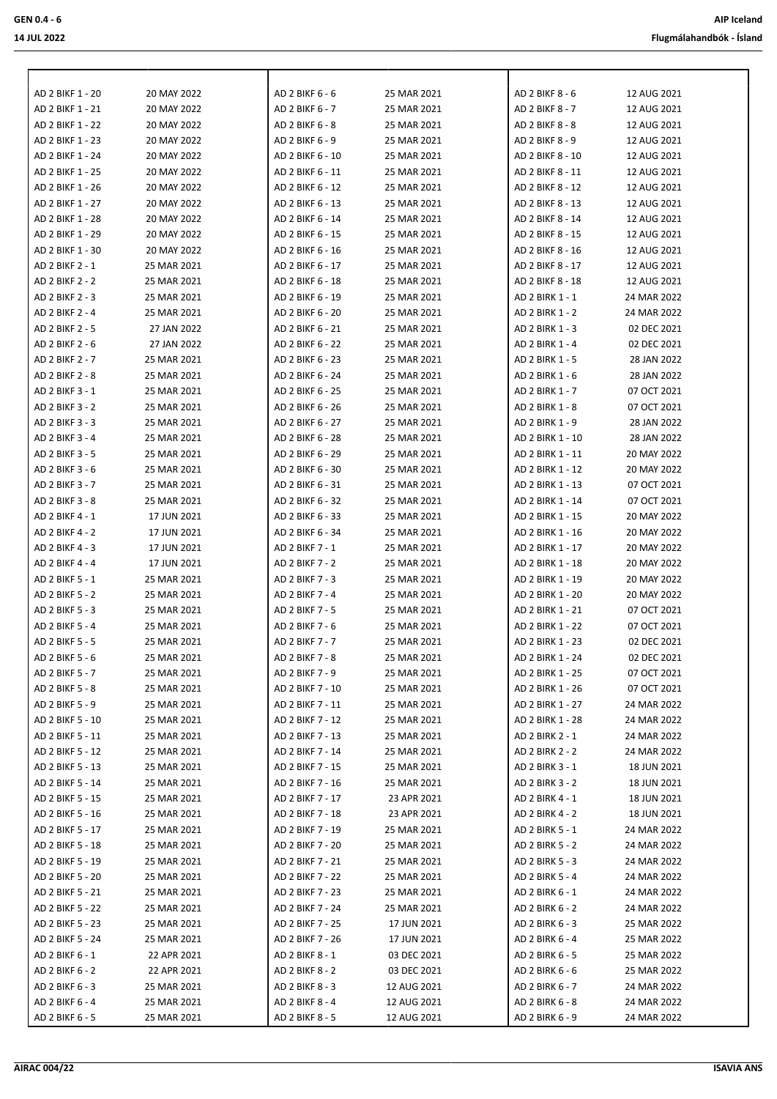| AD 2 BIKF 1 - 20                   | 20 MAY 2022                | AD 2 BIKF 6 - 6                    | 25 MAR 2021                | AD 2 BIKF 8 - 6                      | 12 AUG 2021                |
|------------------------------------|----------------------------|------------------------------------|----------------------------|--------------------------------------|----------------------------|
| AD 2 BIKF 1 - 21                   | 20 MAY 2022                | AD 2 BIKF 6 - 7                    | 25 MAR 2021                | AD 2 BIKF 8 - 7                      | 12 AUG 2021                |
| AD 2 BIKF 1 - 22                   | 20 MAY 2022                | AD 2 BIKF 6 - 8                    | 25 MAR 2021                | AD 2 BIKF 8 - 8                      | 12 AUG 2021                |
| AD 2 BIKF 1 - 23                   | 20 MAY 2022                | AD 2 BIKF 6 - 9                    | 25 MAR 2021                | AD 2 BIKF 8 - 9                      | 12 AUG 2021                |
| AD 2 BIKF 1 - 24                   | 20 MAY 2022                | AD 2 BIKF 6 - 10                   | 25 MAR 2021                | AD 2 BIKF 8 - 10                     | 12 AUG 2021                |
| AD 2 BIKF 1 - 25                   | 20 MAY 2022                | AD 2 BIKF 6 - 11                   | 25 MAR 2021                | AD 2 BIKF 8 - 11                     | 12 AUG 2021                |
| AD 2 BIKF 1 - 26                   | 20 MAY 2022                | AD 2 BIKF 6 - 12                   | 25 MAR 2021                | AD 2 BIKF 8 - 12                     | 12 AUG 2021                |
| AD 2 BIKF 1 - 27                   | 20 MAY 2022                | AD 2 BIKF 6 - 13                   | 25 MAR 2021                | AD 2 BIKF 8 - 13                     | 12 AUG 2021                |
| AD 2 BIKF 1 - 28                   | 20 MAY 2022                | AD 2 BIKF 6 - 14                   | 25 MAR 2021                | AD 2 BIKF 8 - 14                     | 12 AUG 2021                |
| AD 2 BIKF 1 - 29                   | 20 MAY 2022                | AD 2 BIKF 6 - 15                   | 25 MAR 2021                | AD 2 BIKF 8 - 15                     | 12 AUG 2021                |
| AD 2 BIKF 1 - 30                   | 20 MAY 2022                | AD 2 BIKF 6 - 16                   | 25 MAR 2021                | AD 2 BIKF 8 - 16                     | 12 AUG 2021                |
| AD 2 BIKF 2 - 1                    | 25 MAR 2021                | AD 2 BIKF 6 - 17                   | 25 MAR 2021                | AD 2 BIKF 8 - 17                     | 12 AUG 2021                |
| AD 2 BIKF 2 - 2                    | 25 MAR 2021                | AD 2 BIKF 6 - 18                   | 25 MAR 2021                | AD 2 BIKF 8 - 18                     | 12 AUG 2021                |
| AD 2 BIKF 2 - 3                    | 25 MAR 2021                | AD 2 BIKF 6 - 19                   | 25 MAR 2021                | AD 2 BIRK 1 - 1                      | 24 MAR 2022                |
| AD 2 BIKF 2 - 4                    | 25 MAR 2021                | AD 2 BIKF 6 - 20                   | 25 MAR 2021                | AD 2 BIRK 1 - 2                      | 24 MAR 2022                |
| AD 2 BIKF 2 - 5                    | 27 JAN 2022                | AD 2 BIKF 6 - 21                   | 25 MAR 2021                | AD 2 BIRK 1 - 3                      | 02 DEC 2021                |
| AD 2 BIKF 2 - 6                    | 27 JAN 2022                | AD 2 BIKF 6 - 22                   | 25 MAR 2021                | AD 2 BIRK 1 - 4                      | 02 DEC 2021                |
| AD 2 BIKF 2 - 7                    | 25 MAR 2021                | AD 2 BIKF 6 - 23                   | 25 MAR 2021                | AD 2 BIRK 1 - 5                      | 28 JAN 2022                |
| AD 2 BIKF 2 - 8                    | 25 MAR 2021                | AD 2 BIKF 6 - 24                   | 25 MAR 2021                | AD 2 BIRK 1 - 6                      | 28 JAN 2022                |
| AD 2 BIKF 3 - 1                    | 25 MAR 2021                | AD 2 BIKF 6 - 25                   | 25 MAR 2021                | AD 2 BIRK 1 - 7                      | 07 OCT 2021                |
| AD 2 BIKF 3 - 2                    | 25 MAR 2021                | AD 2 BIKF 6 - 26                   | 25 MAR 2021                | AD 2 BIRK 1 - 8                      | 07 OCT 2021                |
| AD 2 BIKF 3 - 3                    | 25 MAR 2021                | AD 2 BIKF 6 - 27                   | 25 MAR 2021                | AD 2 BIRK 1 - 9                      | 28 JAN 2022                |
| AD 2 BIKF 3 - 4                    | 25 MAR 2021                | AD 2 BIKF 6 - 28                   | 25 MAR 2021                | AD 2 BIRK 1 - 10                     | 28 JAN 2022                |
| AD 2 BIKF 3 - 5                    | 25 MAR 2021                | AD 2 BIKF 6 - 29                   | 25 MAR 2021                | AD 2 BIRK 1 - 11                     | 20 MAY 2022                |
| AD 2 BIKF 3 - 6                    | 25 MAR 2021                | AD 2 BIKF 6 - 30                   | 25 MAR 2021                | AD 2 BIRK 1 - 12                     | 20 MAY 2022                |
| AD 2 BIKF 3 - 7                    | 25 MAR 2021                | AD 2 BIKF 6 - 31                   | 25 MAR 2021                | AD 2 BIRK 1 - 13                     | 07 OCT 2021                |
| AD 2 BIKF 3 - 8                    | 25 MAR 2021                | AD 2 BIKF 6 - 32                   | 25 MAR 2021                | AD 2 BIRK 1 - 14                     | 07 OCT 2021                |
| AD 2 BIKF 4 - 1                    | 17 JUN 2021                | AD 2 BIKF 6 - 33                   | 25 MAR 2021                | AD 2 BIRK 1 - 15                     | 20 MAY 2022                |
| AD 2 BIKF 4 - 2                    | 17 JUN 2021                | AD 2 BIKF 6 - 34                   | 25 MAR 2021                | AD 2 BIRK 1 - 16                     | 20 MAY 2022                |
| AD 2 BIKF 4 - 3                    | 17 JUN 2021                | AD 2 BIKF 7 - 1                    | 25 MAR 2021                | AD 2 BIRK 1 - 17                     | 20 MAY 2022                |
| AD 2 BIKF 4 - 4                    | 17 JUN 2021                | AD 2 BIKF 7 - 2                    | 25 MAR 2021                | AD 2 BIRK 1 - 18                     | 20 MAY 2022                |
| AD 2 BIKF 5 - 1                    | 25 MAR 2021                | AD 2 BIKF 7 - 3                    | 25 MAR 2021                | AD 2 BIRK 1 - 19                     | 20 MAY 2022                |
| AD 2 BIKF 5 - 2                    | 25 MAR 2021                | AD 2 BIKF 7 - 4                    | 25 MAR 2021                | AD 2 BIRK 1 - 20                     | 20 MAY 2022                |
| AD 2 BIKF 5 - 3                    | 25 MAR 2021                | AD 2 BIKF 7 - 5                    | 25 MAR 2021                | AD 2 BIRK 1 - 21                     | 07 OCT 2021                |
| AD 2 BIKF 5 - 4                    | 25 MAR 2021                | AD 2 BIKF 7 - 6                    | 25 MAR 2021                | AD 2 BIRK 1 - 22                     | 07 OCT 2021                |
| AD 2 BIKF 5 - 5                    | 25 MAR 2021                | AD 2 BIKF 7 - 7                    | 25 MAR 2021                | AD 2 BIRK 1 - 23                     | 02 DEC 2021                |
|                                    | 25 MAR 2021                |                                    |                            |                                      |                            |
| AD 2 BIKF 5 - 6<br>AD 2 BIKF 5 - 7 | 25 MAR 2021                | AD 2 BIKF 7 - 8<br>AD 2 BIKF 7 - 9 | 25 MAR 2021<br>25 MAR 2021 | AD 2 BIRK 1 - 24<br>AD 2 BIRK 1 - 25 | 02 DEC 2021<br>07 OCT 2021 |
| AD 2 BIKF 5 - 8                    | 25 MAR 2021                | AD 2 BIKF 7 - 10                   | 25 MAR 2021                | AD 2 BIRK 1 - 26                     | 07 OCT 2021                |
| AD 2 BIKF 5 - 9                    |                            | AD 2 BIKF 7 - 11                   |                            | AD 2 BIRK 1 - 27                     | 24 MAR 2022                |
| AD 2 BIKF 5 - 10                   | 25 MAR 2021                |                                    | 25 MAR 2021                |                                      |                            |
|                                    | 25 MAR 2021                | AD 2 BIKF 7 - 12                   | 25 MAR 2021                | AD 2 BIRK 1 - 28                     | 24 MAR 2022                |
| AD 2 BIKF 5 - 11                   | 25 MAR 2021<br>25 MAR 2021 | AD 2 BIKF 7 - 13                   | 25 MAR 2021                | AD 2 BIRK 2 - 1<br>AD 2 BIRK 2 - 2   | 24 MAR 2022                |
| AD 2 BIKF 5 - 12                   | 25 MAR 2021                | AD 2 BIKF 7 - 14                   | 25 MAR 2021                |                                      | 24 MAR 2022                |
| AD 2 BIKF 5 - 13                   |                            | AD 2 BIKF 7 - 15                   | 25 MAR 2021                | AD 2 BIRK 3 - 1                      | 18 JUN 2021                |
| AD 2 BIKF 5 - 14                   | 25 MAR 2021                | AD 2 BIKF 7 - 16                   | 25 MAR 2021                | AD 2 BIRK 3 - 2                      | 18 JUN 2021                |
| AD 2 BIKF 5 - 15                   | 25 MAR 2021                | AD 2 BIKF 7 - 17                   | 23 APR 2021                | AD 2 BIRK 4 - 1                      | 18 JUN 2021                |
| AD 2 BIKF 5 - 16                   | 25 MAR 2021                | AD 2 BIKF 7 - 18                   | 23 APR 2021                | AD 2 BIRK 4 - 2                      | 18 JUN 2021                |
| AD 2 BIKF 5 - 17                   | 25 MAR 2021                | AD 2 BIKF 7 - 19                   | 25 MAR 2021                | AD 2 BIRK 5 - 1                      | 24 MAR 2022                |
| AD 2 BIKF 5 - 18                   | 25 MAR 2021                | AD 2 BIKF 7 - 20                   | 25 MAR 2021                | AD 2 BIRK 5 - 2                      | 24 MAR 2022                |
| AD 2 BIKF 5 - 19                   | 25 MAR 2021                | AD 2 BIKF 7 - 21                   | 25 MAR 2021                | AD 2 BIRK 5 - 3                      | 24 MAR 2022                |
| AD 2 BIKF 5 - 20                   | 25 MAR 2021                | AD 2 BIKF 7 - 22                   | 25 MAR 2021                | AD 2 BIRK 5 - 4                      | 24 MAR 2022                |
| AD 2 BIKF 5 - 21                   | 25 MAR 2021                | AD 2 BIKF 7 - 23                   | 25 MAR 2021                | AD 2 BIRK 6 - 1                      | 24 MAR 2022                |
| AD 2 BIKF 5 - 22                   | 25 MAR 2021                | AD 2 BIKF 7 - 24                   | 25 MAR 2021                | AD 2 BIRK 6 - 2                      | 24 MAR 2022                |
| AD 2 BIKF 5 - 23                   | 25 MAR 2021                | AD 2 BIKF 7 - 25                   | 17 JUN 2021                | AD 2 BIRK 6 - 3                      | 25 MAR 2022                |
| AD 2 BIKF 5 - 24                   | 25 MAR 2021                | AD 2 BIKF 7 - 26                   | 17 JUN 2021                | AD 2 BIRK 6 - 4                      | 25 MAR 2022                |
| AD 2 BIKF 6 - 1                    | 22 APR 2021                | AD 2 BIKF 8 - 1                    | 03 DEC 2021                | AD 2 BIRK 6 - 5                      | 25 MAR 2022                |
| AD 2 BIKF 6 - 2                    | 22 APR 2021                | AD 2 BIKF 8 - 2                    | 03 DEC 2021                | AD 2 BIRK 6 - 6                      | 25 MAR 2022                |
| AD 2 BIKF 6 - 3                    | 25 MAR 2021                | AD 2 BIKF 8 - 3                    | 12 AUG 2021                | AD 2 BIRK 6 - 7                      | 24 MAR 2022                |
| AD 2 BIKF 6 - 4                    | 25 MAR 2021                | AD 2 BIKF 8 - 4                    | 12 AUG 2021                | AD 2 BIRK 6 - 8                      | 24 MAR 2022                |
| AD 2 BIKF 6 - 5                    | 25 MAR 2021                | AD 2 BIKF 8 - 5                    | 12 AUG 2021                | AD 2 BIRK 6 - 9                      | 24 MAR 2022                |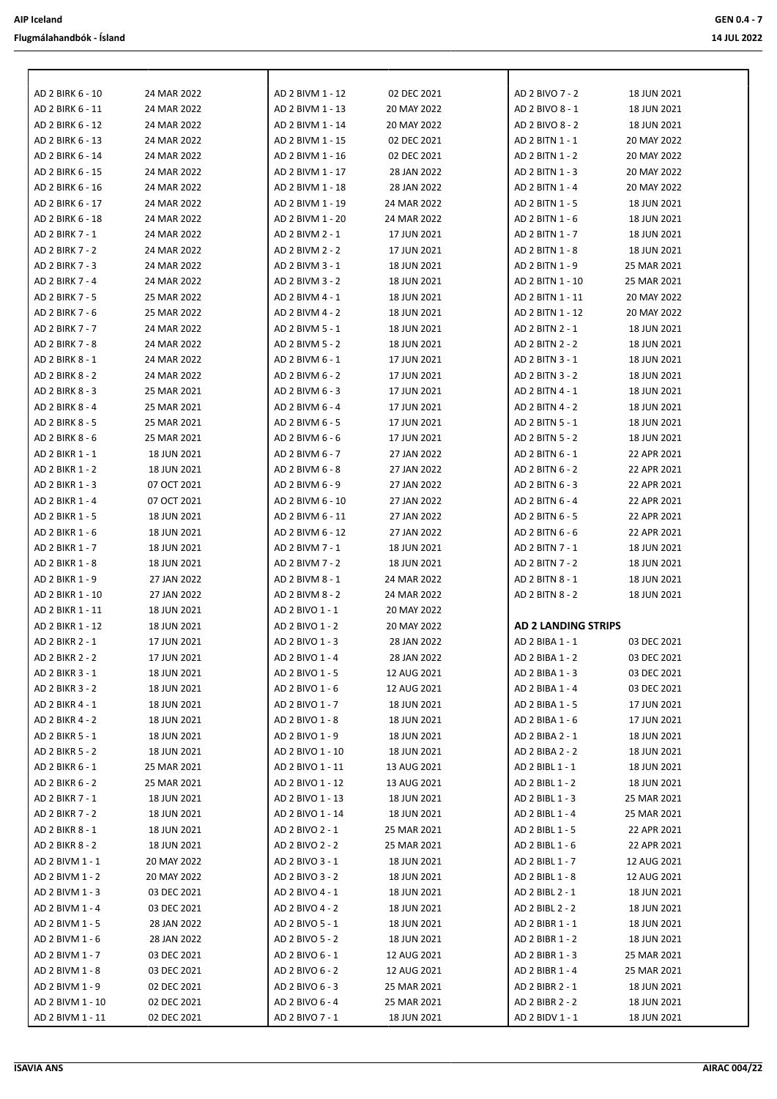| AD 2 BIRK 6 - 10<br>24 MAR 2022<br>AD 2 BIVM 1 - 12<br>02 DEC 2021<br>AD 2 BIVO 7 - 2<br>18 JUN 2021<br>AD 2 BIRK 6 - 11<br>24 MAR 2022<br>AD 2 BIVM 1 - 13<br>AD 2 BIVO 8 - 1<br>18 JUN 2021<br>20 MAY 2022<br>AD 2 BIRK 6 - 12<br>24 MAR 2022<br>AD 2 BIVM 1 - 14<br>20 MAY 2022<br>AD 2 BIVO 8 - 2<br>18 JUN 2021<br>AD 2 BIRK 6 - 13<br>24 MAR 2022<br>AD 2 BIVM 1 - 15<br>AD 2 BITN 1 - 1<br>02 DEC 2021<br>20 MAY 2022<br>AD 2 BIRK 6 - 14<br>24 MAR 2022<br>AD 2 BIVM 1 - 16<br>02 DEC 2021<br>AD 2 BITN 1 - 2<br>20 MAY 2022<br>AD 2 BIRK 6 - 15<br>24 MAR 2022<br>AD 2 BIVM 1 - 17<br>28 JAN 2022<br>AD 2 BITN 1 - 3<br>20 MAY 2022<br>AD 2 BIRK 6 - 16<br>24 MAR 2022<br>AD 2 BIVM 1 - 18<br>28 JAN 2022<br>AD 2 BITN 1 - 4<br>20 MAY 2022<br>AD 2 BIRK 6 - 17<br>24 MAR 2022<br>AD 2 BIVM 1 - 19<br>24 MAR 2022<br>AD 2 BITN 1 - 5<br>18 JUN 2021<br>AD 2 BIRK 6 - 18<br>24 MAR 2022<br>AD 2 BIVM 1 - 20<br>AD 2 BITN 1 - 6<br>24 MAR 2022<br>18 JUN 2021<br>AD 2 BIRK 7 - 1<br>24 MAR 2022<br>AD 2 BITN 1 - 7<br>AD 2 BIVM 2 - 1<br>17 JUN 2021<br>18 JUN 2021<br>AD 2 BIRK 7 - 2<br>AD 2 BIVM 2 - 2<br>AD 2 BITN 1 - 8<br>24 MAR 2022<br>17 JUN 2021<br>18 JUN 2021<br>AD 2 BIRK 7 - 3<br>AD 2 BIVM 3 - 1<br>AD 2 BITN 1 - 9<br>24 MAR 2022<br>18 JUN 2021<br>25 MAR 2021<br>AD 2 BIRK 7 - 4<br>24 MAR 2022<br>AD 2 BIVM 3 - 2<br>18 JUN 2021<br>AD 2 BITN 1 - 10<br>25 MAR 2021<br>AD 2 BIRK 7 - 5<br>AD 2 BITN 1 - 11<br>25 MAR 2022<br>AD 2 BIVM 4 - 1<br>18 JUN 2021<br>20 MAY 2022<br>AD 2 BIRK 7 - 6<br>AD 2 BIVM 4 - 2<br>AD 2 BITN 1 - 12<br>25 MAR 2022<br>18 JUN 2021<br>20 MAY 2022<br>AD 2 BIRK 7 - 7<br>AD 2 BIVM 5 - 1<br>AD 2 BITN 2 - 1<br>24 MAR 2022<br>18 JUN 2021<br>18 JUN 2021<br>AD 2 BIRK 7 - 8<br>24 MAR 2022<br>AD 2 BIVM 5 - 2<br>18 JUN 2021<br>AD 2 BITN 2 - 2<br>18 JUN 2021<br>AD 2 BIRK 8 - 1<br>24 MAR 2022<br>AD 2 BIVM 6 - 1<br>17 JUN 2021<br>AD 2 BITN 3 - 1<br>18 JUN 2021<br>AD 2 BIRK 8 - 2<br>24 MAR 2022<br>AD 2 BIVM 6 - 2<br>17 JUN 2021<br>AD 2 BITN 3 - 2<br>18 JUN 2021<br>AD 2 BIRK 8 - 3<br>25 MAR 2021<br>AD 2 BIVM 6 - 3<br>AD 2 BITN 4 - 1<br>18 JUN 2021<br>17 JUN 2021<br>AD 2 BIRK 8 - 4<br>25 MAR 2021<br>AD 2 BIVM 6 - 4<br>AD 2 BITN 4 - 2<br>18 JUN 2021<br>17 JUN 2021<br>AD 2 BIRK 8 - 5<br>25 MAR 2021<br>AD 2 BIVM 6 - 5<br>AD 2 BITN 5 - 1<br>17 JUN 2021<br>18 JUN 2021<br>AD 2 BIRK 8 - 6<br>25 MAR 2021<br>AD 2 BIVM 6 - 6<br>AD 2 BITN 5 - 2<br>17 JUN 2021<br>18 JUN 2021<br>AD 2 BIKR 1 - 1<br>18 JUN 2021<br>AD 2 BIVM 6 - 7<br>27 JAN 2022<br>AD 2 BITN 6 - 1<br>22 APR 2021<br>AD 2 BIKR 1 - 2<br>18 JUN 2021<br>AD 2 BIVM 6 - 8<br>27 JAN 2022<br>AD 2 BITN 6 - 2<br>22 APR 2021<br>AD 2 BIKR 1 - 3<br>07 OCT 2021<br>AD 2 BIVM 6 - 9<br>27 JAN 2022<br>AD 2 BITN 6 - 3<br>22 APR 2021<br>AD 2 BIKR 1 - 4<br>AD 2 BIVM 6 - 10<br>27 JAN 2022<br>AD 2 BITN 6 - 4<br>22 APR 2021<br>07 OCT 2021<br>AD 2 BIKR 1 - 5<br>AD 2 BIVM 6 - 11<br>27 JAN 2022<br>AD 2 BITN 6 - 5<br>22 APR 2021<br>18 JUN 2021<br>AD 2 BIKR 1 - 6<br>AD 2 BIVM 6 - 12<br>AD 2 BITN 6 - 6<br>22 APR 2021<br>18 JUN 2021<br>27 JAN 2022<br>AD 2 BIKR 1 - 7<br>AD 2 BIVM 7 - 1<br>AD 2 BITN 7 - 1<br>18 JUN 2021<br>18 JUN 2021<br>18 JUN 2021<br>AD 2 BIKR 1 - 8<br>AD 2 BIVM 7 - 2<br>AD 2 BITN 7 - 2<br>18 JUN 2021<br>18 JUN 2021<br>18 JUN 2021<br>AD 2 BIKR 1 - 9<br>AD 2 BIVM 8 - 1<br>AD 2 BITN 8 - 1<br>27 JAN 2022<br>24 MAR 2022<br>18 JUN 2021<br>AD 2 BIKR 1 - 10<br>AD 2 BIVM 8 - 2<br>AD 2 BITN 8 - 2<br>27 JAN 2022<br>24 MAR 2022<br>18 JUN 2021<br>AD 2 BIKR 1 - 11<br>AD 2 BIVO 1 - 1<br>18 JUN 2021<br>20 MAY 2022<br>AD 2 BIKR 1 - 12<br>18 JUN 2021<br>AD 2 BIVO 1 - 2<br>20 MAY 2022<br><b>AD 2 LANDING STRIPS</b><br>AD 2 BIKR 2 - 1<br>AD 2 BIVO 1 - 3<br>28 JAN 2022<br>AD 2 BIBA 1 - 1<br>17 JUN 2021<br>03 DEC 2021<br>AD 2 BIKR 2 - 2<br>AD 2 BIVO 1 - 4<br>28 JAN 2022<br>AD 2 BIBA 1 - 2<br>17 JUN 2021<br>03 DEC 2021<br>AD 2 BIKR 3 - 1<br>03 DEC 2021<br>18 JUN 2021<br>AD 2 BIVO 1 - 5<br>12 AUG 2021<br>AD 2 BIBA 1 - 3<br>AD 2 BIKR 3 - 2<br>18 JUN 2021<br>AD 2 BIVO 1 - 6<br>12 AUG 2021<br>AD 2 BIBA 1 - 4<br>03 DEC 2021<br>AD 2 BIKR 4 - 1<br>AD 2 BIVO 1 - 7<br>AD 2 BIBA 1 - 5<br>18 JUN 2021<br>18 JUN 2021<br>17 JUN 2021<br>AD 2 BIKR 4 - 2<br>18 JUN 2021<br>AD 2 BIVO 1 - 8<br>18 JUN 2021<br>AD 2 BIBA 1 - 6<br>17 JUN 2021<br>AD 2 BIKR 5 - 1<br>AD 2 BIVO 1 - 9<br>18 JUN 2021<br>18 JUN 2021<br>AD 2 BIBA 2 - 1<br>18 JUN 2021<br>AD 2 BIKR 5 - 2<br>AD 2 BIVO 1 - 10<br>18 JUN 2021<br>18 JUN 2021<br>AD 2 BIBA 2 - 2<br>18 JUN 2021<br>AD 2 BIKR 6 - 1<br>25 MAR 2021<br>AD 2 BIVO 1 - 11<br>13 AUG 2021<br>AD 2 BIBL 1 - 1<br>18 JUN 2021<br>AD 2 BIKR 6 - 2<br>25 MAR 2021<br>AD 2 BIVO 1 - 12<br>13 AUG 2021<br>AD 2 BIBL 1 - 2<br>18 JUN 2021<br>AD 2 BIKR 7 - 1<br>AD 2 BIBL 1 - 3<br>18 JUN 2021<br>AD 2 BIVO 1 - 13<br>18 JUN 2021<br>25 MAR 2021<br>AD 2 BIKR 7 - 2<br>18 JUN 2021<br>AD 2 BIVO 1 - 14<br>18 JUN 2021<br>AD 2 BIBL 1 - 4<br>25 MAR 2021<br>AD 2 BIKR 8 - 1<br>18 JUN 2021<br>AD 2 BIVO 2 - 1<br>25 MAR 2021<br>AD 2 BIBL 1 - 5<br>22 APR 2021<br>AD 2 BIKR 8 - 2<br>18 JUN 2021<br>AD 2 BIVO 2 - 2<br>25 MAR 2021<br>AD 2 BIBL 1 - 6<br>22 APR 2021<br>AD 2 BIVM 1 - 1<br>20 MAY 2022<br>AD 2 BIVO 3 - 1<br>18 JUN 2021<br>AD 2 BIBL 1 - 7<br>12 AUG 2021<br>AD 2 BIVM 1 - 2<br>20 MAY 2022<br>AD 2 BIVO 3 - 2<br>18 JUN 2021<br>AD 2 BIBL 1 - 8<br>12 AUG 2021<br>AD 2 BIVM 1 - 3<br>AD 2 BIBL 2 - 1<br>03 DEC 2021<br>AD 2 BIVO 4 - 1<br>18 JUN 2021<br>18 JUN 2021<br>AD 2 BIVM 1 - 4<br>AD 2 BIVO 4 - 2<br>AD 2 BIBL 2 - 2<br>03 DEC 2021<br>18 JUN 2021<br>18 JUN 2021<br>AD 2 BIVM 1 - 5<br>AD 2 BIBR 1 - 1<br>28 JAN 2022<br>AD 2 BIVO 5 - 1<br>18 JUN 2021<br>18 JUN 2021<br>AD 2 BIVM 1 - 6<br>AD 2 BIVO 5 - 2<br>AD 2 BIBR 1 - 2<br>28 JAN 2022<br>18 JUN 2021<br>18 JUN 2021<br>AD 2 BIVM 1 - 7<br>AD 2 BIVO 6 - 1<br>AD 2 BIBR 1 - 3<br>03 DEC 2021<br>12 AUG 2021<br>25 MAR 2021<br>AD 2 BIVM 1 - 8<br>AD 2 BIVO 6 - 2<br>03 DEC 2021<br>12 AUG 2021<br>AD 2 BIBR 1 - 4<br>25 MAR 2021<br>AD 2 BIVM 1 - 9<br>AD 2 BIVO 6 - 3<br>02 DEC 2021<br>25 MAR 2021<br>AD 2 BIBR 2 - 1<br>18 JUN 2021<br>AD 2 BIVM 1 - 10<br>AD 2 BIVO 6 - 4<br>AD 2 BIBR 2 - 2<br>02 DEC 2021<br>25 MAR 2021<br>18 JUN 2021<br>AD 2 BIVM 1 - 11<br>AD 2 BIVO 7 - 1<br>AD 2 BIDV 1 - 1<br>02 DEC 2021<br>18 JUN 2021<br>18 JUN 2021 |  |  |  |
|------------------------------------------------------------------------------------------------------------------------------------------------------------------------------------------------------------------------------------------------------------------------------------------------------------------------------------------------------------------------------------------------------------------------------------------------------------------------------------------------------------------------------------------------------------------------------------------------------------------------------------------------------------------------------------------------------------------------------------------------------------------------------------------------------------------------------------------------------------------------------------------------------------------------------------------------------------------------------------------------------------------------------------------------------------------------------------------------------------------------------------------------------------------------------------------------------------------------------------------------------------------------------------------------------------------------------------------------------------------------------------------------------------------------------------------------------------------------------------------------------------------------------------------------------------------------------------------------------------------------------------------------------------------------------------------------------------------------------------------------------------------------------------------------------------------------------------------------------------------------------------------------------------------------------------------------------------------------------------------------------------------------------------------------------------------------------------------------------------------------------------------------------------------------------------------------------------------------------------------------------------------------------------------------------------------------------------------------------------------------------------------------------------------------------------------------------------------------------------------------------------------------------------------------------------------------------------------------------------------------------------------------------------------------------------------------------------------------------------------------------------------------------------------------------------------------------------------------------------------------------------------------------------------------------------------------------------------------------------------------------------------------------------------------------------------------------------------------------------------------------------------------------------------------------------------------------------------------------------------------------------------------------------------------------------------------------------------------------------------------------------------------------------------------------------------------------------------------------------------------------------------------------------------------------------------------------------------------------------------------------------------------------------------------------------------------------------------------------------------------------------------------------------------------------------------------------------------------------------------------------------------------------------------------------------------------------------------------------------------------------------------------------------------------------------------------------------------------------------------------------------------------------------------------------------------------------------------------------------------------------------------------------------------------------------------------------------------------------------------------------------------------------------------------------------------------------------------------------------------------------------------------------------------------------------------------------------------------------------------------------------------------------------------------------------------------------------------------------------------------------------------------------------------------------------------------------------------------------------------------------------------------------------------------------------------------------------------------------------------------------------------------------------------------------------------------------------------------------------------------------------------------------------------------------------------------------------------------------------------------------------------------------------------------------------------------------------------------------------------------------------------------------------------------------------------------------------------------------------------------------------------------------------------------------------------------------------------------------------------------------------------------------------------------------------------------------------------------------------------------------------------------------------------------------------------------------------------------------------------------------------------------------------------------------------------------------------------------------------------------------------------------------------------------------------------------------------------------------------------------------------------------------------------------------------------------------------------------------------------------------------------------------------------------------------------------------------------------------------------|--|--|--|
|                                                                                                                                                                                                                                                                                                                                                                                                                                                                                                                                                                                                                                                                                                                                                                                                                                                                                                                                                                                                                                                                                                                                                                                                                                                                                                                                                                                                                                                                                                                                                                                                                                                                                                                                                                                                                                                                                                                                                                                                                                                                                                                                                                                                                                                                                                                                                                                                                                                                                                                                                                                                                                                                                                                                                                                                                                                                                                                                                                                                                                                                                                                                                                                                                                                                                                                                                                                                                                                                                                                                                                                                                                                                                                                                                                                                                                                                                                                                                                                                                                                                                                                                                                                                                                                                                                                                                                                                                                                                                                                                                                                                                                                                                                                                                                                                                                                                                                                                                                                                                                                                                                                                                                                                                                                                                                                                                                                                                                                                                                                                                                                                                                                                                                                                                                                                                                                                                                                                                                                                                                                                                                                                                                                                                                                                                                                                                                  |  |  |  |
|                                                                                                                                                                                                                                                                                                                                                                                                                                                                                                                                                                                                                                                                                                                                                                                                                                                                                                                                                                                                                                                                                                                                                                                                                                                                                                                                                                                                                                                                                                                                                                                                                                                                                                                                                                                                                                                                                                                                                                                                                                                                                                                                                                                                                                                                                                                                                                                                                                                                                                                                                                                                                                                                                                                                                                                                                                                                                                                                                                                                                                                                                                                                                                                                                                                                                                                                                                                                                                                                                                                                                                                                                                                                                                                                                                                                                                                                                                                                                                                                                                                                                                                                                                                                                                                                                                                                                                                                                                                                                                                                                                                                                                                                                                                                                                                                                                                                                                                                                                                                                                                                                                                                                                                                                                                                                                                                                                                                                                                                                                                                                                                                                                                                                                                                                                                                                                                                                                                                                                                                                                                                                                                                                                                                                                                                                                                                                                  |  |  |  |
|                                                                                                                                                                                                                                                                                                                                                                                                                                                                                                                                                                                                                                                                                                                                                                                                                                                                                                                                                                                                                                                                                                                                                                                                                                                                                                                                                                                                                                                                                                                                                                                                                                                                                                                                                                                                                                                                                                                                                                                                                                                                                                                                                                                                                                                                                                                                                                                                                                                                                                                                                                                                                                                                                                                                                                                                                                                                                                                                                                                                                                                                                                                                                                                                                                                                                                                                                                                                                                                                                                                                                                                                                                                                                                                                                                                                                                                                                                                                                                                                                                                                                                                                                                                                                                                                                                                                                                                                                                                                                                                                                                                                                                                                                                                                                                                                                                                                                                                                                                                                                                                                                                                                                                                                                                                                                                                                                                                                                                                                                                                                                                                                                                                                                                                                                                                                                                                                                                                                                                                                                                                                                                                                                                                                                                                                                                                                                                  |  |  |  |
|                                                                                                                                                                                                                                                                                                                                                                                                                                                                                                                                                                                                                                                                                                                                                                                                                                                                                                                                                                                                                                                                                                                                                                                                                                                                                                                                                                                                                                                                                                                                                                                                                                                                                                                                                                                                                                                                                                                                                                                                                                                                                                                                                                                                                                                                                                                                                                                                                                                                                                                                                                                                                                                                                                                                                                                                                                                                                                                                                                                                                                                                                                                                                                                                                                                                                                                                                                                                                                                                                                                                                                                                                                                                                                                                                                                                                                                                                                                                                                                                                                                                                                                                                                                                                                                                                                                                                                                                                                                                                                                                                                                                                                                                                                                                                                                                                                                                                                                                                                                                                                                                                                                                                                                                                                                                                                                                                                                                                                                                                                                                                                                                                                                                                                                                                                                                                                                                                                                                                                                                                                                                                                                                                                                                                                                                                                                                                                  |  |  |  |
|                                                                                                                                                                                                                                                                                                                                                                                                                                                                                                                                                                                                                                                                                                                                                                                                                                                                                                                                                                                                                                                                                                                                                                                                                                                                                                                                                                                                                                                                                                                                                                                                                                                                                                                                                                                                                                                                                                                                                                                                                                                                                                                                                                                                                                                                                                                                                                                                                                                                                                                                                                                                                                                                                                                                                                                                                                                                                                                                                                                                                                                                                                                                                                                                                                                                                                                                                                                                                                                                                                                                                                                                                                                                                                                                                                                                                                                                                                                                                                                                                                                                                                                                                                                                                                                                                                                                                                                                                                                                                                                                                                                                                                                                                                                                                                                                                                                                                                                                                                                                                                                                                                                                                                                                                                                                                                                                                                                                                                                                                                                                                                                                                                                                                                                                                                                                                                                                                                                                                                                                                                                                                                                                                                                                                                                                                                                                                                  |  |  |  |
|                                                                                                                                                                                                                                                                                                                                                                                                                                                                                                                                                                                                                                                                                                                                                                                                                                                                                                                                                                                                                                                                                                                                                                                                                                                                                                                                                                                                                                                                                                                                                                                                                                                                                                                                                                                                                                                                                                                                                                                                                                                                                                                                                                                                                                                                                                                                                                                                                                                                                                                                                                                                                                                                                                                                                                                                                                                                                                                                                                                                                                                                                                                                                                                                                                                                                                                                                                                                                                                                                                                                                                                                                                                                                                                                                                                                                                                                                                                                                                                                                                                                                                                                                                                                                                                                                                                                                                                                                                                                                                                                                                                                                                                                                                                                                                                                                                                                                                                                                                                                                                                                                                                                                                                                                                                                                                                                                                                                                                                                                                                                                                                                                                                                                                                                                                                                                                                                                                                                                                                                                                                                                                                                                                                                                                                                                                                                                                  |  |  |  |
|                                                                                                                                                                                                                                                                                                                                                                                                                                                                                                                                                                                                                                                                                                                                                                                                                                                                                                                                                                                                                                                                                                                                                                                                                                                                                                                                                                                                                                                                                                                                                                                                                                                                                                                                                                                                                                                                                                                                                                                                                                                                                                                                                                                                                                                                                                                                                                                                                                                                                                                                                                                                                                                                                                                                                                                                                                                                                                                                                                                                                                                                                                                                                                                                                                                                                                                                                                                                                                                                                                                                                                                                                                                                                                                                                                                                                                                                                                                                                                                                                                                                                                                                                                                                                                                                                                                                                                                                                                                                                                                                                                                                                                                                                                                                                                                                                                                                                                                                                                                                                                                                                                                                                                                                                                                                                                                                                                                                                                                                                                                                                                                                                                                                                                                                                                                                                                                                                                                                                                                                                                                                                                                                                                                                                                                                                                                                                                  |  |  |  |
|                                                                                                                                                                                                                                                                                                                                                                                                                                                                                                                                                                                                                                                                                                                                                                                                                                                                                                                                                                                                                                                                                                                                                                                                                                                                                                                                                                                                                                                                                                                                                                                                                                                                                                                                                                                                                                                                                                                                                                                                                                                                                                                                                                                                                                                                                                                                                                                                                                                                                                                                                                                                                                                                                                                                                                                                                                                                                                                                                                                                                                                                                                                                                                                                                                                                                                                                                                                                                                                                                                                                                                                                                                                                                                                                                                                                                                                                                                                                                                                                                                                                                                                                                                                                                                                                                                                                                                                                                                                                                                                                                                                                                                                                                                                                                                                                                                                                                                                                                                                                                                                                                                                                                                                                                                                                                                                                                                                                                                                                                                                                                                                                                                                                                                                                                                                                                                                                                                                                                                                                                                                                                                                                                                                                                                                                                                                                                                  |  |  |  |
|                                                                                                                                                                                                                                                                                                                                                                                                                                                                                                                                                                                                                                                                                                                                                                                                                                                                                                                                                                                                                                                                                                                                                                                                                                                                                                                                                                                                                                                                                                                                                                                                                                                                                                                                                                                                                                                                                                                                                                                                                                                                                                                                                                                                                                                                                                                                                                                                                                                                                                                                                                                                                                                                                                                                                                                                                                                                                                                                                                                                                                                                                                                                                                                                                                                                                                                                                                                                                                                                                                                                                                                                                                                                                                                                                                                                                                                                                                                                                                                                                                                                                                                                                                                                                                                                                                                                                                                                                                                                                                                                                                                                                                                                                                                                                                                                                                                                                                                                                                                                                                                                                                                                                                                                                                                                                                                                                                                                                                                                                                                                                                                                                                                                                                                                                                                                                                                                                                                                                                                                                                                                                                                                                                                                                                                                                                                                                                  |  |  |  |
|                                                                                                                                                                                                                                                                                                                                                                                                                                                                                                                                                                                                                                                                                                                                                                                                                                                                                                                                                                                                                                                                                                                                                                                                                                                                                                                                                                                                                                                                                                                                                                                                                                                                                                                                                                                                                                                                                                                                                                                                                                                                                                                                                                                                                                                                                                                                                                                                                                                                                                                                                                                                                                                                                                                                                                                                                                                                                                                                                                                                                                                                                                                                                                                                                                                                                                                                                                                                                                                                                                                                                                                                                                                                                                                                                                                                                                                                                                                                                                                                                                                                                                                                                                                                                                                                                                                                                                                                                                                                                                                                                                                                                                                                                                                                                                                                                                                                                                                                                                                                                                                                                                                                                                                                                                                                                                                                                                                                                                                                                                                                                                                                                                                                                                                                                                                                                                                                                                                                                                                                                                                                                                                                                                                                                                                                                                                                                                  |  |  |  |
|                                                                                                                                                                                                                                                                                                                                                                                                                                                                                                                                                                                                                                                                                                                                                                                                                                                                                                                                                                                                                                                                                                                                                                                                                                                                                                                                                                                                                                                                                                                                                                                                                                                                                                                                                                                                                                                                                                                                                                                                                                                                                                                                                                                                                                                                                                                                                                                                                                                                                                                                                                                                                                                                                                                                                                                                                                                                                                                                                                                                                                                                                                                                                                                                                                                                                                                                                                                                                                                                                                                                                                                                                                                                                                                                                                                                                                                                                                                                                                                                                                                                                                                                                                                                                                                                                                                                                                                                                                                                                                                                                                                                                                                                                                                                                                                                                                                                                                                                                                                                                                                                                                                                                                                                                                                                                                                                                                                                                                                                                                                                                                                                                                                                                                                                                                                                                                                                                                                                                                                                                                                                                                                                                                                                                                                                                                                                                                  |  |  |  |
|                                                                                                                                                                                                                                                                                                                                                                                                                                                                                                                                                                                                                                                                                                                                                                                                                                                                                                                                                                                                                                                                                                                                                                                                                                                                                                                                                                                                                                                                                                                                                                                                                                                                                                                                                                                                                                                                                                                                                                                                                                                                                                                                                                                                                                                                                                                                                                                                                                                                                                                                                                                                                                                                                                                                                                                                                                                                                                                                                                                                                                                                                                                                                                                                                                                                                                                                                                                                                                                                                                                                                                                                                                                                                                                                                                                                                                                                                                                                                                                                                                                                                                                                                                                                                                                                                                                                                                                                                                                                                                                                                                                                                                                                                                                                                                                                                                                                                                                                                                                                                                                                                                                                                                                                                                                                                                                                                                                                                                                                                                                                                                                                                                                                                                                                                                                                                                                                                                                                                                                                                                                                                                                                                                                                                                                                                                                                                                  |  |  |  |
|                                                                                                                                                                                                                                                                                                                                                                                                                                                                                                                                                                                                                                                                                                                                                                                                                                                                                                                                                                                                                                                                                                                                                                                                                                                                                                                                                                                                                                                                                                                                                                                                                                                                                                                                                                                                                                                                                                                                                                                                                                                                                                                                                                                                                                                                                                                                                                                                                                                                                                                                                                                                                                                                                                                                                                                                                                                                                                                                                                                                                                                                                                                                                                                                                                                                                                                                                                                                                                                                                                                                                                                                                                                                                                                                                                                                                                                                                                                                                                                                                                                                                                                                                                                                                                                                                                                                                                                                                                                                                                                                                                                                                                                                                                                                                                                                                                                                                                                                                                                                                                                                                                                                                                                                                                                                                                                                                                                                                                                                                                                                                                                                                                                                                                                                                                                                                                                                                                                                                                                                                                                                                                                                                                                                                                                                                                                                                                  |  |  |  |
|                                                                                                                                                                                                                                                                                                                                                                                                                                                                                                                                                                                                                                                                                                                                                                                                                                                                                                                                                                                                                                                                                                                                                                                                                                                                                                                                                                                                                                                                                                                                                                                                                                                                                                                                                                                                                                                                                                                                                                                                                                                                                                                                                                                                                                                                                                                                                                                                                                                                                                                                                                                                                                                                                                                                                                                                                                                                                                                                                                                                                                                                                                                                                                                                                                                                                                                                                                                                                                                                                                                                                                                                                                                                                                                                                                                                                                                                                                                                                                                                                                                                                                                                                                                                                                                                                                                                                                                                                                                                                                                                                                                                                                                                                                                                                                                                                                                                                                                                                                                                                                                                                                                                                                                                                                                                                                                                                                                                                                                                                                                                                                                                                                                                                                                                                                                                                                                                                                                                                                                                                                                                                                                                                                                                                                                                                                                                                                  |  |  |  |
|                                                                                                                                                                                                                                                                                                                                                                                                                                                                                                                                                                                                                                                                                                                                                                                                                                                                                                                                                                                                                                                                                                                                                                                                                                                                                                                                                                                                                                                                                                                                                                                                                                                                                                                                                                                                                                                                                                                                                                                                                                                                                                                                                                                                                                                                                                                                                                                                                                                                                                                                                                                                                                                                                                                                                                                                                                                                                                                                                                                                                                                                                                                                                                                                                                                                                                                                                                                                                                                                                                                                                                                                                                                                                                                                                                                                                                                                                                                                                                                                                                                                                                                                                                                                                                                                                                                                                                                                                                                                                                                                                                                                                                                                                                                                                                                                                                                                                                                                                                                                                                                                                                                                                                                                                                                                                                                                                                                                                                                                                                                                                                                                                                                                                                                                                                                                                                                                                                                                                                                                                                                                                                                                                                                                                                                                                                                                                                  |  |  |  |
|                                                                                                                                                                                                                                                                                                                                                                                                                                                                                                                                                                                                                                                                                                                                                                                                                                                                                                                                                                                                                                                                                                                                                                                                                                                                                                                                                                                                                                                                                                                                                                                                                                                                                                                                                                                                                                                                                                                                                                                                                                                                                                                                                                                                                                                                                                                                                                                                                                                                                                                                                                                                                                                                                                                                                                                                                                                                                                                                                                                                                                                                                                                                                                                                                                                                                                                                                                                                                                                                                                                                                                                                                                                                                                                                                                                                                                                                                                                                                                                                                                                                                                                                                                                                                                                                                                                                                                                                                                                                                                                                                                                                                                                                                                                                                                                                                                                                                                                                                                                                                                                                                                                                                                                                                                                                                                                                                                                                                                                                                                                                                                                                                                                                                                                                                                                                                                                                                                                                                                                                                                                                                                                                                                                                                                                                                                                                                                  |  |  |  |
|                                                                                                                                                                                                                                                                                                                                                                                                                                                                                                                                                                                                                                                                                                                                                                                                                                                                                                                                                                                                                                                                                                                                                                                                                                                                                                                                                                                                                                                                                                                                                                                                                                                                                                                                                                                                                                                                                                                                                                                                                                                                                                                                                                                                                                                                                                                                                                                                                                                                                                                                                                                                                                                                                                                                                                                                                                                                                                                                                                                                                                                                                                                                                                                                                                                                                                                                                                                                                                                                                                                                                                                                                                                                                                                                                                                                                                                                                                                                                                                                                                                                                                                                                                                                                                                                                                                                                                                                                                                                                                                                                                                                                                                                                                                                                                                                                                                                                                                                                                                                                                                                                                                                                                                                                                                                                                                                                                                                                                                                                                                                                                                                                                                                                                                                                                                                                                                                                                                                                                                                                                                                                                                                                                                                                                                                                                                                                                  |  |  |  |
|                                                                                                                                                                                                                                                                                                                                                                                                                                                                                                                                                                                                                                                                                                                                                                                                                                                                                                                                                                                                                                                                                                                                                                                                                                                                                                                                                                                                                                                                                                                                                                                                                                                                                                                                                                                                                                                                                                                                                                                                                                                                                                                                                                                                                                                                                                                                                                                                                                                                                                                                                                                                                                                                                                                                                                                                                                                                                                                                                                                                                                                                                                                                                                                                                                                                                                                                                                                                                                                                                                                                                                                                                                                                                                                                                                                                                                                                                                                                                                                                                                                                                                                                                                                                                                                                                                                                                                                                                                                                                                                                                                                                                                                                                                                                                                                                                                                                                                                                                                                                                                                                                                                                                                                                                                                                                                                                                                                                                                                                                                                                                                                                                                                                                                                                                                                                                                                                                                                                                                                                                                                                                                                                                                                                                                                                                                                                                                  |  |  |  |
|                                                                                                                                                                                                                                                                                                                                                                                                                                                                                                                                                                                                                                                                                                                                                                                                                                                                                                                                                                                                                                                                                                                                                                                                                                                                                                                                                                                                                                                                                                                                                                                                                                                                                                                                                                                                                                                                                                                                                                                                                                                                                                                                                                                                                                                                                                                                                                                                                                                                                                                                                                                                                                                                                                                                                                                                                                                                                                                                                                                                                                                                                                                                                                                                                                                                                                                                                                                                                                                                                                                                                                                                                                                                                                                                                                                                                                                                                                                                                                                                                                                                                                                                                                                                                                                                                                                                                                                                                                                                                                                                                                                                                                                                                                                                                                                                                                                                                                                                                                                                                                                                                                                                                                                                                                                                                                                                                                                                                                                                                                                                                                                                                                                                                                                                                                                                                                                                                                                                                                                                                                                                                                                                                                                                                                                                                                                                                                  |  |  |  |
|                                                                                                                                                                                                                                                                                                                                                                                                                                                                                                                                                                                                                                                                                                                                                                                                                                                                                                                                                                                                                                                                                                                                                                                                                                                                                                                                                                                                                                                                                                                                                                                                                                                                                                                                                                                                                                                                                                                                                                                                                                                                                                                                                                                                                                                                                                                                                                                                                                                                                                                                                                                                                                                                                                                                                                                                                                                                                                                                                                                                                                                                                                                                                                                                                                                                                                                                                                                                                                                                                                                                                                                                                                                                                                                                                                                                                                                                                                                                                                                                                                                                                                                                                                                                                                                                                                                                                                                                                                                                                                                                                                                                                                                                                                                                                                                                                                                                                                                                                                                                                                                                                                                                                                                                                                                                                                                                                                                                                                                                                                                                                                                                                                                                                                                                                                                                                                                                                                                                                                                                                                                                                                                                                                                                                                                                                                                                                                  |  |  |  |
|                                                                                                                                                                                                                                                                                                                                                                                                                                                                                                                                                                                                                                                                                                                                                                                                                                                                                                                                                                                                                                                                                                                                                                                                                                                                                                                                                                                                                                                                                                                                                                                                                                                                                                                                                                                                                                                                                                                                                                                                                                                                                                                                                                                                                                                                                                                                                                                                                                                                                                                                                                                                                                                                                                                                                                                                                                                                                                                                                                                                                                                                                                                                                                                                                                                                                                                                                                                                                                                                                                                                                                                                                                                                                                                                                                                                                                                                                                                                                                                                                                                                                                                                                                                                                                                                                                                                                                                                                                                                                                                                                                                                                                                                                                                                                                                                                                                                                                                                                                                                                                                                                                                                                                                                                                                                                                                                                                                                                                                                                                                                                                                                                                                                                                                                                                                                                                                                                                                                                                                                                                                                                                                                                                                                                                                                                                                                                                  |  |  |  |
|                                                                                                                                                                                                                                                                                                                                                                                                                                                                                                                                                                                                                                                                                                                                                                                                                                                                                                                                                                                                                                                                                                                                                                                                                                                                                                                                                                                                                                                                                                                                                                                                                                                                                                                                                                                                                                                                                                                                                                                                                                                                                                                                                                                                                                                                                                                                                                                                                                                                                                                                                                                                                                                                                                                                                                                                                                                                                                                                                                                                                                                                                                                                                                                                                                                                                                                                                                                                                                                                                                                                                                                                                                                                                                                                                                                                                                                                                                                                                                                                                                                                                                                                                                                                                                                                                                                                                                                                                                                                                                                                                                                                                                                                                                                                                                                                                                                                                                                                                                                                                                                                                                                                                                                                                                                                                                                                                                                                                                                                                                                                                                                                                                                                                                                                                                                                                                                                                                                                                                                                                                                                                                                                                                                                                                                                                                                                                                  |  |  |  |
|                                                                                                                                                                                                                                                                                                                                                                                                                                                                                                                                                                                                                                                                                                                                                                                                                                                                                                                                                                                                                                                                                                                                                                                                                                                                                                                                                                                                                                                                                                                                                                                                                                                                                                                                                                                                                                                                                                                                                                                                                                                                                                                                                                                                                                                                                                                                                                                                                                                                                                                                                                                                                                                                                                                                                                                                                                                                                                                                                                                                                                                                                                                                                                                                                                                                                                                                                                                                                                                                                                                                                                                                                                                                                                                                                                                                                                                                                                                                                                                                                                                                                                                                                                                                                                                                                                                                                                                                                                                                                                                                                                                                                                                                                                                                                                                                                                                                                                                                                                                                                                                                                                                                                                                                                                                                                                                                                                                                                                                                                                                                                                                                                                                                                                                                                                                                                                                                                                                                                                                                                                                                                                                                                                                                                                                                                                                                                                  |  |  |  |
|                                                                                                                                                                                                                                                                                                                                                                                                                                                                                                                                                                                                                                                                                                                                                                                                                                                                                                                                                                                                                                                                                                                                                                                                                                                                                                                                                                                                                                                                                                                                                                                                                                                                                                                                                                                                                                                                                                                                                                                                                                                                                                                                                                                                                                                                                                                                                                                                                                                                                                                                                                                                                                                                                                                                                                                                                                                                                                                                                                                                                                                                                                                                                                                                                                                                                                                                                                                                                                                                                                                                                                                                                                                                                                                                                                                                                                                                                                                                                                                                                                                                                                                                                                                                                                                                                                                                                                                                                                                                                                                                                                                                                                                                                                                                                                                                                                                                                                                                                                                                                                                                                                                                                                                                                                                                                                                                                                                                                                                                                                                                                                                                                                                                                                                                                                                                                                                                                                                                                                                                                                                                                                                                                                                                                                                                                                                                                                  |  |  |  |
|                                                                                                                                                                                                                                                                                                                                                                                                                                                                                                                                                                                                                                                                                                                                                                                                                                                                                                                                                                                                                                                                                                                                                                                                                                                                                                                                                                                                                                                                                                                                                                                                                                                                                                                                                                                                                                                                                                                                                                                                                                                                                                                                                                                                                                                                                                                                                                                                                                                                                                                                                                                                                                                                                                                                                                                                                                                                                                                                                                                                                                                                                                                                                                                                                                                                                                                                                                                                                                                                                                                                                                                                                                                                                                                                                                                                                                                                                                                                                                                                                                                                                                                                                                                                                                                                                                                                                                                                                                                                                                                                                                                                                                                                                                                                                                                                                                                                                                                                                                                                                                                                                                                                                                                                                                                                                                                                                                                                                                                                                                                                                                                                                                                                                                                                                                                                                                                                                                                                                                                                                                                                                                                                                                                                                                                                                                                                                                  |  |  |  |
|                                                                                                                                                                                                                                                                                                                                                                                                                                                                                                                                                                                                                                                                                                                                                                                                                                                                                                                                                                                                                                                                                                                                                                                                                                                                                                                                                                                                                                                                                                                                                                                                                                                                                                                                                                                                                                                                                                                                                                                                                                                                                                                                                                                                                                                                                                                                                                                                                                                                                                                                                                                                                                                                                                                                                                                                                                                                                                                                                                                                                                                                                                                                                                                                                                                                                                                                                                                                                                                                                                                                                                                                                                                                                                                                                                                                                                                                                                                                                                                                                                                                                                                                                                                                                                                                                                                                                                                                                                                                                                                                                                                                                                                                                                                                                                                                                                                                                                                                                                                                                                                                                                                                                                                                                                                                                                                                                                                                                                                                                                                                                                                                                                                                                                                                                                                                                                                                                                                                                                                                                                                                                                                                                                                                                                                                                                                                                                  |  |  |  |
|                                                                                                                                                                                                                                                                                                                                                                                                                                                                                                                                                                                                                                                                                                                                                                                                                                                                                                                                                                                                                                                                                                                                                                                                                                                                                                                                                                                                                                                                                                                                                                                                                                                                                                                                                                                                                                                                                                                                                                                                                                                                                                                                                                                                                                                                                                                                                                                                                                                                                                                                                                                                                                                                                                                                                                                                                                                                                                                                                                                                                                                                                                                                                                                                                                                                                                                                                                                                                                                                                                                                                                                                                                                                                                                                                                                                                                                                                                                                                                                                                                                                                                                                                                                                                                                                                                                                                                                                                                                                                                                                                                                                                                                                                                                                                                                                                                                                                                                                                                                                                                                                                                                                                                                                                                                                                                                                                                                                                                                                                                                                                                                                                                                                                                                                                                                                                                                                                                                                                                                                                                                                                                                                                                                                                                                                                                                                                                  |  |  |  |
|                                                                                                                                                                                                                                                                                                                                                                                                                                                                                                                                                                                                                                                                                                                                                                                                                                                                                                                                                                                                                                                                                                                                                                                                                                                                                                                                                                                                                                                                                                                                                                                                                                                                                                                                                                                                                                                                                                                                                                                                                                                                                                                                                                                                                                                                                                                                                                                                                                                                                                                                                                                                                                                                                                                                                                                                                                                                                                                                                                                                                                                                                                                                                                                                                                                                                                                                                                                                                                                                                                                                                                                                                                                                                                                                                                                                                                                                                                                                                                                                                                                                                                                                                                                                                                                                                                                                                                                                                                                                                                                                                                                                                                                                                                                                                                                                                                                                                                                                                                                                                                                                                                                                                                                                                                                                                                                                                                                                                                                                                                                                                                                                                                                                                                                                                                                                                                                                                                                                                                                                                                                                                                                                                                                                                                                                                                                                                                  |  |  |  |
|                                                                                                                                                                                                                                                                                                                                                                                                                                                                                                                                                                                                                                                                                                                                                                                                                                                                                                                                                                                                                                                                                                                                                                                                                                                                                                                                                                                                                                                                                                                                                                                                                                                                                                                                                                                                                                                                                                                                                                                                                                                                                                                                                                                                                                                                                                                                                                                                                                                                                                                                                                                                                                                                                                                                                                                                                                                                                                                                                                                                                                                                                                                                                                                                                                                                                                                                                                                                                                                                                                                                                                                                                                                                                                                                                                                                                                                                                                                                                                                                                                                                                                                                                                                                                                                                                                                                                                                                                                                                                                                                                                                                                                                                                                                                                                                                                                                                                                                                                                                                                                                                                                                                                                                                                                                                                                                                                                                                                                                                                                                                                                                                                                                                                                                                                                                                                                                                                                                                                                                                                                                                                                                                                                                                                                                                                                                                                                  |  |  |  |
|                                                                                                                                                                                                                                                                                                                                                                                                                                                                                                                                                                                                                                                                                                                                                                                                                                                                                                                                                                                                                                                                                                                                                                                                                                                                                                                                                                                                                                                                                                                                                                                                                                                                                                                                                                                                                                                                                                                                                                                                                                                                                                                                                                                                                                                                                                                                                                                                                                                                                                                                                                                                                                                                                                                                                                                                                                                                                                                                                                                                                                                                                                                                                                                                                                                                                                                                                                                                                                                                                                                                                                                                                                                                                                                                                                                                                                                                                                                                                                                                                                                                                                                                                                                                                                                                                                                                                                                                                                                                                                                                                                                                                                                                                                                                                                                                                                                                                                                                                                                                                                                                                                                                                                                                                                                                                                                                                                                                                                                                                                                                                                                                                                                                                                                                                                                                                                                                                                                                                                                                                                                                                                                                                                                                                                                                                                                                                                  |  |  |  |
|                                                                                                                                                                                                                                                                                                                                                                                                                                                                                                                                                                                                                                                                                                                                                                                                                                                                                                                                                                                                                                                                                                                                                                                                                                                                                                                                                                                                                                                                                                                                                                                                                                                                                                                                                                                                                                                                                                                                                                                                                                                                                                                                                                                                                                                                                                                                                                                                                                                                                                                                                                                                                                                                                                                                                                                                                                                                                                                                                                                                                                                                                                                                                                                                                                                                                                                                                                                                                                                                                                                                                                                                                                                                                                                                                                                                                                                                                                                                                                                                                                                                                                                                                                                                                                                                                                                                                                                                                                                                                                                                                                                                                                                                                                                                                                                                                                                                                                                                                                                                                                                                                                                                                                                                                                                                                                                                                                                                                                                                                                                                                                                                                                                                                                                                                                                                                                                                                                                                                                                                                                                                                                                                                                                                                                                                                                                                                                  |  |  |  |
|                                                                                                                                                                                                                                                                                                                                                                                                                                                                                                                                                                                                                                                                                                                                                                                                                                                                                                                                                                                                                                                                                                                                                                                                                                                                                                                                                                                                                                                                                                                                                                                                                                                                                                                                                                                                                                                                                                                                                                                                                                                                                                                                                                                                                                                                                                                                                                                                                                                                                                                                                                                                                                                                                                                                                                                                                                                                                                                                                                                                                                                                                                                                                                                                                                                                                                                                                                                                                                                                                                                                                                                                                                                                                                                                                                                                                                                                                                                                                                                                                                                                                                                                                                                                                                                                                                                                                                                                                                                                                                                                                                                                                                                                                                                                                                                                                                                                                                                                                                                                                                                                                                                                                                                                                                                                                                                                                                                                                                                                                                                                                                                                                                                                                                                                                                                                                                                                                                                                                                                                                                                                                                                                                                                                                                                                                                                                                                  |  |  |  |
|                                                                                                                                                                                                                                                                                                                                                                                                                                                                                                                                                                                                                                                                                                                                                                                                                                                                                                                                                                                                                                                                                                                                                                                                                                                                                                                                                                                                                                                                                                                                                                                                                                                                                                                                                                                                                                                                                                                                                                                                                                                                                                                                                                                                                                                                                                                                                                                                                                                                                                                                                                                                                                                                                                                                                                                                                                                                                                                                                                                                                                                                                                                                                                                                                                                                                                                                                                                                                                                                                                                                                                                                                                                                                                                                                                                                                                                                                                                                                                                                                                                                                                                                                                                                                                                                                                                                                                                                                                                                                                                                                                                                                                                                                                                                                                                                                                                                                                                                                                                                                                                                                                                                                                                                                                                                                                                                                                                                                                                                                                                                                                                                                                                                                                                                                                                                                                                                                                                                                                                                                                                                                                                                                                                                                                                                                                                                                                  |  |  |  |
|                                                                                                                                                                                                                                                                                                                                                                                                                                                                                                                                                                                                                                                                                                                                                                                                                                                                                                                                                                                                                                                                                                                                                                                                                                                                                                                                                                                                                                                                                                                                                                                                                                                                                                                                                                                                                                                                                                                                                                                                                                                                                                                                                                                                                                                                                                                                                                                                                                                                                                                                                                                                                                                                                                                                                                                                                                                                                                                                                                                                                                                                                                                                                                                                                                                                                                                                                                                                                                                                                                                                                                                                                                                                                                                                                                                                                                                                                                                                                                                                                                                                                                                                                                                                                                                                                                                                                                                                                                                                                                                                                                                                                                                                                                                                                                                                                                                                                                                                                                                                                                                                                                                                                                                                                                                                                                                                                                                                                                                                                                                                                                                                                                                                                                                                                                                                                                                                                                                                                                                                                                                                                                                                                                                                                                                                                                                                                                  |  |  |  |
|                                                                                                                                                                                                                                                                                                                                                                                                                                                                                                                                                                                                                                                                                                                                                                                                                                                                                                                                                                                                                                                                                                                                                                                                                                                                                                                                                                                                                                                                                                                                                                                                                                                                                                                                                                                                                                                                                                                                                                                                                                                                                                                                                                                                                                                                                                                                                                                                                                                                                                                                                                                                                                                                                                                                                                                                                                                                                                                                                                                                                                                                                                                                                                                                                                                                                                                                                                                                                                                                                                                                                                                                                                                                                                                                                                                                                                                                                                                                                                                                                                                                                                                                                                                                                                                                                                                                                                                                                                                                                                                                                                                                                                                                                                                                                                                                                                                                                                                                                                                                                                                                                                                                                                                                                                                                                                                                                                                                                                                                                                                                                                                                                                                                                                                                                                                                                                                                                                                                                                                                                                                                                                                                                                                                                                                                                                                                                                  |  |  |  |
|                                                                                                                                                                                                                                                                                                                                                                                                                                                                                                                                                                                                                                                                                                                                                                                                                                                                                                                                                                                                                                                                                                                                                                                                                                                                                                                                                                                                                                                                                                                                                                                                                                                                                                                                                                                                                                                                                                                                                                                                                                                                                                                                                                                                                                                                                                                                                                                                                                                                                                                                                                                                                                                                                                                                                                                                                                                                                                                                                                                                                                                                                                                                                                                                                                                                                                                                                                                                                                                                                                                                                                                                                                                                                                                                                                                                                                                                                                                                                                                                                                                                                                                                                                                                                                                                                                                                                                                                                                                                                                                                                                                                                                                                                                                                                                                                                                                                                                                                                                                                                                                                                                                                                                                                                                                                                                                                                                                                                                                                                                                                                                                                                                                                                                                                                                                                                                                                                                                                                                                                                                                                                                                                                                                                                                                                                                                                                                  |  |  |  |
|                                                                                                                                                                                                                                                                                                                                                                                                                                                                                                                                                                                                                                                                                                                                                                                                                                                                                                                                                                                                                                                                                                                                                                                                                                                                                                                                                                                                                                                                                                                                                                                                                                                                                                                                                                                                                                                                                                                                                                                                                                                                                                                                                                                                                                                                                                                                                                                                                                                                                                                                                                                                                                                                                                                                                                                                                                                                                                                                                                                                                                                                                                                                                                                                                                                                                                                                                                                                                                                                                                                                                                                                                                                                                                                                                                                                                                                                                                                                                                                                                                                                                                                                                                                                                                                                                                                                                                                                                                                                                                                                                                                                                                                                                                                                                                                                                                                                                                                                                                                                                                                                                                                                                                                                                                                                                                                                                                                                                                                                                                                                                                                                                                                                                                                                                                                                                                                                                                                                                                                                                                                                                                                                                                                                                                                                                                                                                                  |  |  |  |
|                                                                                                                                                                                                                                                                                                                                                                                                                                                                                                                                                                                                                                                                                                                                                                                                                                                                                                                                                                                                                                                                                                                                                                                                                                                                                                                                                                                                                                                                                                                                                                                                                                                                                                                                                                                                                                                                                                                                                                                                                                                                                                                                                                                                                                                                                                                                                                                                                                                                                                                                                                                                                                                                                                                                                                                                                                                                                                                                                                                                                                                                                                                                                                                                                                                                                                                                                                                                                                                                                                                                                                                                                                                                                                                                                                                                                                                                                                                                                                                                                                                                                                                                                                                                                                                                                                                                                                                                                                                                                                                                                                                                                                                                                                                                                                                                                                                                                                                                                                                                                                                                                                                                                                                                                                                                                                                                                                                                                                                                                                                                                                                                                                                                                                                                                                                                                                                                                                                                                                                                                                                                                                                                                                                                                                                                                                                                                                  |  |  |  |
|                                                                                                                                                                                                                                                                                                                                                                                                                                                                                                                                                                                                                                                                                                                                                                                                                                                                                                                                                                                                                                                                                                                                                                                                                                                                                                                                                                                                                                                                                                                                                                                                                                                                                                                                                                                                                                                                                                                                                                                                                                                                                                                                                                                                                                                                                                                                                                                                                                                                                                                                                                                                                                                                                                                                                                                                                                                                                                                                                                                                                                                                                                                                                                                                                                                                                                                                                                                                                                                                                                                                                                                                                                                                                                                                                                                                                                                                                                                                                                                                                                                                                                                                                                                                                                                                                                                                                                                                                                                                                                                                                                                                                                                                                                                                                                                                                                                                                                                                                                                                                                                                                                                                                                                                                                                                                                                                                                                                                                                                                                                                                                                                                                                                                                                                                                                                                                                                                                                                                                                                                                                                                                                                                                                                                                                                                                                                                                  |  |  |  |
|                                                                                                                                                                                                                                                                                                                                                                                                                                                                                                                                                                                                                                                                                                                                                                                                                                                                                                                                                                                                                                                                                                                                                                                                                                                                                                                                                                                                                                                                                                                                                                                                                                                                                                                                                                                                                                                                                                                                                                                                                                                                                                                                                                                                                                                                                                                                                                                                                                                                                                                                                                                                                                                                                                                                                                                                                                                                                                                                                                                                                                                                                                                                                                                                                                                                                                                                                                                                                                                                                                                                                                                                                                                                                                                                                                                                                                                                                                                                                                                                                                                                                                                                                                                                                                                                                                                                                                                                                                                                                                                                                                                                                                                                                                                                                                                                                                                                                                                                                                                                                                                                                                                                                                                                                                                                                                                                                                                                                                                                                                                                                                                                                                                                                                                                                                                                                                                                                                                                                                                                                                                                                                                                                                                                                                                                                                                                                                  |  |  |  |
|                                                                                                                                                                                                                                                                                                                                                                                                                                                                                                                                                                                                                                                                                                                                                                                                                                                                                                                                                                                                                                                                                                                                                                                                                                                                                                                                                                                                                                                                                                                                                                                                                                                                                                                                                                                                                                                                                                                                                                                                                                                                                                                                                                                                                                                                                                                                                                                                                                                                                                                                                                                                                                                                                                                                                                                                                                                                                                                                                                                                                                                                                                                                                                                                                                                                                                                                                                                                                                                                                                                                                                                                                                                                                                                                                                                                                                                                                                                                                                                                                                                                                                                                                                                                                                                                                                                                                                                                                                                                                                                                                                                                                                                                                                                                                                                                                                                                                                                                                                                                                                                                                                                                                                                                                                                                                                                                                                                                                                                                                                                                                                                                                                                                                                                                                                                                                                                                                                                                                                                                                                                                                                                                                                                                                                                                                                                                                                  |  |  |  |
|                                                                                                                                                                                                                                                                                                                                                                                                                                                                                                                                                                                                                                                                                                                                                                                                                                                                                                                                                                                                                                                                                                                                                                                                                                                                                                                                                                                                                                                                                                                                                                                                                                                                                                                                                                                                                                                                                                                                                                                                                                                                                                                                                                                                                                                                                                                                                                                                                                                                                                                                                                                                                                                                                                                                                                                                                                                                                                                                                                                                                                                                                                                                                                                                                                                                                                                                                                                                                                                                                                                                                                                                                                                                                                                                                                                                                                                                                                                                                                                                                                                                                                                                                                                                                                                                                                                                                                                                                                                                                                                                                                                                                                                                                                                                                                                                                                                                                                                                                                                                                                                                                                                                                                                                                                                                                                                                                                                                                                                                                                                                                                                                                                                                                                                                                                                                                                                                                                                                                                                                                                                                                                                                                                                                                                                                                                                                                                  |  |  |  |
|                                                                                                                                                                                                                                                                                                                                                                                                                                                                                                                                                                                                                                                                                                                                                                                                                                                                                                                                                                                                                                                                                                                                                                                                                                                                                                                                                                                                                                                                                                                                                                                                                                                                                                                                                                                                                                                                                                                                                                                                                                                                                                                                                                                                                                                                                                                                                                                                                                                                                                                                                                                                                                                                                                                                                                                                                                                                                                                                                                                                                                                                                                                                                                                                                                                                                                                                                                                                                                                                                                                                                                                                                                                                                                                                                                                                                                                                                                                                                                                                                                                                                                                                                                                                                                                                                                                                                                                                                                                                                                                                                                                                                                                                                                                                                                                                                                                                                                                                                                                                                                                                                                                                                                                                                                                                                                                                                                                                                                                                                                                                                                                                                                                                                                                                                                                                                                                                                                                                                                                                                                                                                                                                                                                                                                                                                                                                                                  |  |  |  |
|                                                                                                                                                                                                                                                                                                                                                                                                                                                                                                                                                                                                                                                                                                                                                                                                                                                                                                                                                                                                                                                                                                                                                                                                                                                                                                                                                                                                                                                                                                                                                                                                                                                                                                                                                                                                                                                                                                                                                                                                                                                                                                                                                                                                                                                                                                                                                                                                                                                                                                                                                                                                                                                                                                                                                                                                                                                                                                                                                                                                                                                                                                                                                                                                                                                                                                                                                                                                                                                                                                                                                                                                                                                                                                                                                                                                                                                                                                                                                                                                                                                                                                                                                                                                                                                                                                                                                                                                                                                                                                                                                                                                                                                                                                                                                                                                                                                                                                                                                                                                                                                                                                                                                                                                                                                                                                                                                                                                                                                                                                                                                                                                                                                                                                                                                                                                                                                                                                                                                                                                                                                                                                                                                                                                                                                                                                                                                                  |  |  |  |
|                                                                                                                                                                                                                                                                                                                                                                                                                                                                                                                                                                                                                                                                                                                                                                                                                                                                                                                                                                                                                                                                                                                                                                                                                                                                                                                                                                                                                                                                                                                                                                                                                                                                                                                                                                                                                                                                                                                                                                                                                                                                                                                                                                                                                                                                                                                                                                                                                                                                                                                                                                                                                                                                                                                                                                                                                                                                                                                                                                                                                                                                                                                                                                                                                                                                                                                                                                                                                                                                                                                                                                                                                                                                                                                                                                                                                                                                                                                                                                                                                                                                                                                                                                                                                                                                                                                                                                                                                                                                                                                                                                                                                                                                                                                                                                                                                                                                                                                                                                                                                                                                                                                                                                                                                                                                                                                                                                                                                                                                                                                                                                                                                                                                                                                                                                                                                                                                                                                                                                                                                                                                                                                                                                                                                                                                                                                                                                  |  |  |  |
|                                                                                                                                                                                                                                                                                                                                                                                                                                                                                                                                                                                                                                                                                                                                                                                                                                                                                                                                                                                                                                                                                                                                                                                                                                                                                                                                                                                                                                                                                                                                                                                                                                                                                                                                                                                                                                                                                                                                                                                                                                                                                                                                                                                                                                                                                                                                                                                                                                                                                                                                                                                                                                                                                                                                                                                                                                                                                                                                                                                                                                                                                                                                                                                                                                                                                                                                                                                                                                                                                                                                                                                                                                                                                                                                                                                                                                                                                                                                                                                                                                                                                                                                                                                                                                                                                                                                                                                                                                                                                                                                                                                                                                                                                                                                                                                                                                                                                                                                                                                                                                                                                                                                                                                                                                                                                                                                                                                                                                                                                                                                                                                                                                                                                                                                                                                                                                                                                                                                                                                                                                                                                                                                                                                                                                                                                                                                                                  |  |  |  |
|                                                                                                                                                                                                                                                                                                                                                                                                                                                                                                                                                                                                                                                                                                                                                                                                                                                                                                                                                                                                                                                                                                                                                                                                                                                                                                                                                                                                                                                                                                                                                                                                                                                                                                                                                                                                                                                                                                                                                                                                                                                                                                                                                                                                                                                                                                                                                                                                                                                                                                                                                                                                                                                                                                                                                                                                                                                                                                                                                                                                                                                                                                                                                                                                                                                                                                                                                                                                                                                                                                                                                                                                                                                                                                                                                                                                                                                                                                                                                                                                                                                                                                                                                                                                                                                                                                                                                                                                                                                                                                                                                                                                                                                                                                                                                                                                                                                                                                                                                                                                                                                                                                                                                                                                                                                                                                                                                                                                                                                                                                                                                                                                                                                                                                                                                                                                                                                                                                                                                                                                                                                                                                                                                                                                                                                                                                                                                                  |  |  |  |
|                                                                                                                                                                                                                                                                                                                                                                                                                                                                                                                                                                                                                                                                                                                                                                                                                                                                                                                                                                                                                                                                                                                                                                                                                                                                                                                                                                                                                                                                                                                                                                                                                                                                                                                                                                                                                                                                                                                                                                                                                                                                                                                                                                                                                                                                                                                                                                                                                                                                                                                                                                                                                                                                                                                                                                                                                                                                                                                                                                                                                                                                                                                                                                                                                                                                                                                                                                                                                                                                                                                                                                                                                                                                                                                                                                                                                                                                                                                                                                                                                                                                                                                                                                                                                                                                                                                                                                                                                                                                                                                                                                                                                                                                                                                                                                                                                                                                                                                                                                                                                                                                                                                                                                                                                                                                                                                                                                                                                                                                                                                                                                                                                                                                                                                                                                                                                                                                                                                                                                                                                                                                                                                                                                                                                                                                                                                                                                  |  |  |  |
|                                                                                                                                                                                                                                                                                                                                                                                                                                                                                                                                                                                                                                                                                                                                                                                                                                                                                                                                                                                                                                                                                                                                                                                                                                                                                                                                                                                                                                                                                                                                                                                                                                                                                                                                                                                                                                                                                                                                                                                                                                                                                                                                                                                                                                                                                                                                                                                                                                                                                                                                                                                                                                                                                                                                                                                                                                                                                                                                                                                                                                                                                                                                                                                                                                                                                                                                                                                                                                                                                                                                                                                                                                                                                                                                                                                                                                                                                                                                                                                                                                                                                                                                                                                                                                                                                                                                                                                                                                                                                                                                                                                                                                                                                                                                                                                                                                                                                                                                                                                                                                                                                                                                                                                                                                                                                                                                                                                                                                                                                                                                                                                                                                                                                                                                                                                                                                                                                                                                                                                                                                                                                                                                                                                                                                                                                                                                                                  |  |  |  |
|                                                                                                                                                                                                                                                                                                                                                                                                                                                                                                                                                                                                                                                                                                                                                                                                                                                                                                                                                                                                                                                                                                                                                                                                                                                                                                                                                                                                                                                                                                                                                                                                                                                                                                                                                                                                                                                                                                                                                                                                                                                                                                                                                                                                                                                                                                                                                                                                                                                                                                                                                                                                                                                                                                                                                                                                                                                                                                                                                                                                                                                                                                                                                                                                                                                                                                                                                                                                                                                                                                                                                                                                                                                                                                                                                                                                                                                                                                                                                                                                                                                                                                                                                                                                                                                                                                                                                                                                                                                                                                                                                                                                                                                                                                                                                                                                                                                                                                                                                                                                                                                                                                                                                                                                                                                                                                                                                                                                                                                                                                                                                                                                                                                                                                                                                                                                                                                                                                                                                                                                                                                                                                                                                                                                                                                                                                                                                                  |  |  |  |
|                                                                                                                                                                                                                                                                                                                                                                                                                                                                                                                                                                                                                                                                                                                                                                                                                                                                                                                                                                                                                                                                                                                                                                                                                                                                                                                                                                                                                                                                                                                                                                                                                                                                                                                                                                                                                                                                                                                                                                                                                                                                                                                                                                                                                                                                                                                                                                                                                                                                                                                                                                                                                                                                                                                                                                                                                                                                                                                                                                                                                                                                                                                                                                                                                                                                                                                                                                                                                                                                                                                                                                                                                                                                                                                                                                                                                                                                                                                                                                                                                                                                                                                                                                                                                                                                                                                                                                                                                                                                                                                                                                                                                                                                                                                                                                                                                                                                                                                                                                                                                                                                                                                                                                                                                                                                                                                                                                                                                                                                                                                                                                                                                                                                                                                                                                                                                                                                                                                                                                                                                                                                                                                                                                                                                                                                                                                                                                  |  |  |  |
|                                                                                                                                                                                                                                                                                                                                                                                                                                                                                                                                                                                                                                                                                                                                                                                                                                                                                                                                                                                                                                                                                                                                                                                                                                                                                                                                                                                                                                                                                                                                                                                                                                                                                                                                                                                                                                                                                                                                                                                                                                                                                                                                                                                                                                                                                                                                                                                                                                                                                                                                                                                                                                                                                                                                                                                                                                                                                                                                                                                                                                                                                                                                                                                                                                                                                                                                                                                                                                                                                                                                                                                                                                                                                                                                                                                                                                                                                                                                                                                                                                                                                                                                                                                                                                                                                                                                                                                                                                                                                                                                                                                                                                                                                                                                                                                                                                                                                                                                                                                                                                                                                                                                                                                                                                                                                                                                                                                                                                                                                                                                                                                                                                                                                                                                                                                                                                                                                                                                                                                                                                                                                                                                                                                                                                                                                                                                                                  |  |  |  |
|                                                                                                                                                                                                                                                                                                                                                                                                                                                                                                                                                                                                                                                                                                                                                                                                                                                                                                                                                                                                                                                                                                                                                                                                                                                                                                                                                                                                                                                                                                                                                                                                                                                                                                                                                                                                                                                                                                                                                                                                                                                                                                                                                                                                                                                                                                                                                                                                                                                                                                                                                                                                                                                                                                                                                                                                                                                                                                                                                                                                                                                                                                                                                                                                                                                                                                                                                                                                                                                                                                                                                                                                                                                                                                                                                                                                                                                                                                                                                                                                                                                                                                                                                                                                                                                                                                                                                                                                                                                                                                                                                                                                                                                                                                                                                                                                                                                                                                                                                                                                                                                                                                                                                                                                                                                                                                                                                                                                                                                                                                                                                                                                                                                                                                                                                                                                                                                                                                                                                                                                                                                                                                                                                                                                                                                                                                                                                                  |  |  |  |
|                                                                                                                                                                                                                                                                                                                                                                                                                                                                                                                                                                                                                                                                                                                                                                                                                                                                                                                                                                                                                                                                                                                                                                                                                                                                                                                                                                                                                                                                                                                                                                                                                                                                                                                                                                                                                                                                                                                                                                                                                                                                                                                                                                                                                                                                                                                                                                                                                                                                                                                                                                                                                                                                                                                                                                                                                                                                                                                                                                                                                                                                                                                                                                                                                                                                                                                                                                                                                                                                                                                                                                                                                                                                                                                                                                                                                                                                                                                                                                                                                                                                                                                                                                                                                                                                                                                                                                                                                                                                                                                                                                                                                                                                                                                                                                                                                                                                                                                                                                                                                                                                                                                                                                                                                                                                                                                                                                                                                                                                                                                                                                                                                                                                                                                                                                                                                                                                                                                                                                                                                                                                                                                                                                                                                                                                                                                                                                  |  |  |  |
|                                                                                                                                                                                                                                                                                                                                                                                                                                                                                                                                                                                                                                                                                                                                                                                                                                                                                                                                                                                                                                                                                                                                                                                                                                                                                                                                                                                                                                                                                                                                                                                                                                                                                                                                                                                                                                                                                                                                                                                                                                                                                                                                                                                                                                                                                                                                                                                                                                                                                                                                                                                                                                                                                                                                                                                                                                                                                                                                                                                                                                                                                                                                                                                                                                                                                                                                                                                                                                                                                                                                                                                                                                                                                                                                                                                                                                                                                                                                                                                                                                                                                                                                                                                                                                                                                                                                                                                                                                                                                                                                                                                                                                                                                                                                                                                                                                                                                                                                                                                                                                                                                                                                                                                                                                                                                                                                                                                                                                                                                                                                                                                                                                                                                                                                                                                                                                                                                                                                                                                                                                                                                                                                                                                                                                                                                                                                                                  |  |  |  |
|                                                                                                                                                                                                                                                                                                                                                                                                                                                                                                                                                                                                                                                                                                                                                                                                                                                                                                                                                                                                                                                                                                                                                                                                                                                                                                                                                                                                                                                                                                                                                                                                                                                                                                                                                                                                                                                                                                                                                                                                                                                                                                                                                                                                                                                                                                                                                                                                                                                                                                                                                                                                                                                                                                                                                                                                                                                                                                                                                                                                                                                                                                                                                                                                                                                                                                                                                                                                                                                                                                                                                                                                                                                                                                                                                                                                                                                                                                                                                                                                                                                                                                                                                                                                                                                                                                                                                                                                                                                                                                                                                                                                                                                                                                                                                                                                                                                                                                                                                                                                                                                                                                                                                                                                                                                                                                                                                                                                                                                                                                                                                                                                                                                                                                                                                                                                                                                                                                                                                                                                                                                                                                                                                                                                                                                                                                                                                                  |  |  |  |
|                                                                                                                                                                                                                                                                                                                                                                                                                                                                                                                                                                                                                                                                                                                                                                                                                                                                                                                                                                                                                                                                                                                                                                                                                                                                                                                                                                                                                                                                                                                                                                                                                                                                                                                                                                                                                                                                                                                                                                                                                                                                                                                                                                                                                                                                                                                                                                                                                                                                                                                                                                                                                                                                                                                                                                                                                                                                                                                                                                                                                                                                                                                                                                                                                                                                                                                                                                                                                                                                                                                                                                                                                                                                                                                                                                                                                                                                                                                                                                                                                                                                                                                                                                                                                                                                                                                                                                                                                                                                                                                                                                                                                                                                                                                                                                                                                                                                                                                                                                                                                                                                                                                                                                                                                                                                                                                                                                                                                                                                                                                                                                                                                                                                                                                                                                                                                                                                                                                                                                                                                                                                                                                                                                                                                                                                                                                                                                  |  |  |  |
|                                                                                                                                                                                                                                                                                                                                                                                                                                                                                                                                                                                                                                                                                                                                                                                                                                                                                                                                                                                                                                                                                                                                                                                                                                                                                                                                                                                                                                                                                                                                                                                                                                                                                                                                                                                                                                                                                                                                                                                                                                                                                                                                                                                                                                                                                                                                                                                                                                                                                                                                                                                                                                                                                                                                                                                                                                                                                                                                                                                                                                                                                                                                                                                                                                                                                                                                                                                                                                                                                                                                                                                                                                                                                                                                                                                                                                                                                                                                                                                                                                                                                                                                                                                                                                                                                                                                                                                                                                                                                                                                                                                                                                                                                                                                                                                                                                                                                                                                                                                                                                                                                                                                                                                                                                                                                                                                                                                                                                                                                                                                                                                                                                                                                                                                                                                                                                                                                                                                                                                                                                                                                                                                                                                                                                                                                                                                                                  |  |  |  |
|                                                                                                                                                                                                                                                                                                                                                                                                                                                                                                                                                                                                                                                                                                                                                                                                                                                                                                                                                                                                                                                                                                                                                                                                                                                                                                                                                                                                                                                                                                                                                                                                                                                                                                                                                                                                                                                                                                                                                                                                                                                                                                                                                                                                                                                                                                                                                                                                                                                                                                                                                                                                                                                                                                                                                                                                                                                                                                                                                                                                                                                                                                                                                                                                                                                                                                                                                                                                                                                                                                                                                                                                                                                                                                                                                                                                                                                                                                                                                                                                                                                                                                                                                                                                                                                                                                                                                                                                                                                                                                                                                                                                                                                                                                                                                                                                                                                                                                                                                                                                                                                                                                                                                                                                                                                                                                                                                                                                                                                                                                                                                                                                                                                                                                                                                                                                                                                                                                                                                                                                                                                                                                                                                                                                                                                                                                                                                                  |  |  |  |
|                                                                                                                                                                                                                                                                                                                                                                                                                                                                                                                                                                                                                                                                                                                                                                                                                                                                                                                                                                                                                                                                                                                                                                                                                                                                                                                                                                                                                                                                                                                                                                                                                                                                                                                                                                                                                                                                                                                                                                                                                                                                                                                                                                                                                                                                                                                                                                                                                                                                                                                                                                                                                                                                                                                                                                                                                                                                                                                                                                                                                                                                                                                                                                                                                                                                                                                                                                                                                                                                                                                                                                                                                                                                                                                                                                                                                                                                                                                                                                                                                                                                                                                                                                                                                                                                                                                                                                                                                                                                                                                                                                                                                                                                                                                                                                                                                                                                                                                                                                                                                                                                                                                                                                                                                                                                                                                                                                                                                                                                                                                                                                                                                                                                                                                                                                                                                                                                                                                                                                                                                                                                                                                                                                                                                                                                                                                                                                  |  |  |  |
|                                                                                                                                                                                                                                                                                                                                                                                                                                                                                                                                                                                                                                                                                                                                                                                                                                                                                                                                                                                                                                                                                                                                                                                                                                                                                                                                                                                                                                                                                                                                                                                                                                                                                                                                                                                                                                                                                                                                                                                                                                                                                                                                                                                                                                                                                                                                                                                                                                                                                                                                                                                                                                                                                                                                                                                                                                                                                                                                                                                                                                                                                                                                                                                                                                                                                                                                                                                                                                                                                                                                                                                                                                                                                                                                                                                                                                                                                                                                                                                                                                                                                                                                                                                                                                                                                                                                                                                                                                                                                                                                                                                                                                                                                                                                                                                                                                                                                                                                                                                                                                                                                                                                                                                                                                                                                                                                                                                                                                                                                                                                                                                                                                                                                                                                                                                                                                                                                                                                                                                                                                                                                                                                                                                                                                                                                                                                                                  |  |  |  |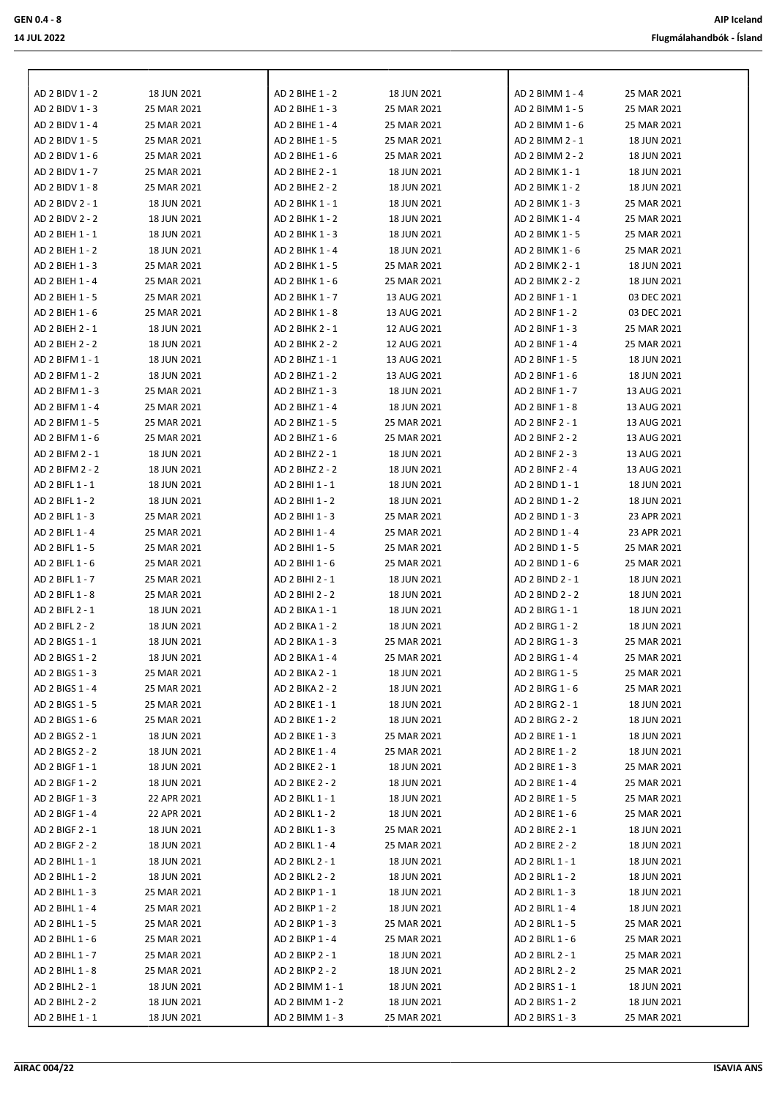| AD 2 BIDV 1 - 2 | 18 JUN 2021 | AD 2 BIHE 1 - 2 | 18 JUN 2021 | AD 2 BIMM 1 - 4 | 25 MAR 2021 |
|-----------------|-------------|-----------------|-------------|-----------------|-------------|
| AD 2 BIDV 1 - 3 | 25 MAR 2021 | AD 2 BIHE 1 - 3 | 25 MAR 2021 | AD 2 BIMM 1 - 5 | 25 MAR 2021 |
| AD 2 BIDV 1 - 4 | 25 MAR 2021 | AD 2 BIHE 1 - 4 | 25 MAR 2021 | AD 2 BIMM 1 - 6 | 25 MAR 2021 |
| AD 2 BIDV 1 - 5 | 25 MAR 2021 | AD 2 BIHE 1 - 5 | 25 MAR 2021 | AD 2 BIMM 2 - 1 | 18 JUN 2021 |
| AD 2 BIDV 1 - 6 | 25 MAR 2021 | AD 2 BIHE 1 - 6 | 25 MAR 2021 | AD 2 BIMM 2 - 2 | 18 JUN 2021 |
|                 |             |                 |             |                 |             |
| AD 2 BIDV 1 - 7 | 25 MAR 2021 | AD 2 BIHE 2 - 1 | 18 JUN 2021 | AD 2 BIMK 1 - 1 | 18 JUN 2021 |
| AD 2 BIDV 1 - 8 | 25 MAR 2021 | AD 2 BIHE 2 - 2 | 18 JUN 2021 | AD 2 BIMK 1 - 2 | 18 JUN 2021 |
| AD 2 BIDV 2 - 1 | 18 JUN 2021 | AD 2 BIHK 1 - 1 | 18 JUN 2021 | AD 2 BIMK 1 - 3 | 25 MAR 2021 |
| AD 2 BIDV 2 - 2 | 18 JUN 2021 | AD 2 BIHK 1 - 2 | 18 JUN 2021 | AD 2 BIMK 1 - 4 | 25 MAR 2021 |
| AD 2 BIEH 1 - 1 | 18 JUN 2021 | AD 2 BIHK 1 - 3 | 18 JUN 2021 | AD 2 BIMK 1 - 5 | 25 MAR 2021 |
| AD 2 BIEH 1 - 2 | 18 JUN 2021 | AD 2 BIHK 1 - 4 | 18 JUN 2021 | AD 2 BIMK 1 - 6 | 25 MAR 2021 |
| AD 2 BIEH 1 - 3 | 25 MAR 2021 | AD 2 BIHK 1 - 5 | 25 MAR 2021 | AD 2 BIMK 2 - 1 | 18 JUN 2021 |
| AD 2 BIEH 1 - 4 | 25 MAR 2021 | AD 2 BIHK 1 - 6 | 25 MAR 2021 | AD 2 BIMK 2 - 2 | 18 JUN 2021 |
| AD 2 BIEH 1 - 5 | 25 MAR 2021 | AD 2 BIHK 1 - 7 | 13 AUG 2021 | AD 2 BINF 1 - 1 | 03 DEC 2021 |
| AD 2 BIEH 1 - 6 | 25 MAR 2021 | AD 2 BIHK 1 - 8 | 13 AUG 2021 | AD 2 BINF 1 - 2 | 03 DEC 2021 |
| AD 2 BIEH 2 - 1 | 18 JUN 2021 | AD 2 BIHK 2 - 1 | 12 AUG 2021 | AD 2 BINF 1 - 3 | 25 MAR 2021 |
| AD 2 BIEH 2 - 2 | 18 JUN 2021 | AD 2 BIHK 2 - 2 | 12 AUG 2021 | AD 2 BINF 1 - 4 | 25 MAR 2021 |
| AD 2 BIFM 1 - 1 | 18 JUN 2021 | AD 2 BIHZ 1 - 1 | 13 AUG 2021 | AD 2 BINF 1 - 5 | 18 JUN 2021 |
| AD 2 BIFM 1 - 2 | 18 JUN 2021 | AD 2 BIHZ 1 - 2 | 13 AUG 2021 | AD 2 BINF 1 - 6 | 18 JUN 2021 |
| AD 2 BIFM 1 - 3 | 25 MAR 2021 | AD 2 BIHZ 1 - 3 | 18 JUN 2021 | AD 2 BINF 1 - 7 | 13 AUG 2021 |
| AD 2 BIFM 1 - 4 | 25 MAR 2021 | AD 2 BIHZ 1 - 4 | 18 JUN 2021 | AD 2 BINF 1 - 8 | 13 AUG 2021 |
| AD 2 BIFM 1 - 5 | 25 MAR 2021 | AD 2 BIHZ 1 - 5 | 25 MAR 2021 | AD 2 BINF 2 - 1 | 13 AUG 2021 |
| AD 2 BIFM 1 - 6 | 25 MAR 2021 | AD 2 BIHZ 1 - 6 | 25 MAR 2021 | AD 2 BINF 2 - 2 | 13 AUG 2021 |
| AD 2 BIFM 2 - 1 | 18 JUN 2021 | AD 2 BIHZ 2 - 1 | 18 JUN 2021 | AD 2 BINF 2 - 3 | 13 AUG 2021 |
| AD 2 BIFM 2 - 2 | 18 JUN 2021 | AD 2 BIHZ 2 - 2 | 18 JUN 2021 | AD 2 BINF 2 - 4 | 13 AUG 2021 |
| AD 2 BIFL 1 - 1 | 18 JUN 2021 | AD 2 BIHI 1 - 1 | 18 JUN 2021 | AD 2 BIND 1 - 1 | 18 JUN 2021 |
| AD 2 BIFL 1 - 2 | 18 JUN 2021 | AD 2 BIHI 1 - 2 | 18 JUN 2021 | AD 2 BIND 1 - 2 | 18 JUN 2021 |
| AD 2 BIFL 1 - 3 | 25 MAR 2021 | AD 2 BIHI 1 - 3 | 25 MAR 2021 | AD 2 BIND 1 - 3 | 23 APR 2021 |
| AD 2 BIFL 1 - 4 | 25 MAR 2021 | AD 2 BIHI 1 - 4 | 25 MAR 2021 | AD 2 BIND 1 - 4 | 23 APR 2021 |
| AD 2 BIFL 1 - 5 | 25 MAR 2021 | AD 2 BIHI 1 - 5 | 25 MAR 2021 | AD 2 BIND 1 - 5 | 25 MAR 2021 |
| AD 2 BIFL 1 - 6 | 25 MAR 2021 | AD 2 BIHI 1 - 6 | 25 MAR 2021 | AD 2 BIND 1 - 6 | 25 MAR 2021 |
| AD 2 BIFL 1 - 7 | 25 MAR 2021 | AD 2 BIHI 2 - 1 | 18 JUN 2021 | AD 2 BIND 2 - 1 | 18 JUN 2021 |
| AD 2 BIFL 1 - 8 | 25 MAR 2021 | AD 2 BIHI 2 - 2 | 18 JUN 2021 | AD 2 BIND 2 - 2 | 18 JUN 2021 |
| AD 2 BIFL 2 - 1 | 18 JUN 2021 | AD 2 BIKA 1 - 1 | 18 JUN 2021 | AD 2 BIRG 1 - 1 | 18 JUN 2021 |
| AD 2 BIFL 2 - 2 | 18 JUN 2021 | AD 2 BIKA 1 - 2 | 18 JUN 2021 | AD 2 BIRG 1 - 2 | 18 JUN 2021 |
| AD 2 BIGS 1 - 1 | 18 JUN 2021 | AD 2 BIKA 1 - 3 | 25 MAR 2021 | AD 2 BIRG 1 - 3 | 25 MAR 2021 |
| AD 2 BIGS 1 - 2 | 18 JUN 2021 | AD 2 BIKA 1 - 4 | 25 MAR 2021 | AD 2 BIRG 1 - 4 | 25 MAR 2021 |
| AD 2 BIGS 1 - 3 | 25 MAR 2021 | AD 2 BIKA 2 - 1 | 18 JUN 2021 | AD 2 BIRG 1 - 5 | 25 MAR 2021 |
| AD 2 BIGS 1 - 4 | 25 MAR 2021 | AD 2 BIKA 2 - 2 | 18 JUN 2021 | AD 2 BIRG 1 - 6 | 25 MAR 2021 |
| AD 2 BIGS 1 - 5 | 25 MAR 2021 | AD 2 BIKE 1 - 1 | 18 JUN 2021 | AD 2 BIRG 2 - 1 | 18 JUN 2021 |
| AD 2 BIGS 1 - 6 | 25 MAR 2021 | AD 2 BIKE 1 - 2 | 18 JUN 2021 | AD 2 BIRG 2 - 2 | 18 JUN 2021 |
| AD 2 BIGS 2 - 1 | 18 JUN 2021 | AD 2 BIKE 1 - 3 | 25 MAR 2021 | AD 2 BIRE 1 - 1 | 18 JUN 2021 |
| AD 2 BIGS 2 - 2 | 18 JUN 2021 | AD 2 BIKE 1 - 4 | 25 MAR 2021 | AD 2 BIRE 1 - 2 | 18 JUN 2021 |
| AD 2 BIGF 1 - 1 | 18 JUN 2021 | AD 2 BIKE 2 - 1 | 18 JUN 2021 | AD 2 BIRE 1 - 3 | 25 MAR 2021 |
| AD 2 BIGF 1 - 2 | 18 JUN 2021 | AD 2 BIKE 2 - 2 | 18 JUN 2021 | AD 2 BIRE 1 - 4 | 25 MAR 2021 |
| AD 2 BIGF 1 - 3 | 22 APR 2021 | AD 2 BIKL 1 - 1 | 18 JUN 2021 | AD 2 BIRE 1 - 5 | 25 MAR 2021 |
| AD 2 BIGF 1 - 4 | 22 APR 2021 | AD 2 BIKL 1 - 2 | 18 JUN 2021 | AD 2 BIRE 1 - 6 | 25 MAR 2021 |
| AD 2 BIGF 2 - 1 | 18 JUN 2021 | AD 2 BIKL 1 - 3 | 25 MAR 2021 | AD 2 BIRE 2 - 1 | 18 JUN 2021 |
| AD 2 BIGF 2 - 2 | 18 JUN 2021 | AD 2 BIKL 1 - 4 | 25 MAR 2021 | AD 2 BIRE 2 - 2 | 18 JUN 2021 |
| AD 2 BIHL 1 - 1 | 18 JUN 2021 | AD 2 BIKL 2 - 1 | 18 JUN 2021 | AD 2 BIRL 1 - 1 | 18 JUN 2021 |
| AD 2 BIHL 1 - 2 | 18 JUN 2021 | AD 2 BIKL 2 - 2 | 18 JUN 2021 | AD 2 BIRL 1 - 2 | 18 JUN 2021 |
| AD 2 BIHL 1 - 3 | 25 MAR 2021 | AD 2 BIKP 1 - 1 | 18 JUN 2021 | AD 2 BIRL 1 - 3 | 18 JUN 2021 |
| AD 2 BIHL 1 - 4 | 25 MAR 2021 | AD 2 BIKP 1 - 2 | 18 JUN 2021 | AD 2 BIRL 1 - 4 | 18 JUN 2021 |
| AD 2 BIHL 1 - 5 | 25 MAR 2021 | AD 2 BIKP 1 - 3 | 25 MAR 2021 | AD 2 BIRL 1 - 5 | 25 MAR 2021 |
| AD 2 BIHL 1 - 6 | 25 MAR 2021 | AD 2 BIKP 1 - 4 | 25 MAR 2021 | AD 2 BIRL 1 - 6 | 25 MAR 2021 |
| AD 2 BIHL 1 - 7 | 25 MAR 2021 | AD 2 BIKP 2 - 1 | 18 JUN 2021 | AD 2 BIRL 2 - 1 | 25 MAR 2021 |
| AD 2 BIHL 1 - 8 | 25 MAR 2021 | AD 2 BIKP 2 - 2 | 18 JUN 2021 | AD 2 BIRL 2 - 2 | 25 MAR 2021 |
| AD 2 BIHL 2 - 1 | 18 JUN 2021 | AD 2 BIMM 1 - 1 | 18 JUN 2021 | AD 2 BIRS 1 - 1 | 18 JUN 2021 |
| AD 2 BIHL 2 - 2 | 18 JUN 2021 | AD 2 BIMM 1 - 2 | 18 JUN 2021 | AD 2 BIRS 1 - 2 | 18 JUN 2021 |
| AD 2 BIHE 1 - 1 | 18 JUN 2021 | AD 2 BIMM 1 - 3 | 25 MAR 2021 | AD 2 BIRS 1 - 3 | 25 MAR 2021 |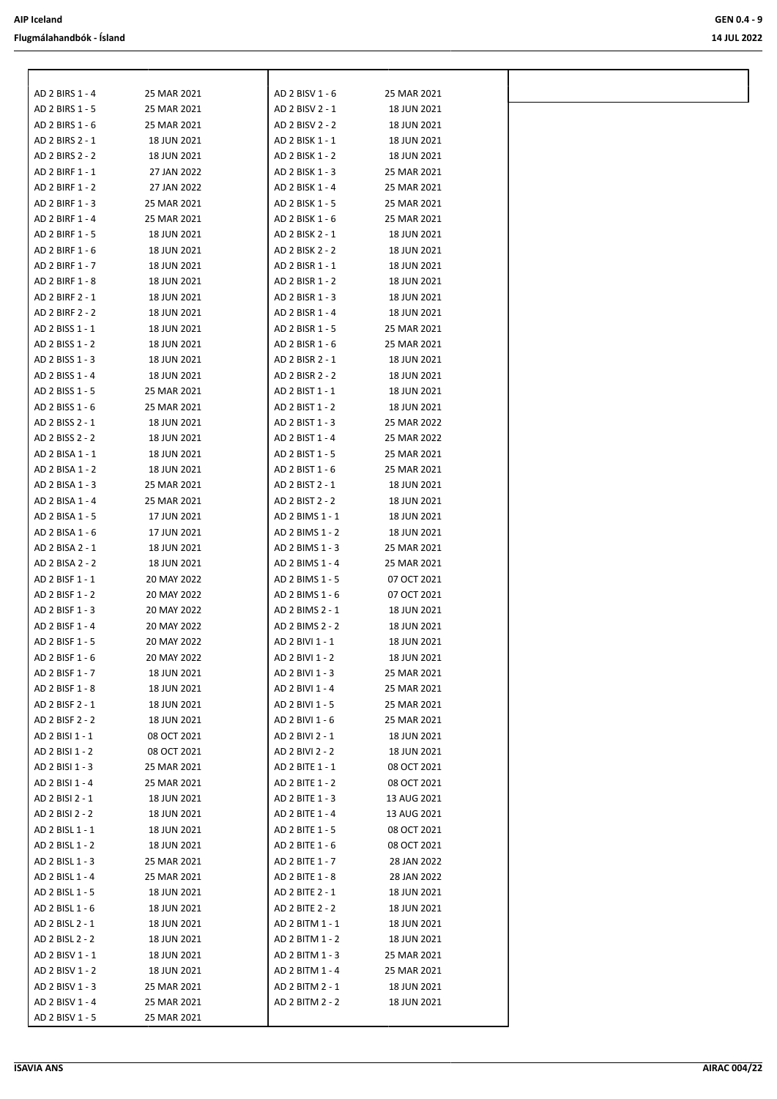| AD 2 BIRS 1 - 4                    | 25 MAR 2021                | AD 2 BISV 1 - 6                    | 25 MAR 2021                |
|------------------------------------|----------------------------|------------------------------------|----------------------------|
| AD 2 BIRS 1 - 5                    | 25 MAR 2021                | AD 2 BISV 2 - 1                    | 18 JUN 2021                |
| AD 2 BIRS 1 - 6                    | 25 MAR 2021                | AD 2 BISV 2 - 2                    | 18 JUN 2021                |
| AD 2 BIRS 2 - 1                    | 18 JUN 2021                | AD 2 BISK 1 - 1                    | 18 JUN 2021                |
| AD 2 BIRS 2 - 2                    | 18 JUN 2021                | AD 2 BISK 1 - 2                    | 18 JUN 2021                |
| AD 2 BIRF 1 - 1                    | 27 JAN 2022                | AD 2 BISK 1 - 3                    | 25 MAR 2021                |
| AD 2 BIRF 1 - 2                    | 27 JAN 2022                | AD 2 BISK 1 - 4                    | 25 MAR 2021                |
| AD 2 BIRF 1 - 3                    | 25 MAR 2021                | AD 2 BISK 1 - 5                    | 25 MAR 2021                |
| AD 2 BIRF 1 - 4                    | 25 MAR 2021                | AD 2 BISK 1 - 6                    | 25 MAR 2021                |
| AD 2 BIRF 1 - 5                    | 18 JUN 2021                | AD 2 BISK 2 - 1                    | 18 JUN 2021                |
| AD 2 BIRF 1 - 6                    | 18 JUN 2021                | AD 2 BISK 2 - 2                    | 18 JUN 2021                |
| AD 2 BIRF 1 - 7                    | 18 JUN 2021                | AD 2 BISR 1 - 1                    | 18 JUN 2021                |
| AD 2 BIRF 1 - 8                    | 18 JUN 2021                | AD 2 BISR 1 - 2                    | 18 JUN 2021                |
| AD 2 BIRF 2 - 1                    | 18 JUN 2021                | AD 2 BISR 1 - 3                    | 18 JUN 2021                |
| AD 2 BIRF 2 - 2                    | 18 JUN 2021                | AD 2 BISR 1 - 4                    | 18 JUN 2021                |
| AD 2 BISS 1 - 1                    | 18 JUN 2021                | AD 2 BISR 1 - 5                    | 25 MAR 2021                |
| AD 2 BISS 1 - 2                    | 18 JUN 2021                | AD 2 BISR 1 - 6                    | 25 MAR 2021                |
| AD 2 BISS 1 - 3                    | 18 JUN 2021                | AD 2 BISR 2 - 1                    | 18 JUN 2021                |
| AD 2 BISS 1 - 4                    | 18 JUN 2021                | AD 2 BISR 2 - 2                    | 18 JUN 2021                |
| AD 2 BISS 1 - 5                    | 25 MAR 2021                | AD 2 BIST 1 - 1                    | 18 JUN 2021                |
| AD 2 BISS 1 - 6                    | 25 MAR 2021                | AD 2 BIST 1 - 2                    | 18 JUN 2021                |
| AD 2 BISS 2 - 1                    | 18 JUN 2021                | AD 2 BIST 1 - 3                    | 25 MAR 2022                |
| AD 2 BISS 2 - 2                    | 18 JUN 2021                | AD 2 BIST 1 - 4                    | 25 MAR 2022                |
| AD 2 BISA 1 - 1                    | 18 JUN 2021                | AD 2 BIST 1 - 5                    | 25 MAR 2021                |
| AD 2 BISA 1 - 2                    | 18 JUN 2021                | AD 2 BIST 1 - 6                    | 25 MAR 2021                |
| AD 2 BISA 1 - 3<br>AD 2 BISA 1 - 4 | 25 MAR 2021<br>25 MAR 2021 | AD 2 BIST 2 - 1<br>AD 2 BIST 2 - 2 | 18 JUN 2021<br>18 JUN 2021 |
| AD 2 BISA 1 - 5                    | 17 JUN 2021                | AD 2 BIMS 1 - 1                    | 18 JUN 2021                |
| AD 2 BISA 1 - 6                    | 17 JUN 2021                | AD 2 BIMS 1 - 2                    | 18 JUN 2021                |
| AD 2 BISA 2 - 1                    | 18 JUN 2021                | AD 2 BIMS 1 - 3                    | 25 MAR 2021                |
| AD 2 BISA 2 - 2                    | 18 JUN 2021                | AD 2 BIMS 1 - 4                    | 25 MAR 2021                |
| AD 2 BISF 1 - 1                    | 20 MAY 2022                | AD 2 BIMS 1 - 5                    | 07 OCT 2021                |
| AD 2 BISF 1 - 2                    | 20 MAY 2022                | AD 2 BIMS 1 - 6                    | 07 OCT 2021                |
| AD 2 BISF 1 - 3                    | 20 MAY 2022                | AD 2 BIMS 2 - 1                    | 18 JUN 2021                |
| AD 2 BISF 1 - 4                    | 20 MAY 2022                | AD 2 BIMS 2 - 2                    | 18 JUN 2021                |
| AD 2 BISF 1 - 5                    | 20 MAY 2022                | AD 2 BIVI 1 - 1                    | <b>18 JUN 2021</b>         |
| AD 2 BISF 1 - 6                    | 20 MAY 2022                | AD 2 BIVI 1 - 2                    | 18 JUN 2021                |
| AD 2 BISF 1 - 7                    | 18 JUN 2021                | AD 2 BIVI 1 - 3                    | 25 MAR 2021                |
| AD 2 BISF 1 - 8                    | 18 JUN 2021                | AD 2 BIVI 1 - 4                    | 25 MAR 2021                |
| AD 2 BISF 2 - 1                    | 18 JUN 2021                | AD 2 BIVI 1 - 5                    | 25 MAR 2021                |
| AD 2 BISF 2 - 2                    | 18 JUN 2021                | AD 2 BIVI 1 - 6                    | 25 MAR 2021                |
| AD 2 BISI 1 - 1                    | 08 OCT 2021                | AD 2 BIVI 2 - 1                    | 18 JUN 2021                |
| AD 2 BISI 1 - 2                    | 08 OCT 2021                | AD 2 BIVI 2 - 2                    | 18 JUN 2021                |
| AD 2 BISI 1 - 3                    | 25 MAR 2021                | AD 2 BITE 1 - 1                    | 08 OCT 2021                |
| AD 2 BISI 1 - 4                    | 25 MAR 2021                | AD 2 BITE 1 - 2                    | 08 OCT 2021                |
| AD 2 BISI 2 - 1                    | 18 JUN 2021                | AD 2 BITE 1 - 3                    | 13 AUG 2021                |
| AD 2 BISI 2 - 2                    | 18 JUN 2021                | AD 2 BITE 1 - 4                    | 13 AUG 2021                |
| AD 2 BISL 1 - 1                    | 18 JUN 2021                | AD 2 BITE 1 - 5                    | 08 OCT 2021                |
| AD 2 BISL 1 - 2                    | 18 JUN 2021                | AD 2 BITE 1 - 6                    | 08 OCT 2021                |
| AD 2 BISL 1 - 3                    | 25 MAR 2021                | AD 2 BITE 1 - 7                    | 28 JAN 2022                |
| AD 2 BISL 1 - 4                    | 25 MAR 2021                | AD 2 BITE 1 - 8                    | 28 JAN 2022                |
| AD 2 BISL 1 - 5<br>AD 2 BISL 1 - 6 | 18 JUN 2021<br>18 JUN 2021 | AD 2 BITE 2 - 1<br>AD 2 BITE 2 - 2 | 18 JUN 2021<br>18 JUN 2021 |
| AD 2 BISL 2 - 1                    | 18 JUN 2021                | AD 2 BITM 1 - 1                    | 18 JUN 2021                |
| AD 2 BISL 2 - 2                    | 18 JUN 2021                | AD 2 BITM 1 - 2                    | 18 JUN 2021                |
| AD 2 BISV 1 - 1                    | 18 JUN 2021                | AD 2 BITM 1 - 3                    | 25 MAR 2021                |
| AD 2 BISV 1 - 2                    | 18 JUN 2021                | AD 2 BITM 1 - 4                    | 25 MAR 2021                |
| AD 2 BISV 1 - 3                    | 25 MAR 2021                | AD 2 BITM 2 - 1                    | 18 JUN 2021                |
| AD 2 BISV 1 - 4                    | 25 MAR 2021                | AD 2 BITM 2 - 2                    | 18 JUN 2021                |
| AD 2 BISV 1 - 5                    | 25 MAR 2021                |                                    |                            |
|                                    |                            |                                    |                            |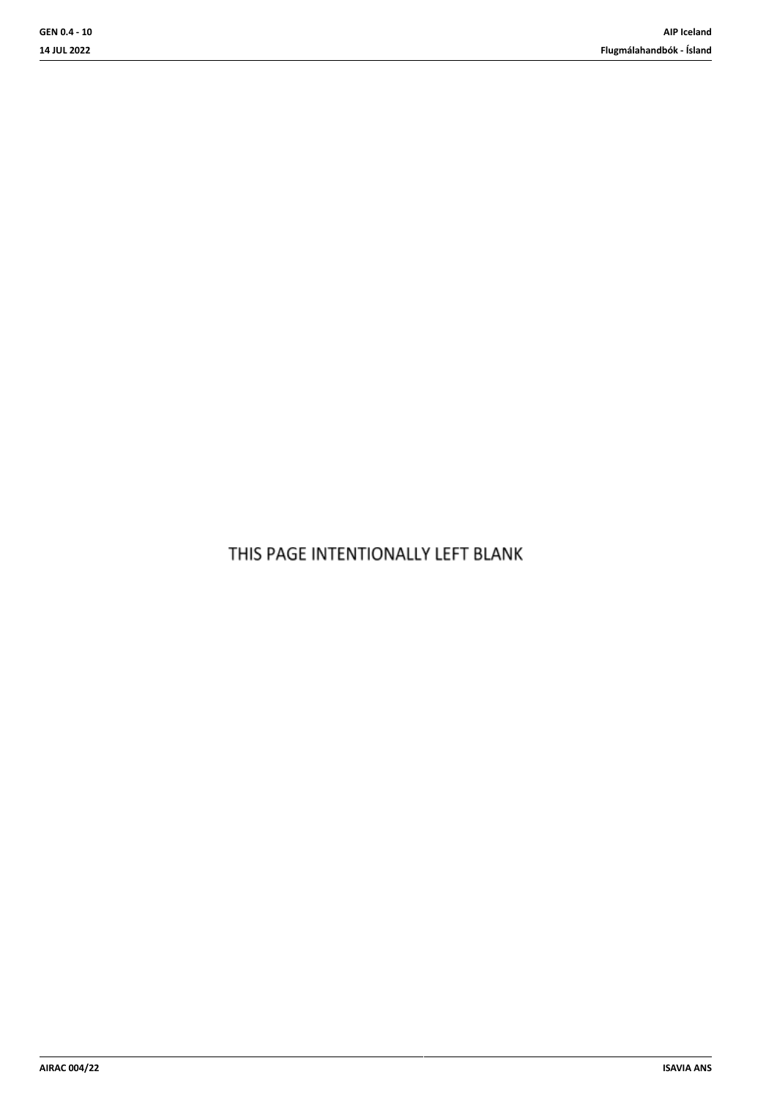# THIS PAGE INTENTIONALLY LEFT BLANK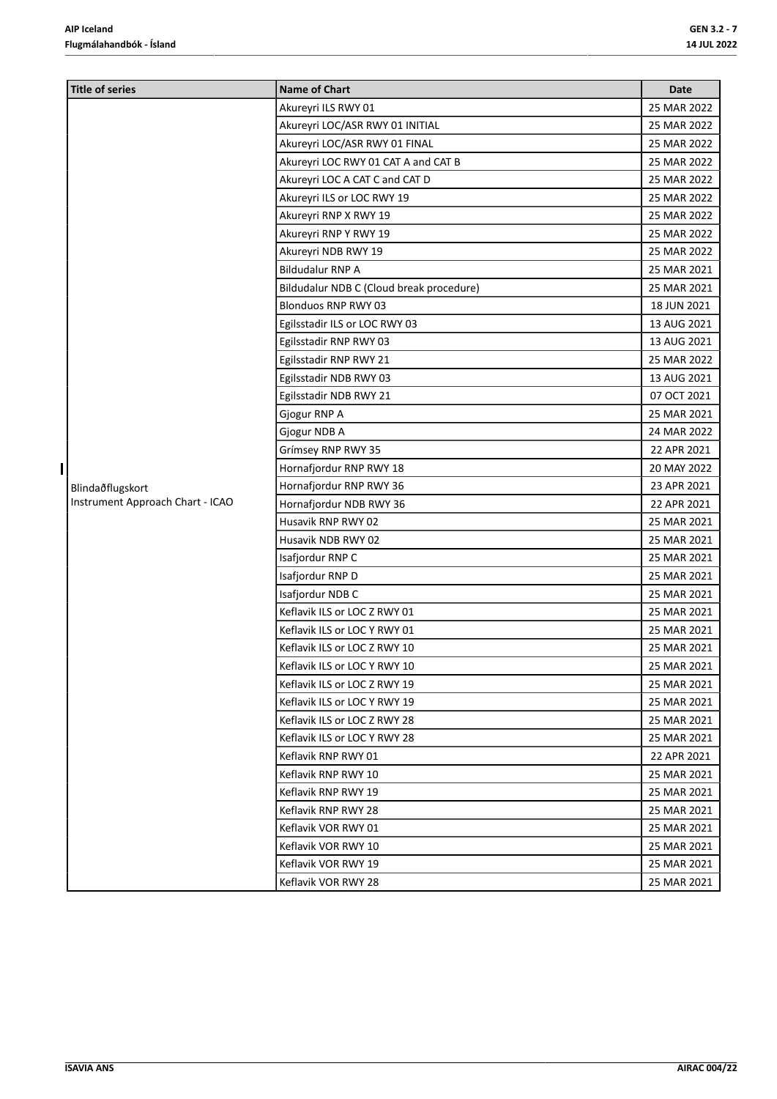| <b>Title of series</b> |                                  | <b>Name of Chart</b>                     | <b>Date</b> |
|------------------------|----------------------------------|------------------------------------------|-------------|
|                        |                                  | Akureyri ILS RWY 01                      | 25 MAR 2022 |
|                        |                                  | Akureyri LOC/ASR RWY 01 INITIAL          | 25 MAR 2022 |
|                        |                                  | Akureyri LOC/ASR RWY 01 FINAL            | 25 MAR 2022 |
|                        |                                  | Akureyri LOC RWY 01 CAT A and CAT B      | 25 MAR 2022 |
|                        |                                  | Akureyri LOC A CAT C and CAT D           | 25 MAR 2022 |
|                        |                                  | Akureyri ILS or LOC RWY 19               | 25 MAR 2022 |
|                        |                                  | Akureyri RNP X RWY 19                    | 25 MAR 2022 |
|                        |                                  | Akureyri RNP Y RWY 19                    | 25 MAR 2022 |
|                        |                                  | Akureyri NDB RWY 19                      | 25 MAR 2022 |
|                        |                                  | <b>Bildudalur RNP A</b>                  | 25 MAR 2021 |
|                        |                                  | Bildudalur NDB C (Cloud break procedure) | 25 MAR 2021 |
|                        |                                  | <b>Blonduos RNP RWY 03</b>               | 18 JUN 2021 |
|                        |                                  | Egilsstadir ILS or LOC RWY 03            | 13 AUG 2021 |
|                        |                                  | Egilsstadir RNP RWY 03                   | 13 AUG 2021 |
|                        |                                  | Egilsstadir RNP RWY 21                   | 25 MAR 2022 |
|                        |                                  | Egilsstadir NDB RWY 03                   | 13 AUG 2021 |
|                        |                                  | Egilsstadir NDB RWY 21                   | 07 OCT 2021 |
|                        |                                  | Gjogur RNP A                             | 25 MAR 2021 |
|                        |                                  | Gjogur NDB A                             | 24 MAR 2022 |
|                        |                                  | Grímsey RNP RWY 35                       | 22 APR 2021 |
|                        |                                  | Hornafjordur RNP RWY 18                  | 20 MAY 2022 |
|                        | Blindaðflugskort                 | Hornafjordur RNP RWY 36                  | 23 APR 2021 |
|                        | Instrument Approach Chart - ICAO | Hornafjordur NDB RWY 36                  | 22 APR 2021 |
|                        |                                  | Husavik RNP RWY 02                       | 25 MAR 2021 |
|                        |                                  | Husavik NDB RWY 02                       | 25 MAR 2021 |
|                        |                                  | Isafjordur RNP C                         | 25 MAR 2021 |
|                        |                                  | Isafjordur RNP D                         | 25 MAR 2021 |
|                        |                                  | Isafjordur NDB C                         | 25 MAR 2021 |
|                        |                                  | Keflavik ILS or LOC Z RWY 01             | 25 MAR 2021 |
|                        |                                  | Keflavik ILS or LOC Y RWY 01             | 25 MAR 2021 |
|                        |                                  | Keflavik ILS or LOC Z RWY 10             | 25 MAR 2021 |
|                        |                                  | Keflavik ILS or LOC Y RWY 10             | 25 MAR 2021 |
|                        |                                  | Keflavik ILS or LOC Z RWY 19             | 25 MAR 2021 |
|                        |                                  | Keflavik ILS or LOC Y RWY 19             | 25 MAR 2021 |
|                        |                                  | Keflavik ILS or LOC Z RWY 28             | 25 MAR 2021 |
|                        |                                  | Keflavik ILS or LOC Y RWY 28             | 25 MAR 2021 |
|                        |                                  | Keflavik RNP RWY 01                      | 22 APR 2021 |
|                        |                                  | Keflavik RNP RWY 10                      | 25 MAR 2021 |
|                        |                                  | Keflavik RNP RWY 19                      | 25 MAR 2021 |
|                        |                                  | Keflavik RNP RWY 28                      | 25 MAR 2021 |
|                        |                                  | Keflavik VOR RWY 01                      | 25 MAR 2021 |
|                        |                                  | Keflavik VOR RWY 10                      | 25 MAR 2021 |
|                        |                                  | Keflavik VOR RWY 19                      | 25 MAR 2021 |
|                        |                                  | Keflavik VOR RWY 28                      | 25 MAR 2021 |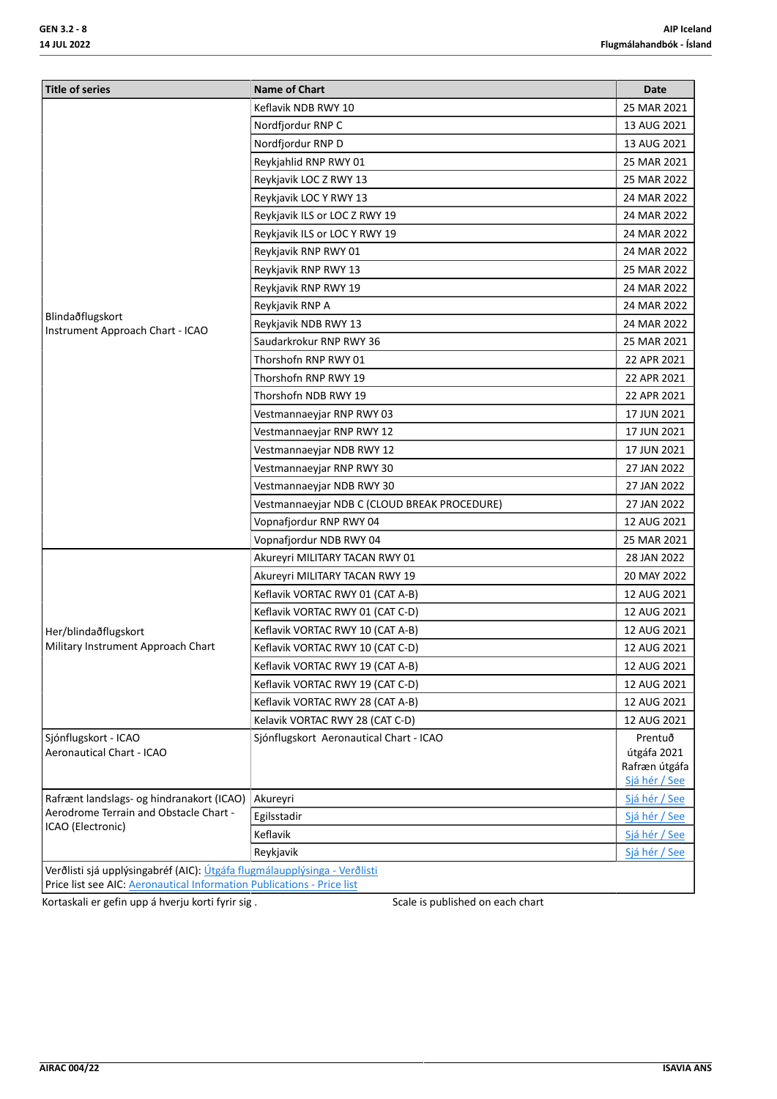| <b>Title of series</b>                                                 | <b>Name of Chart</b>                                                      | <b>Date</b>                    |  |  |  |  |
|------------------------------------------------------------------------|---------------------------------------------------------------------------|--------------------------------|--|--|--|--|
|                                                                        | Keflavik NDB RWY 10                                                       | 25 MAR 2021                    |  |  |  |  |
|                                                                        | Nordfjordur RNP C                                                         | 13 AUG 2021                    |  |  |  |  |
|                                                                        | Nordfjordur RNP D                                                         | 13 AUG 2021                    |  |  |  |  |
|                                                                        | Reykjahlid RNP RWY 01                                                     | 25 MAR 2021                    |  |  |  |  |
|                                                                        | Reykjavik LOC Z RWY 13                                                    | 25 MAR 2022                    |  |  |  |  |
|                                                                        | Reykjavik LOC Y RWY 13                                                    | 24 MAR 2022                    |  |  |  |  |
|                                                                        | Reykjavik ILS or LOC Z RWY 19<br>24 MAR 2022                              |                                |  |  |  |  |
|                                                                        | Reykjavik ILS or LOC Y RWY 19                                             | 24 MAR 2022                    |  |  |  |  |
|                                                                        | Reykjavik RNP RWY 01                                                      | 24 MAR 2022                    |  |  |  |  |
|                                                                        | Reykjavik RNP RWY 13                                                      | 25 MAR 2022                    |  |  |  |  |
|                                                                        | Reykjavik RNP RWY 19                                                      | 24 MAR 2022                    |  |  |  |  |
|                                                                        | Reykjavik RNP A                                                           | 24 MAR 2022                    |  |  |  |  |
| Blindaðflugskort                                                       | Reykjavik NDB RWY 13                                                      | 24 MAR 2022                    |  |  |  |  |
| Instrument Approach Chart - ICAO                                       | Saudarkrokur RNP RWY 36                                                   | 25 MAR 2021                    |  |  |  |  |
|                                                                        | Thorshofn RNP RWY 01                                                      | 22 APR 2021                    |  |  |  |  |
|                                                                        | Thorshofn RNP RWY 19                                                      | 22 APR 2021                    |  |  |  |  |
|                                                                        | Thorshofn NDB RWY 19                                                      | 22 APR 2021                    |  |  |  |  |
|                                                                        | Vestmannaeyjar RNP RWY 03                                                 | 17 JUN 2021                    |  |  |  |  |
|                                                                        | Vestmannaeyjar RNP RWY 12                                                 | 17 JUN 2021                    |  |  |  |  |
|                                                                        | Vestmannaeyjar NDB RWY 12                                                 | 17 JUN 2021                    |  |  |  |  |
|                                                                        | Vestmannaeyjar RNP RWY 30                                                 | 27 JAN 2022                    |  |  |  |  |
|                                                                        | Vestmannaeyjar NDB RWY 30                                                 | 27 JAN 2022                    |  |  |  |  |
|                                                                        | Vestmannaeyjar NDB C (CLOUD BREAK PROCEDURE)                              | 27 JAN 2022                    |  |  |  |  |
|                                                                        | Vopnafjordur RNP RWY 04                                                   | 12 AUG 2021                    |  |  |  |  |
|                                                                        | Vopnafjordur NDB RWY 04                                                   | 25 MAR 2021                    |  |  |  |  |
|                                                                        | Akureyri MILITARY TACAN RWY 01                                            | 28 JAN 2022                    |  |  |  |  |
|                                                                        | Akureyri MILITARY TACAN RWY 19                                            | 20 MAY 2022                    |  |  |  |  |
|                                                                        | Keflavik VORTAC RWY 01 (CAT A-B)                                          | 12 AUG 2021                    |  |  |  |  |
|                                                                        | Keflavik VORTAC RWY 01 (CAT C-D)                                          | 12 AUG 2021                    |  |  |  |  |
| Her/blindaðflugskort                                                   | Keflavik VORTAC RWY 10 (CAT A-B)                                          | 12 AUG 2021                    |  |  |  |  |
| Military Instrument Approach Chart                                     | Keflavik VORTAC RWY 10 (CAT C-D)                                          | 12 AUG 2021                    |  |  |  |  |
|                                                                        | Keflavik VORTAC RWY 19 (CAT A-B)                                          | 12 AUG 2021                    |  |  |  |  |
|                                                                        | Keflavik VORTAC RWY 19 (CAT C-D)                                          | 12 AUG 2021                    |  |  |  |  |
|                                                                        | Keflavik VORTAC RWY 28 (CAT A-B)                                          | 12 AUG 2021                    |  |  |  |  |
|                                                                        | Kelavik VORTAC RWY 28 (CAT C-D)                                           | 12 AUG 2021                    |  |  |  |  |
| Sjónflugskort - ICAO                                                   | Sjónflugskort Aeronautical Chart - ICAO                                   | Prentuð                        |  |  |  |  |
| Aeronautical Chart - ICAO                                              |                                                                           | útgáfa 2021                    |  |  |  |  |
|                                                                        |                                                                           | Rafræn útgáfa<br>Sjá hér / See |  |  |  |  |
| Rafrænt landslags- og hindranakort (ICAO)                              | Akureyri                                                                  | Sjá hér / See                  |  |  |  |  |
| Aerodrome Terrain and Obstacle Chart -                                 | Egilsstadir                                                               | Sjá hér / See                  |  |  |  |  |
| ICAO (Electronic)                                                      | Keflavik                                                                  | Sjá hér / See                  |  |  |  |  |
|                                                                        | Reykjavik                                                                 | Sjá hér / See                  |  |  |  |  |
|                                                                        | Verðlisti sjá upplýsingabréf (AIC): Útgáfa flugmálaupplýsinga - Verðlisti |                                |  |  |  |  |
| Price list see AIC: Aeronautical Information Publications - Price list |                                                                           |                                |  |  |  |  |

Kortaskali er gefin upp á hverju korti fyrir sig . Scale is published on each chart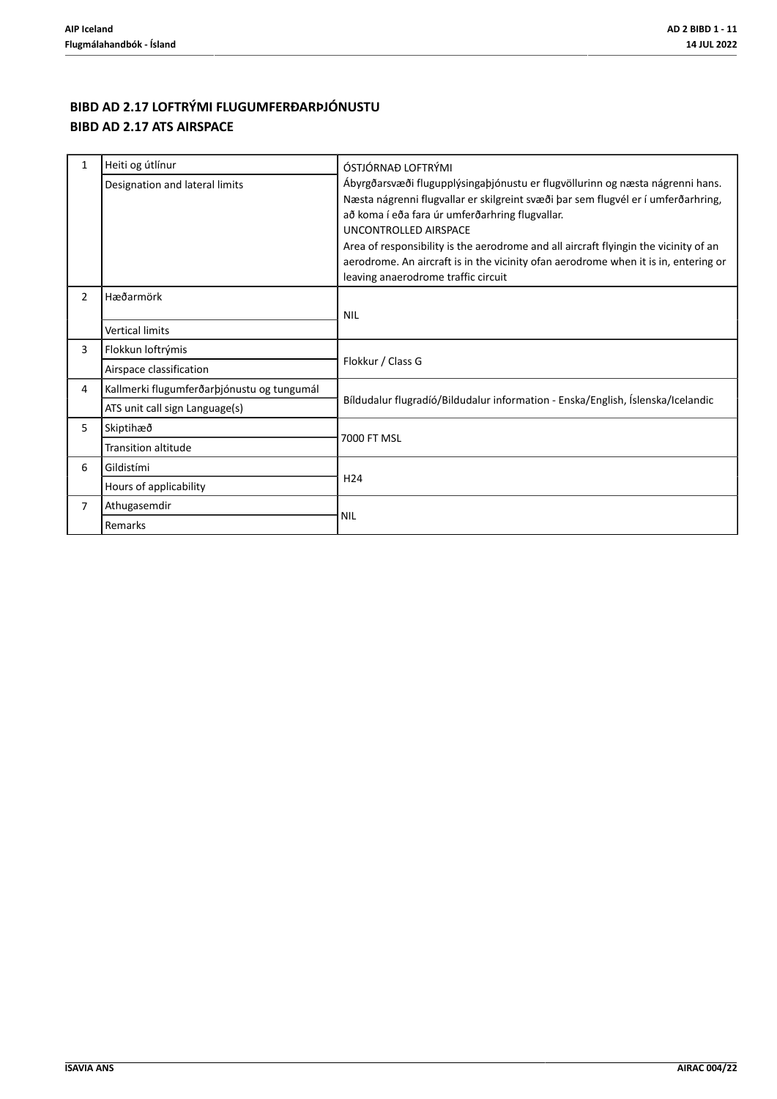# **BIBD AD 2.17 LOFTRÝMI FLUGUMFERÐARÞJÓNUSTU BIBD AD 2.17 ATS AIRSPACE**

| 1              | Heiti og útlínur                           | ÓSTJÓRNAÐ LOFTRÝMI                                                                                                                                                                                                                                                                                                                                                                                                                                                   |  |
|----------------|--------------------------------------------|----------------------------------------------------------------------------------------------------------------------------------------------------------------------------------------------------------------------------------------------------------------------------------------------------------------------------------------------------------------------------------------------------------------------------------------------------------------------|--|
|                | Designation and lateral limits             | Ábyrgðarsvæði flugupplýsingaþjónustu er flugvöllurinn og næsta nágrenni hans.<br>Næsta nágrenni flugvallar er skilgreint svæði þar sem flugvél er í umferðarhring,<br>að koma í eða fara úr umferðarhring flugvallar.<br>UNCONTROLLED AIRSPACE<br>Area of responsibility is the aerodrome and all aircraft flyingin the vicinity of an<br>aerodrome. An aircraft is in the vicinity ofan aerodrome when it is in, entering or<br>leaving anaerodrome traffic circuit |  |
| $\overline{2}$ | Hæðarmörk                                  |                                                                                                                                                                                                                                                                                                                                                                                                                                                                      |  |
|                |                                            | <b>NIL</b>                                                                                                                                                                                                                                                                                                                                                                                                                                                           |  |
|                | <b>Vertical limits</b>                     |                                                                                                                                                                                                                                                                                                                                                                                                                                                                      |  |
| 3              | Flokkun loftrýmis                          |                                                                                                                                                                                                                                                                                                                                                                                                                                                                      |  |
|                | Airspace classification                    | Flokkur / Class G                                                                                                                                                                                                                                                                                                                                                                                                                                                    |  |
| 4              | Kallmerki flugumferðarþjónustu og tungumál |                                                                                                                                                                                                                                                                                                                                                                                                                                                                      |  |
|                | ATS unit call sign Language(s)             | Bíldudalur flugradíó/Bildudalur information - Enska/English, Íslenska/Icelandic                                                                                                                                                                                                                                                                                                                                                                                      |  |
| 5.             | Skiptihæð                                  |                                                                                                                                                                                                                                                                                                                                                                                                                                                                      |  |
|                | <b>Transition altitude</b>                 | 7000 FT MSL                                                                                                                                                                                                                                                                                                                                                                                                                                                          |  |
| 6              | Gildistími                                 |                                                                                                                                                                                                                                                                                                                                                                                                                                                                      |  |
|                | Hours of applicability                     | H <sub>24</sub>                                                                                                                                                                                                                                                                                                                                                                                                                                                      |  |
| 7              | Athugasemdir                               |                                                                                                                                                                                                                                                                                                                                                                                                                                                                      |  |
|                | Remarks                                    | <b>NIL</b>                                                                                                                                                                                                                                                                                                                                                                                                                                                           |  |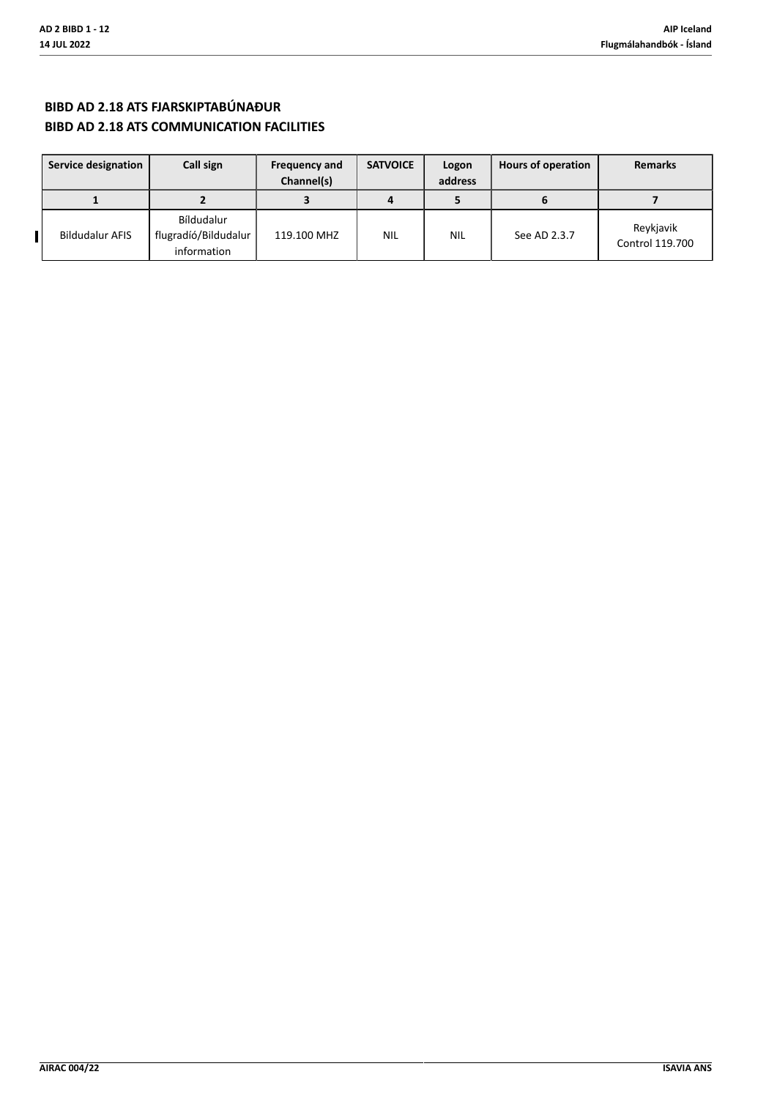## **BIBD AD 2.18 ATS FJARSKIPTABÚNAÐUR BIBD AD 2.18 ATS COMMUNICATION FACILITIES**

| Service designation    | Call sign                                         | Frequency and<br>Channel(s) | <b>SATVOICE</b> | Logon<br>address | Hours of operation | <b>Remarks</b>               |
|------------------------|---------------------------------------------------|-----------------------------|-----------------|------------------|--------------------|------------------------------|
|                        |                                                   |                             |                 |                  | o                  |                              |
| <b>Bildudalur AFIS</b> | Bíldudalur<br>flugradíó/Bildudalur<br>information | 119.100 MHZ                 | <b>NIL</b>      | <b>NIL</b>       | See AD 2.3.7       | Reykjavik<br>Control 119.700 |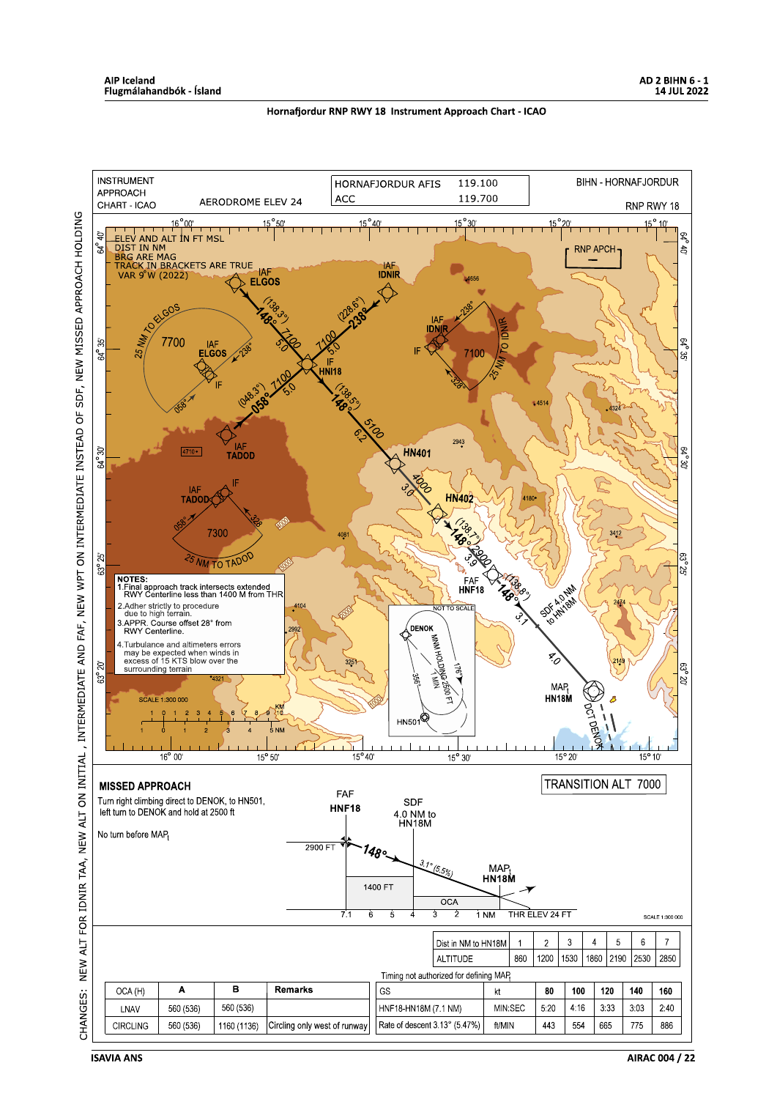#### Hornafiordur RNP RWY 18 Instrument Approach Chart - ICAO

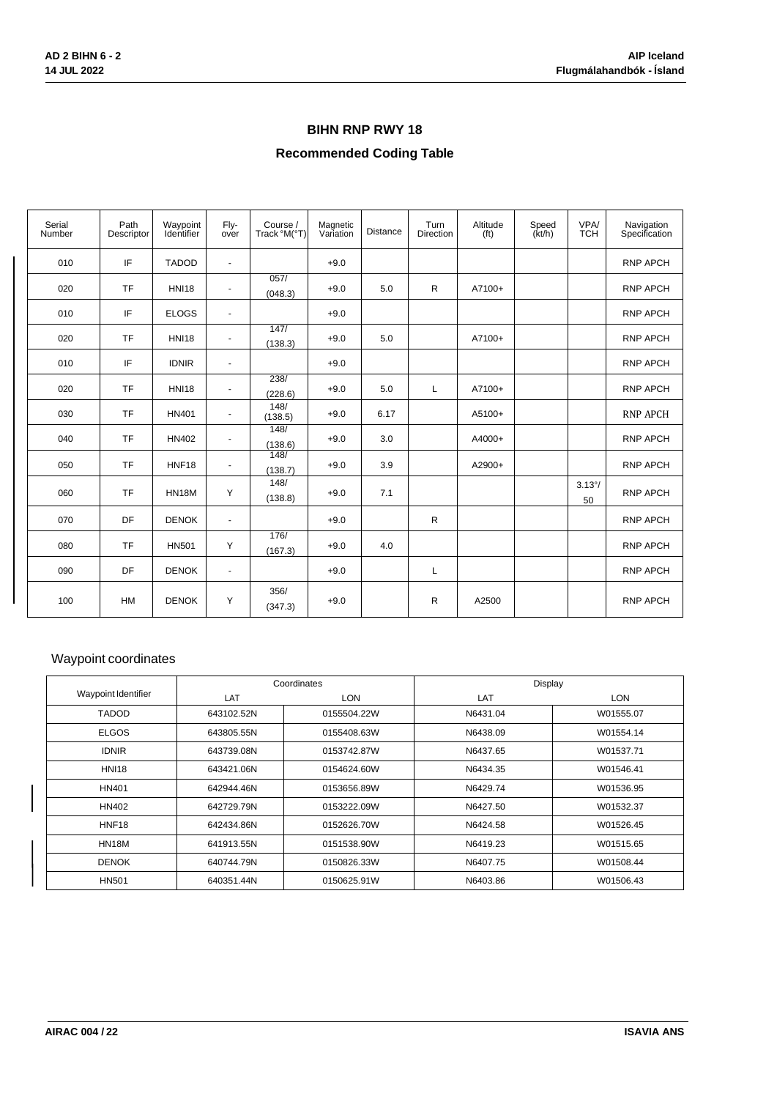| <b>BIHN RNP RWY 18</b>          |
|---------------------------------|
| <b>Recommended Coding Table</b> |

| Serial<br>Number | Path<br>Descriptor | Waypoint<br>Identifier | Fly-<br>over             | Course /<br>Track °M(°T) | Magnetic<br>Variation | Distance | Turn<br>Direction | Altitude<br>(f <sub>t</sub> ) | Speed<br>(kt/h) | <b>VPA</b><br><b>TCH</b> | Navigation<br>Specification |
|------------------|--------------------|------------------------|--------------------------|--------------------------|-----------------------|----------|-------------------|-------------------------------|-----------------|--------------------------|-----------------------------|
| 010              | IF                 | <b>TADOD</b>           | ÷,                       |                          | $+9.0$                |          |                   |                               |                 |                          | <b>RNP APCH</b>             |
| 020              | <b>TF</b>          | <b>HNI18</b>           | $\overline{\phantom{a}}$ | 057/<br>(048.3)          | $+9.0$                | 5.0      | $\mathsf{R}$      | A7100+                        |                 |                          | <b>RNP APCH</b>             |
| 010              | IF                 | <b>ELOGS</b>           | ä,                       |                          | $+9.0$                |          |                   |                               |                 |                          | <b>RNP APCH</b>             |
| 020              | <b>TF</b>          | <b>HNI18</b>           | ä,                       | 147/<br>(138.3)          | $+9.0$                | 5.0      |                   | A7100+                        |                 |                          | <b>RNP APCH</b>             |
| 010              | IF                 | <b>IDNIR</b>           | $\blacksquare$           |                          | $+9.0$                |          |                   |                               |                 |                          | <b>RNP APCH</b>             |
| 020              | <b>TF</b>          | <b>HNI18</b>           | $\overline{a}$           | 238/<br>(228.6)          | $+9.0$                | 5.0      | Г                 | A7100+                        |                 |                          | <b>RNP APCH</b>             |
| 030              | <b>TF</b>          | HN401                  | ä,                       | 148/<br>(138.5)          | $+9.0$                | 6.17     |                   | A5100+                        |                 |                          | <b>RNP APCH</b>             |
| 040              | <b>TF</b>          | HN402                  | $\blacksquare$           | 148/<br>(138.6)          | $+9.0$                | 3.0      |                   | A4000+                        |                 |                          | <b>RNP APCH</b>             |
| 050              | <b>TF</b>          | HNF18                  | ä,                       | 148/<br>(138.7)          | $+9.0$                | 3.9      |                   | A2900+                        |                 |                          | <b>RNP APCH</b>             |
| 060              | <b>TF</b>          | <b>HN18M</b>           | Y                        | 148/<br>(138.8)          | $+9.0$                | 7.1      |                   |                               |                 | $3.13^{\circ}/$<br>50    | <b>RNP APCH</b>             |
| 070              | DF                 | <b>DENOK</b>           | $\blacksquare$           |                          | $+9.0$                |          | $\mathsf{R}$      |                               |                 |                          | <b>RNP APCH</b>             |
| 080              | <b>TF</b>          | <b>HN501</b>           | Y                        | 176/<br>(167.3)          | $+9.0$                | 4.0      |                   |                               |                 |                          | <b>RNP APCH</b>             |
| 090              | DF                 | <b>DENOK</b>           | $\blacksquare$           |                          | $+9.0$                |          | L                 |                               |                 |                          | <b>RNP APCH</b>             |
| 100              | <b>HM</b>          | <b>DENOK</b>           | Y                        | 356/<br>(347.3)          | $+9.0$                |          | $\mathsf{R}$      | A2500                         |                 |                          | <b>RNP APCH</b>             |

#### Waypoint coordinates

|                     |            | Coordinates | Display  |            |  |
|---------------------|------------|-------------|----------|------------|--|
| Waypoint Identifier | LAT        | <b>LON</b>  | LAT      | <b>LON</b> |  |
| <b>TADOD</b>        | 643102.52N | 0155504.22W | N6431.04 | W01555.07  |  |
| <b>ELGOS</b>        | 643805.55N | 0155408.63W | N6438.09 | W01554.14  |  |
| <b>IDNIR</b>        | 643739.08N | 0153742.87W | N6437.65 | W01537.71  |  |
| <b>HNI18</b>        | 643421.06N | 0154624.60W | N6434.35 | W01546.41  |  |
| HN401               | 642944.46N | 0153656.89W | N6429.74 | W01536.95  |  |
| HN402               | 642729.79N | 0153222.09W | N6427.50 | W01532.37  |  |
| HNF <sub>18</sub>   | 642434.86N | 0152626.70W | N6424.58 | W01526.45  |  |
| HN18M               | 641913.55N | 0151538,90W | N6419.23 | W01515.65  |  |
| <b>DENOK</b>        | 640744.79N | 0150826.33W | N6407.75 | W01508.44  |  |
| <b>HN501</b>        | 640351.44N | 0150625.91W | N6403.86 | W01506.43  |  |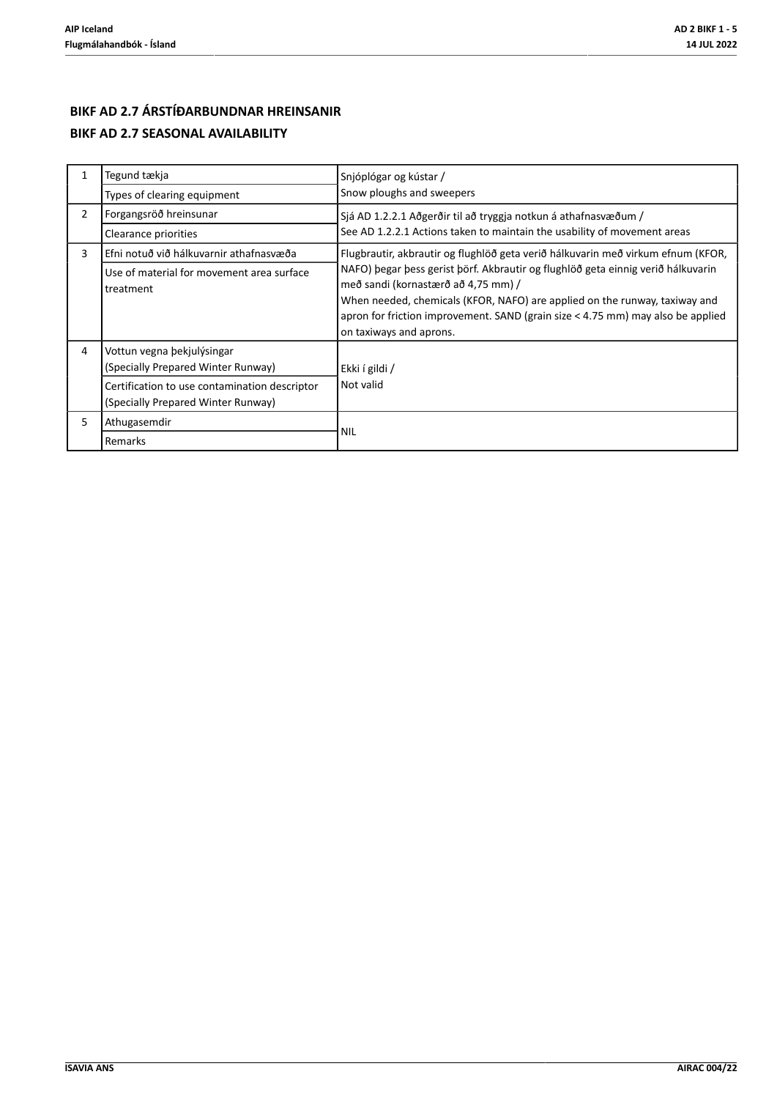# **BIKF AD 2.7 ÁRSTÍÐARBUNDNAR HREINSANIR BIKF AD 2.7 SEASONAL AVAILABILITY**

| 1              | Tegund tækja<br>Types of clearing equipment                                          | Snjóplógar og kústar /<br>Snow ploughs and sweepers                                                                                                                                                         |
|----------------|--------------------------------------------------------------------------------------|-------------------------------------------------------------------------------------------------------------------------------------------------------------------------------------------------------------|
| $\overline{2}$ | Forgangsröð hreinsunar<br>Clearance priorities                                       | Sjá AD 1.2.2.1 Aðgerðir til að tryggja notkun á athafnasvæðum /<br>See AD 1.2.2.1 Actions taken to maintain the usability of movement areas                                                                 |
| 3              | Efni notuð við hálkuvarnir athafnasvæða<br>Use of material for movement area surface | Flugbrautir, akbrautir og flughlöð geta verið hálkuvarin með virkum efnum (KFOR,<br>NAFO) þegar þess gerist þörf. Akbrautir og flughlöð geta einnig verið hálkuvarin<br>með sandi (kornastærð að 4,75 mm) / |
|                | treatment                                                                            | When needed, chemicals (KFOR, NAFO) are applied on the runway, taxiway and<br>apron for friction improvement. SAND (grain size $<$ 4.75 mm) may also be applied<br>on taxiways and aprons.                  |
| 4              | Vottun vegna þekjulýsingar<br>(Specially Prepared Winter Runway)                     | Ekki í gildi /                                                                                                                                                                                              |
|                | Certification to use contamination descriptor<br>(Specially Prepared Winter Runway)  | Not valid                                                                                                                                                                                                   |
| 5.             | Athugasemdir<br>Remarks                                                              | NIL.                                                                                                                                                                                                        |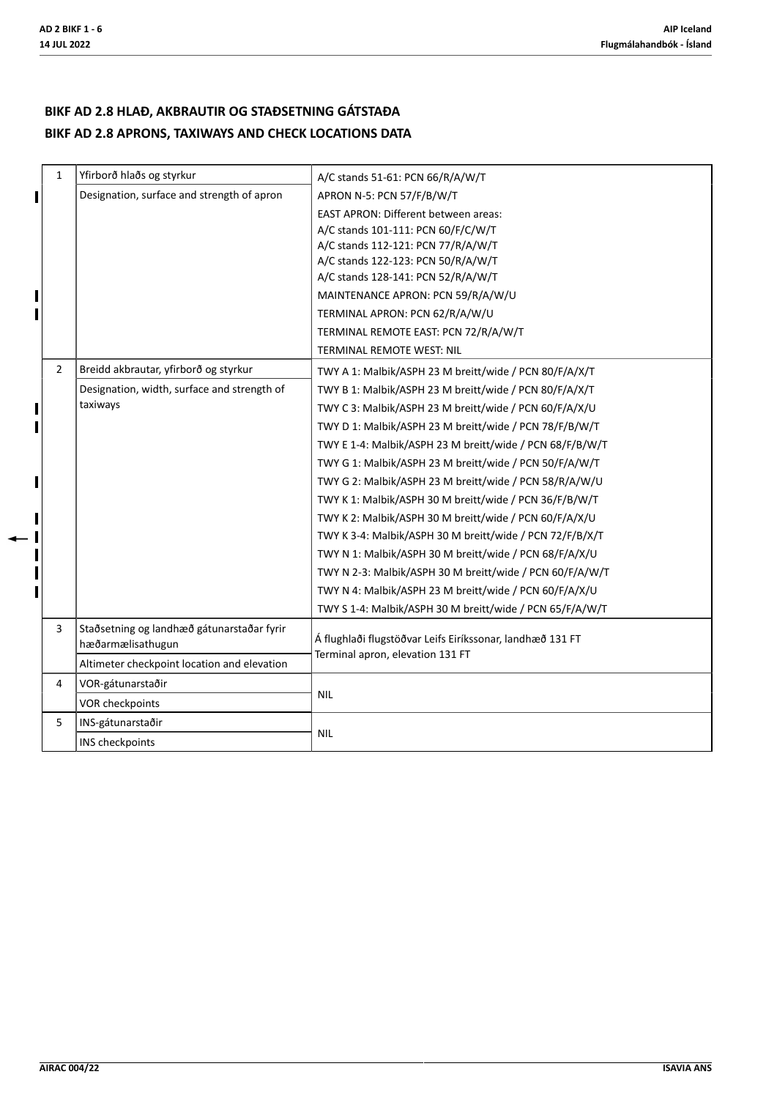### **BIKF AD 2.8 HLAÐ, AKBRAUTIR OG STAÐSETNING GÁTSTAÐA BIKF AD 2.8 APRONS, TAXIWAYS AND CHECK LOCATIONS DATA**

|   | 1              | Yfirborð hlaðs og styrkur                   | A/C stands 51-61: PCN 66/R/A/W/T                                         |
|---|----------------|---------------------------------------------|--------------------------------------------------------------------------|
|   |                | Designation, surface and strength of apron  | APRON N-5: PCN 57/F/B/W/T                                                |
|   |                |                                             | <b>EAST APRON: Different between areas:</b>                              |
|   |                |                                             | A/C stands 101-111: PCN 60/F/C/W/T                                       |
|   |                |                                             | A/C stands 112-121: PCN 77/R/A/W/T                                       |
|   |                |                                             | A/C stands 122-123: PCN 50/R/A/W/T<br>A/C stands 128-141: PCN 52/R/A/W/T |
| I |                |                                             | MAINTENANCE APRON: PCN 59/R/A/W/U                                        |
|   |                |                                             | TERMINAL APRON: PCN 62/R/A/W/U                                           |
|   |                |                                             | TERMINAL REMOTE EAST: PCN 72/R/A/W/T                                     |
|   |                |                                             | <b>TERMINAL REMOTE WEST: NIL</b>                                         |
|   | $\overline{2}$ | Breidd akbrautar, yfirborð og styrkur       | TWY A 1: Malbik/ASPH 23 M breitt/wide / PCN 80/F/A/X/T                   |
|   |                | Designation, width, surface and strength of | TWY B 1: Malbik/ASPH 23 M breitt/wide / PCN 80/F/A/X/T                   |
|   |                | taxiways                                    | TWY C 3: Malbik/ASPH 23 M breitt/wide / PCN 60/F/A/X/U                   |
|   |                |                                             | TWY D 1: Malbik/ASPH 23 M breitt/wide / PCN 78/F/B/W/T                   |
|   |                |                                             | TWY E 1-4: Malbik/ASPH 23 M breitt/wide / PCN 68/F/B/W/T                 |
|   |                |                                             | TWY G 1: Malbik/ASPH 23 M breitt/wide / PCN 50/F/A/W/T                   |
| I |                |                                             | TWY G 2: Malbik/ASPH 23 M breitt/wide / PCN 58/R/A/W/U                   |
|   |                |                                             | TWY K 1: Malbik/ASPH 30 M breitt/wide / PCN 36/F/B/W/T                   |
| I |                |                                             | TWY K 2: Malbik/ASPH 30 M breitt/wide / PCN 60/F/A/X/U                   |
| I |                |                                             | TWY K 3-4: Malbik/ASPH 30 M breitt/wide / PCN 72/F/B/X/T                 |
| I |                |                                             | TWY N 1: Malbik/ASPH 30 M breitt/wide / PCN 68/F/A/X/U                   |
|   |                |                                             | TWY N 2-3: Malbik/ASPH 30 M breitt/wide / PCN 60/F/A/W/T                 |
|   |                |                                             | TWY N 4: Malbik/ASPH 23 M breitt/wide / PCN 60/F/A/X/U                   |
|   |                |                                             | TWY S 1-4: Malbik/ASPH 30 M breitt/wide / PCN 65/F/A/W/T                 |
|   | 3              | Staðsetning og landhæð gátunarstaðar fyrir  | Á flughlaði flugstöðvar Leifs Eiríkssonar, landhæð 131 FT                |
|   |                | hæðarmælisathugun                           | Terminal apron, elevation 131 FT                                         |
|   |                | Altimeter checkpoint location and elevation |                                                                          |
|   | 4              | VOR-gátunarstaðir                           | <b>NIL</b>                                                               |
|   |                | VOR checkpoints                             |                                                                          |
|   | 5              | INS-gátunarstaðir                           | <b>NIL</b>                                                               |
|   |                | INS checkpoints                             |                                                                          |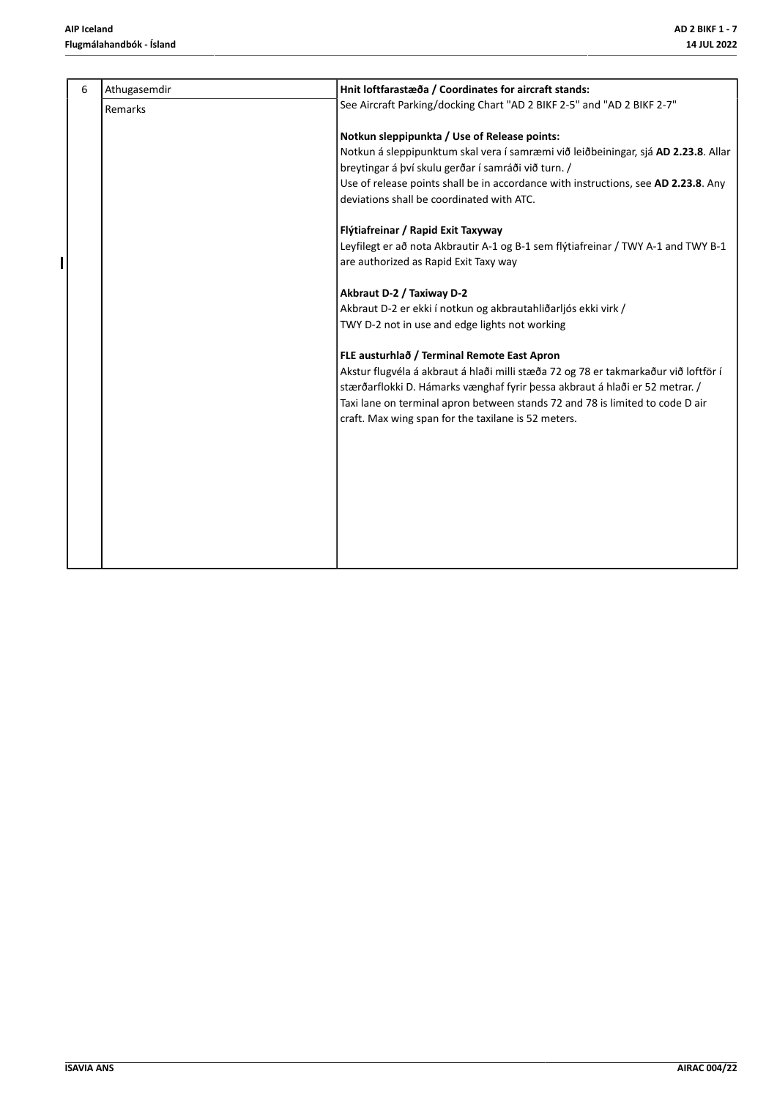| 6 | Athugasemdir | Hnit loftfarastæða / Coordinates for aircraft stands:                               |
|---|--------------|-------------------------------------------------------------------------------------|
|   | Remarks      | See Aircraft Parking/docking Chart "AD 2 BIKF 2-5" and "AD 2 BIKF 2-7"              |
|   |              | Notkun sleppipunkta / Use of Release points:                                        |
|   |              | Notkun á sleppipunktum skal vera í samræmi við leiðbeiningar, sjá AD 2.23.8. Allar  |
|   |              | breytingar á því skulu gerðar í samráði við turn. /                                 |
|   |              | Use of release points shall be in accordance with instructions, see AD 2.23.8. Any  |
|   |              | deviations shall be coordinated with ATC.                                           |
|   |              | Flýtiafreinar / Rapid Exit Taxyway                                                  |
|   |              | Leyfilegt er að nota Akbrautir A-1 og B-1 sem flýtiafreinar / TWY A-1 and TWY B-1   |
|   |              | are authorized as Rapid Exit Taxy way                                               |
|   |              | Akbraut D-2 / Taxiway D-2                                                           |
|   |              | Akbraut D-2 er ekki í notkun og akbrautahliðarljós ekki virk /                      |
|   |              | TWY D-2 not in use and edge lights not working                                      |
|   |              | FLE austurhlað / Terminal Remote East Apron                                         |
|   |              | Akstur flugvéla á akbraut á hlaði milli stæða 72 og 78 er takmarkaður við loftför í |
|   |              | stærðarflokki D. Hámarks vænghaf fyrir þessa akbraut á hlaði er 52 metrar. /        |
|   |              | Taxi lane on terminal apron between stands 72 and 78 is limited to code D air       |
|   |              | craft. Max wing span for the taxilane is 52 meters.                                 |
|   |              |                                                                                     |
|   |              |                                                                                     |
|   |              |                                                                                     |
|   |              |                                                                                     |
|   |              |                                                                                     |
|   |              |                                                                                     |
|   |              |                                                                                     |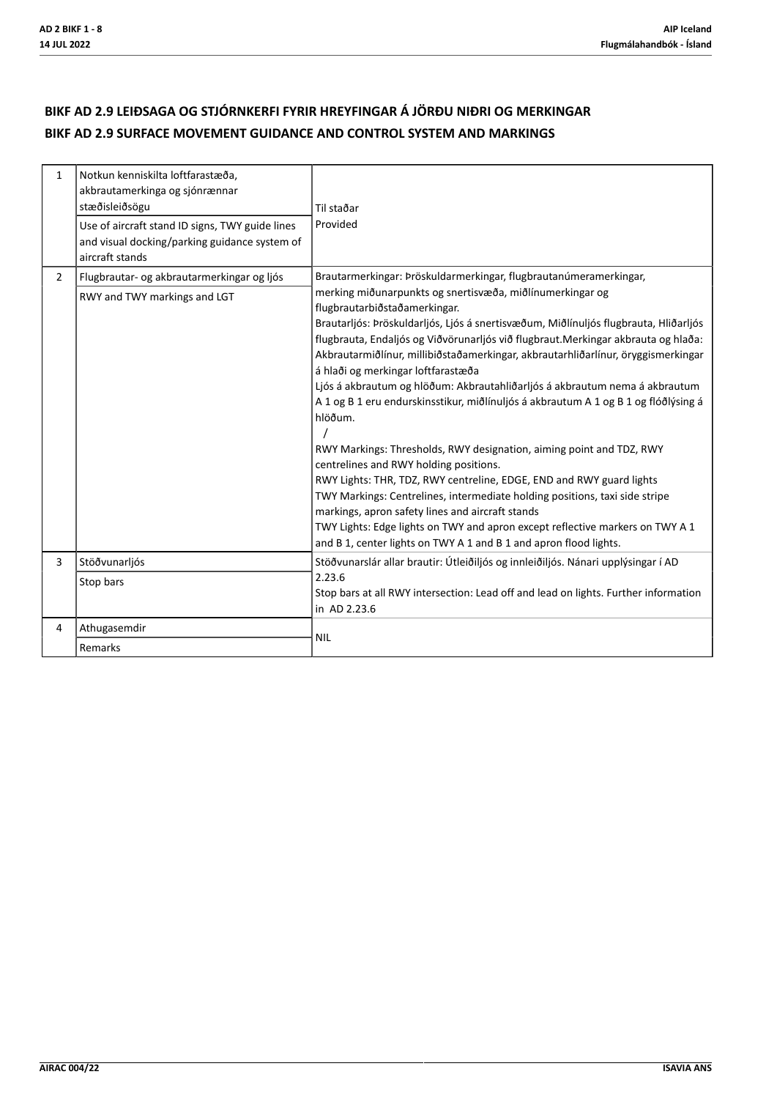# **BIKF AD 2.9 LEIÐSAGA OG STJÓRNKERFI FYRIR HREYFINGAR Á JÖRÐU NIÐRI OG MERKINGAR BIKF AD 2.9 SURFACE MOVEMENT GUIDANCE AND CONTROL SYSTEM AND MARKINGS**

| $\mathbf{1}$ | Notkun kenniskilta loftfarastæða,<br>akbrautamerkinga og sjónrænnar<br>stæðisleiðsögu                               | Til staðar                                                                                                                                                                                                                                                                                                                                                                                                                                                                                                                                                                                                                                                                                                                                                                                                                                                                                                                                                                                                                                                                                                                                   |
|--------------|---------------------------------------------------------------------------------------------------------------------|----------------------------------------------------------------------------------------------------------------------------------------------------------------------------------------------------------------------------------------------------------------------------------------------------------------------------------------------------------------------------------------------------------------------------------------------------------------------------------------------------------------------------------------------------------------------------------------------------------------------------------------------------------------------------------------------------------------------------------------------------------------------------------------------------------------------------------------------------------------------------------------------------------------------------------------------------------------------------------------------------------------------------------------------------------------------------------------------------------------------------------------------|
|              | Use of aircraft stand ID signs, TWY guide lines<br>and visual docking/parking guidance system of<br>aircraft stands | Provided                                                                                                                                                                                                                                                                                                                                                                                                                                                                                                                                                                                                                                                                                                                                                                                                                                                                                                                                                                                                                                                                                                                                     |
| 2            | Flugbrautar- og akbrautarmerkingar og ljós<br>RWY and TWY markings and LGT                                          | Brautarmerkingar: Þröskuldarmerkingar, flugbrautanúmeramerkingar,<br>merking miðunarpunkts og snertisvæða, miðlínumerkingar og<br>flugbrautarbiðstaðamerkingar.<br>Brautarljós: Þröskuldarljós, Ljós á snertisvæðum, Miðlínuljós flugbrauta, Hliðarljós<br>flugbrauta, Endaljós og Viðvörunarljós við flugbraut. Merkingar akbrauta og hlaða:<br>Akbrautarmiðlínur, millibiðstaðamerkingar, akbrautarhliðarlínur, öryggismerkingar<br>á hlaði og merkingar loftfarastæða<br>Ljós á akbrautum og hlöðum: Akbrautahliðarljós á akbrautum nema á akbrautum<br>A 1 og B 1 eru endurskinsstikur, miðlínuljós á akbrautum A 1 og B 1 og flóðlýsing á<br>hlöðum.<br>RWY Markings: Thresholds, RWY designation, aiming point and TDZ, RWY<br>centrelines and RWY holding positions.<br>RWY Lights: THR, TDZ, RWY centreline, EDGE, END and RWY guard lights<br>TWY Markings: Centrelines, intermediate holding positions, taxi side stripe<br>markings, apron safety lines and aircraft stands<br>TWY Lights: Edge lights on TWY and apron except reflective markers on TWY A 1<br>and B 1, center lights on TWY A 1 and B 1 and apron flood lights. |
| 3            | Stöðvunarljós<br>Stop bars                                                                                          | Stöðvunarslár allar brautir: Útleiðiljós og innleiðiljós. Nánari upplýsingar í AD<br>2.23.6<br>Stop bars at all RWY intersection: Lead off and lead on lights. Further information<br>in AD 2.23.6                                                                                                                                                                                                                                                                                                                                                                                                                                                                                                                                                                                                                                                                                                                                                                                                                                                                                                                                           |
| 4            | Athugasemdir<br>Remarks                                                                                             | <b>NIL</b>                                                                                                                                                                                                                                                                                                                                                                                                                                                                                                                                                                                                                                                                                                                                                                                                                                                                                                                                                                                                                                                                                                                                   |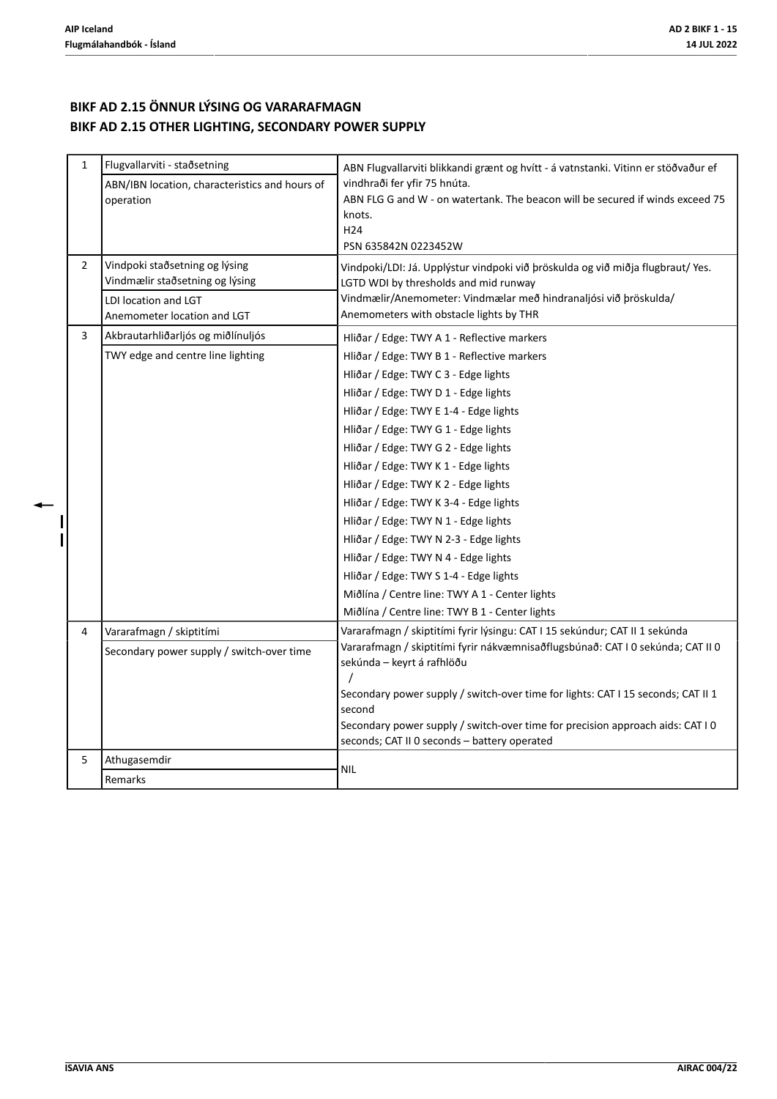#### **BIKF AD 2.15 ÖNNUR LÝSING OG VARARAFMAGN BIKF AD 2.15 OTHER LIGHTING, SECONDARY POWER SUPPLY**

| $\mathbf{1}$   | Flugvallarviti - staðsetning<br>ABN/IBN location, characteristics and hours of<br>operation                              | ABN Flugvallarviti blikkandi grænt og hvítt - á vatnstanki. Vitinn er stöðvaður ef<br>vindhraði fer yfir 75 hnúta.<br>ABN FLG G and W - on watertank. The beacon will be secured if winds exceed 75<br>knots.<br>H <sub>24</sub><br>PSN 635842N 0223452W                                                                                                                                                                                                                                                                                                                                                                                                                                               |
|----------------|--------------------------------------------------------------------------------------------------------------------------|--------------------------------------------------------------------------------------------------------------------------------------------------------------------------------------------------------------------------------------------------------------------------------------------------------------------------------------------------------------------------------------------------------------------------------------------------------------------------------------------------------------------------------------------------------------------------------------------------------------------------------------------------------------------------------------------------------|
| $\overline{2}$ | Vindpoki staðsetning og lýsing<br>Vindmælir staðsetning og lýsing<br>LDI location and LGT<br>Anemometer location and LGT | Vindpoki/LDI: Já. Upplýstur vindpoki við þröskulda og við miðja flugbraut/ Yes.<br>LGTD WDI by thresholds and mid runway<br>Vindmælir/Anemometer: Vindmælar með hindranaljósi við þröskulda/<br>Anemometers with obstacle lights by THR                                                                                                                                                                                                                                                                                                                                                                                                                                                                |
| 3              | Akbrautarhliðarljós og miðlínuljós<br>TWY edge and centre line lighting                                                  | Hliðar / Edge: TWY A 1 - Reflective markers<br>Hliðar / Edge: TWY B 1 - Reflective markers<br>Hliðar / Edge: TWY C 3 - Edge lights<br>Hliðar / Edge: TWY D 1 - Edge lights<br>Hliðar / Edge: TWY E 1-4 - Edge lights<br>Hliðar / Edge: TWY G 1 - Edge lights<br>Hliðar / Edge: TWY G 2 - Edge lights<br>Hliðar / Edge: TWY K 1 - Edge lights<br>Hliðar / Edge: TWY K 2 - Edge lights<br>Hliðar / Edge: TWY K 3-4 - Edge lights<br>Hliðar / Edge: TWY N 1 - Edge lights<br>Hliðar / Edge: TWY N 2-3 - Edge lights<br>Hliðar / Edge: TWY N 4 - Edge lights<br>Hliðar / Edge: TWY S 1-4 - Edge lights<br>Miðlína / Centre line: TWY A 1 - Center lights<br>Miðlína / Centre line: TWY B 1 - Center lights |
| 4              | Vararafmagn / skiptitími<br>Secondary power supply / switch-over time                                                    | Vararafmagn / skiptitími fyrir lýsingu: CAT I 15 sekúndur; CAT II 1 sekúnda<br>Vararafmagn / skiptitími fyrir nákvæmnisaðflugsbúnað: CAT I 0 sekúnda; CAT II 0<br>sekúnda - keyrt á rafhlöðu<br>$\prime$<br>Secondary power supply / switch-over time for lights: CAT I 15 seconds; CAT II 1<br>second<br>Secondary power supply / switch-over time for precision approach aids: CAT I 0<br>seconds; CAT II 0 seconds - battery operated                                                                                                                                                                                                                                                               |
| 5              | Athugasemdir<br>Remarks                                                                                                  | <b>NIL</b>                                                                                                                                                                                                                                                                                                                                                                                                                                                                                                                                                                                                                                                                                             |